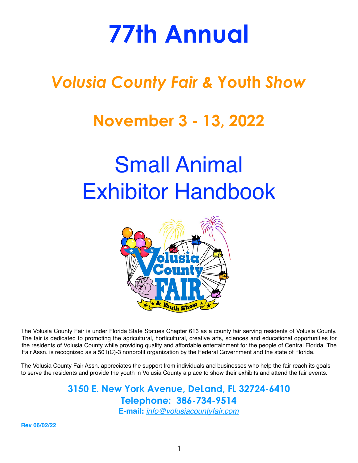# **77th Annual**

## *Volusia County Fair &* **Youth** *Show*

## **November 3 - 13, 2022**

# Small Animal Exhibitor Handbook



The Volusia County Fair is under Florida State Statues Chapter 616 as a county fair serving residents of Volusia County. The fair is dedicated to promoting the agricultural, horticultural, creative arts, sciences and educational opportunities for the residents of Volusia County while providing quality and affordable entertainment for the people of Central Florida. The Fair Assn. is recognized as a 501(C)-3 nonprofit organization by the Federal Government and the state of Florida.

The Volusia County Fair Assn. appreciates the support from individuals and businesses who help the fair reach its goals to serve the residents and provide the youth in Volusia County a place to show their exhibits and attend the fair events.

> **3150 E. New York Avenue, DeLand, FL 32724-6410 Telephone: 386-734-9514 E-mail:** *[info@volusiacountyfair.com](mailto:info@volusiacountyfair.com)*

**Rev 06/02/22**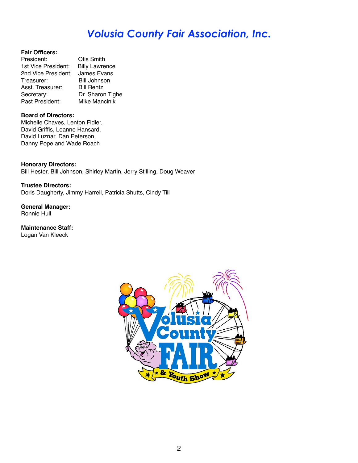### *Volusia County Fair Association, Inc.*

#### **Fair Officers:**

| President:          | <b>Otis Smith</b>     |
|---------------------|-----------------------|
| 1st Vice President: | <b>Billy Lawrence</b> |
| 2nd Vice President: | James Evans           |
| Treasurer:          | <b>Bill Johnson</b>   |
| Asst. Treasurer:    | <b>Bill Rentz</b>     |
| Secretary:          | Dr. Sharon Tighe      |
| Past President:     | Mike Mancinik         |

#### **Board of Directors:**

Michelle Chaves, Lenton Fidler, David Griffis, Leanne Hansard, David Luznar, Dan Peterson, Danny Pope and Wade Roach

**Honorary Directors:** Bill Hester, Bill Johnson, Shirley Martin, Jerry Stilling, Doug Weaver

**Trustee Directors:** Doris Daugherty, Jimmy Harrell, Patricia Shutts, Cindy Till

**General Manager:** Ronnie Hull

**Maintenance Staff:** Logan Van Kleeck

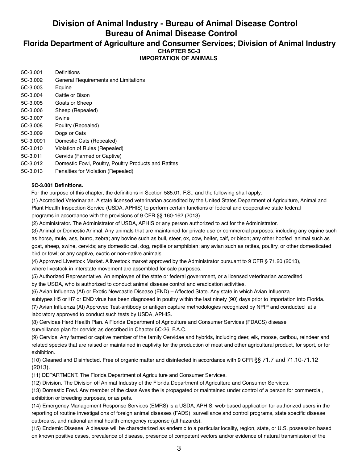### **Division of Animal Industry - Bureau of Animal Disease Control Bureau of Animal Disease Control**

#### **Florida Department of Agriculture and Consumer Services; Division of Animal Industry CHAPTER 5C-3 IMPORTATION OF ANIMALS**

| 5C-3.001  | Definitions                                          |
|-----------|------------------------------------------------------|
| 5C-3.002  | General Requirements and Limitations                 |
| 5C-3.003  | Equine                                               |
| 5C-3.004  | Cattle or Bison                                      |
| 5C-3.005  | Goats or Sheep                                       |
| 5C-3.006  | Sheep (Repealed)                                     |
| 5C-3.007  | Swine                                                |
| 5C-3.008  | Poultry (Repealed)                                   |
| 5C-3.009  | Dogs or Cats                                         |
| 5C-3.0091 | Domestic Cats (Repealed)                             |
| 5C-3.010  | Violation of Rules (Repealed)                        |
| 5C-3.011  | Cervids (Farmed or Captive)                          |
| 5C-3.012  | Domestic Fowl, Poultry, Poultry Products and Ratites |
| 5C-3.013  | Penalties for Violation (Repealed)                   |

#### **5C-3.001 Definitions.**

For the purpose of this chapter, the definitions in Section 585.01, F.S., and the following shall apply:

(1) Accredited Veterinarian. A state licensed veterinarian accredited by the United States Department of Agriculture, Animal and Plant Health Inspection Service (USDA, APHIS) to perform certain functions of federal and cooperative state-federal programs in accordance with the provisions of 9 CFR §§ 160-162 (2013).

(2) Administrator. The Administrator of USDA, APHIS or any person authorized to act for the Administrator.

(3) Animal or Domestic Animal. Any animals that are maintained for private use or commercial purposes; including any equine such as horse, mule, ass, burro, zebra; any bovine such as bull, steer, ox, cow, heifer, calf, or bison; any other hoofed animal such as goat, sheep, swine, cervids; any domestic cat, dog, reptile or amphibian; any avian such as ratites, poultry, or other domesticated bird or fowl; or any captive, exotic or non-native animals.

(4) Approved Livestock Market. A livestock market approved by the Administrator pursuant to 9 CFR § 71.20 (2013),

where livestock in interstate movement are assembled for sale purposes.

(5) Authorized Representative. An employee of the state or federal government, or a licensed veterinarian accredited by the USDA, who is authorized to conduct animal disease control and eradication activities.

(6) Avian Influenza (AI) or Exotic Newcastle Disease (END) – Affected State. Any state in which Avian Influenza

subtypes H5 or H7 or END virus has been diagnosed in poultry within the last ninety (90) days prior to importation into Florida. (7) Avian Influenza (AI) Approved Test-antibody or antigen capture methodologies recognized by NPIP and conducted at a

laboratory approved to conduct such tests by USDA, APHIS.

(8) Cervidae Herd Health Plan. A Florida Department of Agriculture and Consumer Services (FDACS) disease surveillance plan for cervids as described in Chapter 5C-26, F.A.C.

(9) Cervids. Any farmed or captive member of the family Cervidae and hybrids, including deer, elk, moose, caribou, reindeer and related species that are raised or maintained in captivity for the production of meat and other agricultural product, for sport, or for exhibition.

(10) Cleaned and Disinfected. Free of organic matter and disinfected in accordance with 9 CFR §§ 71.7 and 71.10-71.12 (2013).

(11) DEPARTMENT. The Florida Department of Agriculture and Consumer Services.

(12) Division. The Division off Animal Industry of the Florida Department of Agriculture and Consumer Services.

(13) Domestic Fowl. Any member of the class Aves the is propagated or maintained under control of a person for commercial, exhibition or breeding purposes, or as pets.

(14) Emergency Management Response Services (EMRS) is a USDA, APHIS, web-based application for authorized users in the reporting of routine investigations of foreign animal diseases (FADS), surveillance and control programs, state specific disease outbreaks, and national animal health emergency response (all-hazards).

(15) Endemic Disease. A disease will be characterized as endemic to a particular locality, region, state, or U.S. possession based on known positive cases, prevalence of disease, presence of competent vectors and/or evidence of natural transmission of the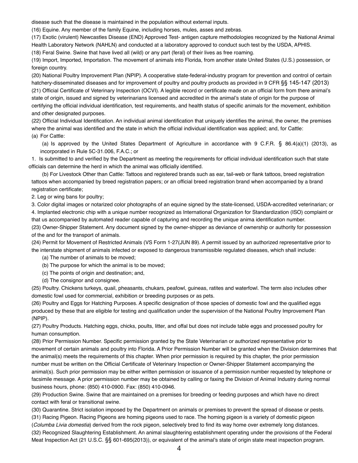disease such that the disease is maintained in the population without external inputs.

(16) Equine. Any member of the family Equine, including horses, mules, asses and zebras.

(17) Exotic (virulent) Newcastles Disease (END) Approved Test- antigen capture methodologies recognized by the National Animal Health Laboratory Network (NAHLN) and conducted at a laboratory approved to conduct such test by the USDA, APHIS.

(18) Feral Swine. Swine that have lived all (wild) or any part (feral) of their lives as free roaming.

(19) Import, Imported, Importation. The movement of animals into Florida, from another state United States (U.S.) possession, or foreign country.

(20) National Poultry Improvement Plan (NPIP). A cooperative state-federal-industry program for prevention and control of certain hatchery-disseminated diseases and for improvement of poultry and poultry products as provided in 9 CFR §§ 145-147 (2013) (21) Official Certificate of Veterinary Inspection (OCVI). A legible record or certificate made on an official form from there animal's state of origin, issued and signed by veterinarians licensed and accredited in the animal's state of origin for the purpose of certifying the official individual identification, test requirements, and health status of specific animals for the movement, exhibition and other designated purposes.

(22) Official Individual Identification. An individual animal identification that uniquely identifies the animal, the owner, the premises where the animal was identified and the state in which the official individual identification was applied; and, for Cattle: (a) For Cattle:

(a) Is approved by the United States Department of Agriculture in accordance with 9 C.F.R. § 86.4(a)(1) (2013), as incorporated in Rule 5C-31.006, F.A.C.; or

1. Is submitted to and verified by the Department as meeting the requirements for official individual identification such that state officials can determine the herd in which the animal was officially identified.

(b) For Livestock Other than Cattle: Tattoos and registered brands such as ear, tail-web or flank tattoos, breed registration tattoos when accompanied by breed registration papers; or an official breed registration brand when accompanied by a brand registration certificate;

2. Leg or wing bans for poultry;

3. Color digital images or notarized color photographs of an equine signed by the state-licensed, USDA-accredited veterinarian; or 4. Implanted electronic chip with a unique number recognized as International Organization for Standardization (ISO) complaint or that us accompanied by automated reader capable of capturing and recording the unique anima identification number.

(23) Owner-Shipper Statement. Any document signed by the owner-shipper as deviance of ownership or authority for possession of the and for the transport of animals.

(24) Permit for Movement of Restricted Animals (VS Form 1-27(JUN 89). A permit issued by an authorized representative prior to the interstate shipment of animals infected or exposed to dangerous transmissible regulated diseases, which shall include:

(a) The number of animals to be moved;

(b) The purpose for which the animal is to be moved;

(c) The points of origin and destination; and,

(d) The consignor and consignee.

(25) Poultry. Chickens turkeys, quail, pheasants, chukars, peafowl, guineas, ratites and waterfowl. The term also includes other domestic fowl used for commercial, exhibition or breeding purposes or as pets.

(26) Poultry and Eggs for Hatching Purposes. A specific designation of those species of domestic fowl and the qualified eggs produced by these that are eligible for testing and qualification under the supervision of the National Poultry Improvement Plan (NPIP).

(27) Poultry Products. Hatching eggs, chicks, poults, litter, and offal but does not include table eggs and processed poultry for human consumption.

(28) Prior Permission Number. Specific permission granted by the State Veterinarian or authorized representative prior to movement of certain animals and poultry into Florida. A Prior Permission Number will be granted when the Division determines that the animal(s) meets the requirements of this chapter. When prior permission is required by this chapter, the prior permission number must be written on the Official Certificate of Veterinary Inspection or Owner-Shipper Statement accompanying the animal(s). Such prior permission may be either written permission or issuance of a permission number requested by telephone or facsimile message. A prior permission number may be obtained by calling or faxing the Division of Animal Industry during normal business hours, phone: (850) 410-0900. Fax: (850) 410-0946.

(29) Production Swine. Swine that are maintained on a premises for breeding or feeding purposes and which have no direct contact with feral or transitional swine.

(30) Quarantine. Strict isolation imposed by the Department on animals or premises to prevent the spread of disease or pests.

(31) Racing Pigeon. Racing Pigeons are homing pigeons used to race. The homing pigeon is a variety of domestic pigeon

(*Columba Livia domestia*) derived from the rock pigeon, selectively bred to find its way home over extremely long distances. (32) Recognized Slaughtering Establishment. An animal slaughtering establishment operating under the provisions of the Federal Meat Inspection Act (21 U.S.C. §§ 601-695(2013)), or equivalent of the animal's state of origin state meat inspection program.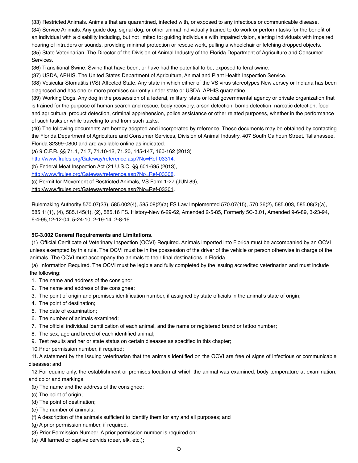(33) Restricted Animals. Animals that are quarantined, infected with, or exposed to any infectious or communicable disease.

(34) Service Animals. Any guide dog, signal dog, or other animal individually trained to do work or perform tasks for the benefit of an individual with a disability including, but not limited to: guiding individuals with impaired vision, alerting individuals with impaired hearing of intruders or sounds, providing minimal protection or rescue work, pulling a wheelchair or fetching dropped objects. (35) State Veterinarian. The Director of the Division of Animal Industry of the Florida Department of Agriculture and Consumer Services.

(36) Transitional Swine. Swine that have been, or have had the potential to be, exposed to feral swine.

(37) USDA, APHIS. The United States Department of Agriculture, Animal and Plant Health Inspection Service.

(38) Vesicular Stomatitis (VS)-Affected State. Any state in which either of the VS virus stereotypes New Jersey or Indiana has been diagnosed and has one or more premises currently under state or USDA, APHIS quarantine.

(39) Working Dogs. Any dog in the possession of a federal, military, state or local governmental agency or private organization that is trained for the purpose of human search and rescue, body recovery, arson detection, bomb detection, narcotic detection, food and agricultural product detection, criminal apprehension, police assistance or other related purposes, whether in the performance of such tasks or while traveling to and from such tasks.

(40) The following documents are hereby adopted and incorporated by reference. These documents may be obtained by contacting the Florida Department of Agriculture and Consumer Services, Division of Animal Industry, 407 South Calhoun Street, Tallahassee, Florida 32399-0800 and are available online as indicated.

(a) 9 C.F.R. §§ 71.1, 71.7, 71.10-12, 71.20, 145-147, 160-162 (2013)

[http://www.flrules.org/Gateway/reference.asp?No=Ref-03314.](http://www.flrules.org/Gateway/reference.asp?No=Ref-03314)

(b) Federal Meat Inspection Act (21 U.S.C. §§ 601-695 (2013),

[http://www.flrules.org/Gateway/reference.asp?No=Ref-03308.](http://www.flrules.org/Gateway/reference.asp?No=Ref-03308)

(c) Permit for Movement of Restricted Animals, VS Form 1-27 (JUN 89),

[http://www.flrules.org/Gateway/reference.asp?No=Ref-03301.](http://www.flrules.org/Gateway/reference.asp?No=Ref-03301)

Rulemaking Authority 570.07(23), 585.002(4), 585.08(2)(a) FS Law Implemented 570.07(15), 570.36(2), 585.003, 585.08(2)(a), 585.11(1), (4), 585.145(1), (2), 585.16 FS. History-New 6-29-62, Amended 2-5-85, Formerly 5C-3.01, Amended 9-6-89, 3-23-94, 6-4-95,12-12-04, 5-24-10, 2-19-14, 2-8-16*.*

#### **5C-3.002 General Requirements and Limitations.**

(1) Official Certificate of Veterinary Inspection (OCVI) Required. Animals imported into Florida must be accompanied by an OCVI unless exempted by this rule. The OCVI must be in the possession of the driver of the vehicle or person otherwise in charge of the animals. The OCVI must accompany the animals to their final destinations in Florida.

(a) Information Required. The OCVI must be legible and fully completed by the issuing accredited veterinarian and must include the following:

- 1. The name and address of the consignor;
- 2. The name and address of the consignee;
- 3. The point of origin and premises identification number, if assigned by state officials in the animal's state of origin;
- 4. The point of destination;
- 5. The date of examination;
- 6. The number of animals examined;
- 7. The official individual identification of each animal, and the name or registered brand or tattoo number;
- 8. The sex, age and breed of each identified animal;
- 9. Test results and her or state status on certain diseases as specified in this chapter;
- 10.Prior permission number, if required;

11.A statement by the issuing veterinarian that the animals identified on the OCVI are free of signs of infectious or communicable diseases; and

12.For equine only, the establishment or premises location at which the animal was examined, body temperature at examination, and color and markings.

- (b) The name and the address of the consignee;
- (c) The point of origin;
- (d) The point of destination;
- (e) The number of animals;
- (f) A description of the animals sufficient to identify them for any and all purposes; and
- (g) A prior permission number, if required.
- (3) Prior Permission Number. A prior permission number is required on:
- (a) All farmed or captive cervids (deer, elk, etc.);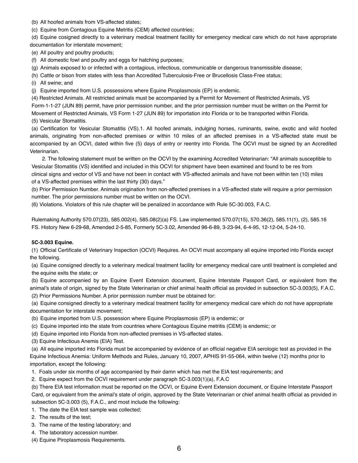(b) All hoofed animals from VS-affected states;

(c) Equine from Contagious Equine Metritis (CEM) affected countries;

(d) Equine cosigned directly to a veterinary medical treatment facility for emergency medical care which do not have appropriate documentation for interstate movement;

(e) All poultry and poultry products;

(f) All domestic fowl and poultry and eggs for hatching purposes;

(g) Animals exposed to or infected with a contagious, infectious, communicable or dangerous transmissible disease;

(h) Cattle or bison from states with less than Accredited Tuberculosis-Free or Brucellosis Class-Free status;

(i) All swine; and

(j) Equine imported from U.S. possessions where Equine Piroplasmosis (EP) is endemic.

(4) Restricted Animals. All restricted animals must be accompanied by a Permit for Movement of Restricted Animals, VS Form-1-1-27 (JUN 89) permit, have prior permission number, and the prior permission number must be written on the Permit for Movement of Restricted Animals, VS Form 1-27 (JUN 89) for importation into Florida or to be transported within Florida. (5) Vesicular Stomatitis.

(a) Certification for Vesicular Stomatitis (VS).1. All hoofed animals, indulging horses, ruminants, swine, exotic and wild hoofed animals, originating from non-affected premises or within 10 miles of an affected premises in a VS-affected state must be accompanied by an OCVI, dated within five (5) days of entry or reentry into Florida. The OCVI must be signed by an Accredited Veterinarian.

2. The following statement must be written on the OCVI by the examining Accredited Veterinarian: "All animals susceptible to Vesicular Stomatitis (VS) identified and included in this OCVI for shipment have been examined and found to be res from clinical signs and vector of VS and have not been in contact with VS-affected animals and have not been within ten (10) miles of a VS-affected premises within the last thirty (30) days."

(b) Prior Permission Number. Animals origination from non-affected premises in a VS-affected state will require a prior permission number. The prior permissions number must be written on the OCVI.

(6) Violations. Violators of this rule chapter will be penalized in accordance with Rule 5C-30.003, F.A.C.

Rulemaking Authority 570.07(23), 585.002(4), 585.08(2)(a) FS. Law implemented 570.07(15), 570.36(2), 585.11(1), (2), 585.16 FS. History New 6-29-68, Amended 2-5-85, Formerly 5C-3.02, Amended 96-6-89, 3-23-94, 6-4-95, 12-12-04, 5-24-10.

#### **5C-3.003 Equine.**

(1) Official Certificate of Veterinary Inspection (OCVI) Requires. An OCVI must accompany all equine imported into Florida except the following.

(a) Equine consigned directly to a veterinary medical treatment facility for emergency medical care until treatment is completed and the equine exits the state; or

(b) Equine accompanied by an Equine Event Extension document, Equine Interstate Passport Card, or equivalent from the animal's state of origin, signed by the State Veterinarian or chief animal health official as provided in subsection 5C-3.003(5), F.A.C. (2) Prior Permissions Number. A prior permission number must be obtained for:

(a) Equine consigned directly to a veterinary medical treatment facility for emergency medical care which do not have appropriate documentation for interstate movement;

- (b) Equine imported from U.S. possession where Equine Piroplasmosis (EP) is endemic; or
- (c) Equine imported into the state from countries where Contagious Equine metritis (CEM) is endemic; or
- (d) Equine imported into Florida from non-affected premises in VS-affected states.

(3) Equine Infectious Anemis (EIA) Test.

(a) All equine imported into Florida must be accompanied by evidence of an official negative EIA serologic test as provided in the Equine Infectious Anemia: Uniform Methods and Rules, January 10, 2007, APHIS 91-55-064, within twelve (12) months prior to importation, except the following:

- 1. Foals under six months of age accompanied by their damn which has met the EIA test requirements; and
- 2. Equine expect from the OCVI requirement under paragraph 5C-3.003(1)(a), F.A.C

(b) There EIA test information must be reported on the OCVI, or Equine Event Extension document, or Equine Interstate Passport Card, or equivalent from the animal's state of origin, approved by the State Veterinarian or chief animal health official as provided in subsection 5C-3.003 (5), F.A.C., and most include the following:

- 1. The date the EIA test sample was collected;
- 2. The results of the test;
- 3. The name of the testing laboratory; and
- 4. The laboratory accession number.
- (4) Equine Piroplasmosis Requirements.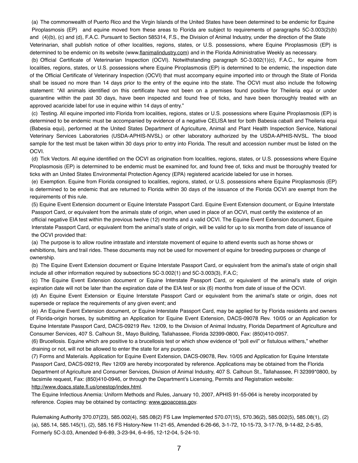(a) The commonwealth of Puerto Rico and the Virgin Islands of the United States have been determined to be endemic for Equine Piroplasmosis (EP) and equine moved from these areas to Florida are subject to requirements of paragraphs 5C-3.003(2)(b) and (4)(b), (c) and (d), F.A.C. Pursuant to Section 585314, F.S., the Division of Animal Industry, under the direction of the State

Veterinarian, shall publish notice of other localities, regions, states, or U.S. possessions, where Equine Piroplasmosis (EP) is determined to be endemic on its website (www[.flanimalindustry.com](http://flanimalindustry.com)) and in the Florida Administrative Weekly as necessary.

(b) Official Certificate of Veterinarian Inspection (OCVI). Notwithstanding paragraph 5C-3.002(1)(c), F.A.C., for equine from localities, regions, states, or U.S. possessions where Equine Piroplasmosis (EP) is determined to be endemic, the inspection date of the Official Certificate of Veterinary Inspection (OCVI) that must accompany equine imported into or through the State of Florida shall be issued no more than 14 days prior to the entry of the equine into the state. The OCVI must also include the following statement: "All animals identified on this certificate have not been on a premises found positive for Theileria equi or under quarantine within the past 30 days, have been inspected and found free of ticks, and have been thoroughly treated with an approved acaricide label for use in equine within 14 days of entry."

(c) Testing. All equine imported into Florida from localities, regions, states or U.S. possessions where Equine Piroplasmosis (EP) is determined to be endemic must be accompanied by evidence of a negative CELISA test for both Babesia caballi and Theileria equi (Babesia equi), performed at the United States Department of Agriculture, Animal and Plant Health Inspection Service, National Veterinary Services Laboratories (USDA-APHIS-NVSL) or other laboratory authorized by the USDA-APHIS-NVSL. The blood sample for the test must be taken within 30 days prior to entry into Florida. The result and accession number must be listed on the OCVI.

(d) Tick Vectors. All equine identified on the OCVI as origination from localities, regions, states, or U.S. possessions where Equine Piroplasmosis (EP) is determined to be endemic must be examined for, and found free of, ticks and must be thoroughly treated for ticks with an United States Environmental Protection Agency (EPA) registered acaricide labeled for use in horses.

(e) Exemption. Equine from Florida consigned to localities, regions, stated, or U.S. possessions where Equine Piroplasmosis (EP) is determined to be endemic that are returned to Florida within 30 days of the issuance of the Florida OCVI are exempt from the requirements of this rule.

(5) Equine Event Extension document or Equine Interstate Passport Card. Equine Event Extension document, or Equine Interstate Passport Card, or equivalent from the animals state of origin, when used in place of an OCVI, must certify the existence of an official negative EIA test within the previous twelve (12) months and a valid OCVI. The Equine Event Extension document, Equine Interstate Passport Card, or equivalent from the animal's state of origin, will be valid for up to six months from date of issuance of the OCVI provided that:

(a) The purpose is to allow routine intrastate and interstate movement of equine to attend events such as horse shows or exhibitions, fairs and trail rides. These documents may not be used for movement of equine for breeding purposes or change of ownership.

(b) The Equine Event Extension document or Equine Interstate Passport Card, or equivalent from the animal's state of origin shall include all other information required by subsections 5C-3.002(1) and 5C-3.003(3), F.A.C;

(c) The Equine Event Extension document or Equine Interstate Passport Card, or equivalent of the animal's state of origin expiration date will not be later than the expiration date of the EIA test or six (6) months from date of issue of the OCVI.

(d) An Equine Event Extension or Equine Interstate Passport Card or equivalent from the animal's state or origin, does not supersede or replace the requirements of any given event; and

(e) An Equine Event Extension document, or Equine Interstate Passport Card, may be applied for by Florida residents and owners of Florida-origin horses, by submitting an Application for Equine Event Extension, DACS-09078 Rev. 10/05 or an Application for Equine Interstate Passport Card, DACS-09219 Rev. 12/09, to the Division of Animal Industry, Florida Department of Agriculture and Consumer Services, 407 S. Calhoun St., Mayo Building, Tallahassee, Florida 32399-0800, Fax: (850)410-0957.

(6) Brucellosis. Equine which are positive to a brucellosis test or which show evidence of "poll evil" or fistulous withers," whether draining or not, will not be allowed to enter the state for any purpose.

(7) Forms and Materials. Application for Equine Event Extension, DACS-09078, Rev. 10/05 and Application for Equine Interstate Passport Card, DACS-09219, Rev 12/09 are hereby incorporated by reference. Applications may be obtained from the Florida Department of Agriculture and Consumer Services, Division of Animal Industry, 407 S. Calhoun St., Tallahassee, Fl 32399\*0800, by facsimile request, Fax: (850)410-0946, or through the Department's Licensing, Permits and Registration website: <http://www.doacs.state.fl.us/onestop/index.html>.

The Equine Infectious Anemia: Uniform Methods and Rules, January 10, 2007, APHIS 91-55-064 is hereby incorporated by reference. Copies may be obtained by contacting: [www.gpoaccess.gov.](http://www.gpoaccess.gov)

Rulemaking Authority 370.07(23), 585.002(4), 585.08(2) FS Law Implemented 570.07(15), 570.36(2), 585.002(5), 585.08(1), (2) (a), 585.14, 585.145(1), (2), 585.16 FS History-New 11-21-65, Amended 6-26-66, 3-1-72, 10-15-73, 3-17-76, 9-14-82, 2-5-85, Formerly 5C-3.03, Amended 9-6-89, 3-23-94, 6-4-95, 12-12-04, 5-24-10.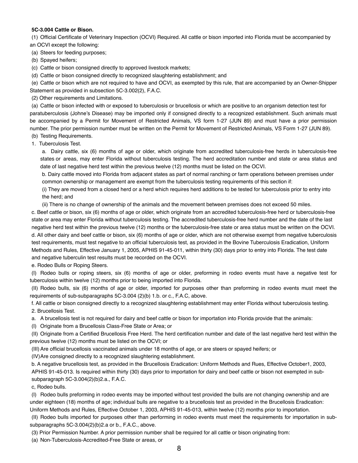#### **5C-3.004 Cattle or Bison.**

(1) Official Certificate of Veterinary Inspection (OCVI) Required. All cattle or bison imported into Florida must be accompanied by an OCVI except the following:

(a) Steers for feeding purposes;

(b) Spayed heifers;

(c) Cattle or bison consigned directly to approved livestock markets;

(d) Cattle or bison consigned directly to recognized slaughtering establishment; and

(e) Cattle or bison which are not required to have and OCVI, as exempted by this rule, that are accompanied by an Owner-Shipper Statement as provided in subsection 5C-3.002(2), F.A.C.

(2) Other requirements and Limitations.

(a) Cattle or bison infected with or exposed to tuberculosis or brucellosis or which are positive to an organism detection test for paratuberculosis (Johne's Disease) may be imported only if consigned directly to a recognized establishment. Such animals must be accompanied by a Permit for Movement of Restricted Animals, VS form 1-27 (JUN 89) and must have a prior permission number. The prior permission number must be written on the Permit for Movement of Restricted Animals, VS Form 1-27 (JUN 89).

(b) Testing Requirements.

1. Tuberculosis Test.

a. Dairy cattle, six (6) months of age or older, which originate from accredited tuberculosis-free herds in tuberculosis-free states or areas, may enter Florida without tuberculosis testing. The herd accreditation number and state or area status and date of last negative herd test within the previous twelve (12) months must be listed on the OCVI.

b. Dairy cattle moved into Florida from adjacent states as part of normal ranching or farm operations between premises under common ownership or management are exempt from the tuberculosis testing requirements of this section if:

(i) They are moved from a closed herd or a herd which requires herd additions to be tested for tuberculosis prior to entry into the herd; and

(ii) There is no change of ownership of the animals and the movement between premises does not exceed 50 miles.

c. Beef cattle or bison, six (6) months of age or older, which originate from an accredited tuberculosis-free herd or tuberculosis-free state or area may enter Florida without tuberculosis testing. The accredited tuberculosis-free herd number and the date of the last negative herd test within the previous twelve (12) months or the tuberculosis-free state or area status must be written on the OCVI. d. All other dairy and beef cattle or bison, six (6) months of age or older, which are not otherwise exempt from negative tuberculosis test requirements, must test negative to an official tuberculosis test, as provided in the Bovine Tuberculosis Eradication, Uniform Methods and Rules, Effective January 1, 2005, APHIS 91-45-011, within thirty (30) days prior to entry into Florida. The test date and negative tuberculin test results must be recorded on the OCVI.

e. Rodeo Bulls or Roping Steers.

(I) Rodeo bulls or roping steers, six (6) months of age or older, preforming in rodeo events must have a negative test for tuberculosis within twelve (12) months prior to being imported into Florida.

(II) Rodeo bulls, six (6) months of age or older, imported for purposes other than preforming in rodeo events must meet the requirements of sub-subparagraphs 5C-3.004 (2)(b) 1.b. or c., F.A.C, above.

f. All cattle or bison consigned directly to a recognized slaughtering establishment may enter Florida without tuberculosis testing. 2. Brucellosis Test.

a. A brucellosis test is not required for dairy and beef cattle or bison for importation into Florida provide that the animals:

(I) Originate from a Brucellosis Class-Free State or Area; or

(II) Originate from a Certified Brucellosis Free Herd. The herd certification number and date of the last negative herd test within the previous twelve (12) months must be listed on the OCVI; or

(III) Are official brucellosis vaccinated animals under 18 months of age, or are steers or spayed heifers; or

(IV)Are consigned directly to a recognized slaughtering establishment.

b. A negative brucellosis test, as provided in the Brucellosis Eradication: Uniform Methods and Rues, Effective October1, 2003, APHIS 91-45-013. Is required within thirty (30) days prior to importation for dairy and beef cattle or bison not exempted in subsubparagraph 5C-3.004(2)(b)2.a., F.A.C.

c, Rodeo bulls.

(I) Rodeo bulls preforming in rodeo events may be imported without test provided the bulls are not changing ownership and are under eighteen (18) months of age; individual bulls are negative to a brucellosis test as provided in the Brucellosis Eradication: Uniform Methods and Rules, Effective October 1, 2003, APHIS 91-45-013, within twelve (12) months prior to importation.

(II) Rodeo bulls imported for purposes other than performing in rodeo events must meet the requirements for importation in subsubparagraphs 5C-3.004(2)(b)2.a or b., F.A.C., above.

(3) Prior Permission Number. A prior permission number shall be required for all cattle or bison originating from:

(a) Non-Tuberculosis-Accredited-Free State or areas, or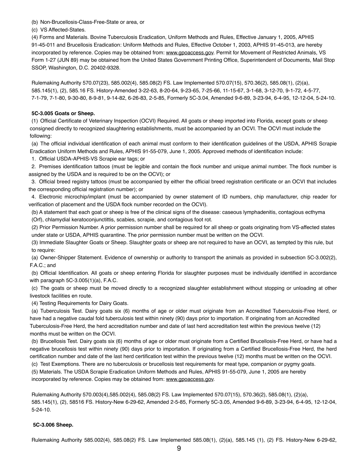(b) Non-Brucellosis-Class-Free-State or area, or

(c) VS Affected-States.

(4) Forms and Materials. Bovine Tuberculosis Eradication, Uniform Methods and Rules, Effective January 1, 2005, APHIS 91-45-011 and Brucellosis Eradication: Uniform Methods and Rules, Effective October 1, 2003, APHIS 91-45-013, are hereby incorporated by reference. Copies may be obtained from: [www.gpoaccess.gov](http://www.gpoaccess.gov). Permit for Movement of Restricted Animals, VS Form 1-27 (JUN 89) may be obtained from the United States Government Printing Office, Superintendent of Documents, Mail Stop SSOP, Washington, D.C. 20402-9328.

Rulemaking Authority 570.07(23), 585.002(4), 585.08(2) FS. Law Implemented 570.07(15), 570.36(2), 585.08(1), (2)(a), 585.145(1), (2), 585.16 FS. History-Amended 3-22-63, 8-20-64, 9-23-65, 7-25-66, 11-15-67, 3-1-68, 3-12-70, 9-1-72, 4-5-77, 7-1-79, 7-1-80, 9-30-80, 8-9-81, 9-14-82, 6-26-83, 2-5-85, Formerly 5C-3.04, Amended 9-6-89, 3-23-94, 6-4-95, 12-12-04, 5-24-10.

#### **5C-3.005 Goats or Sheep.**

(1) Official Certificate of Veterinary Inspection (OCVI) Required. All goats or sheep imported into Florida, except goats or sheep consigned directly to recognized slaughtering establishments, must be accompanied by an OCVI. The OCVI must include the following:

(a) The official individual identification of each animal must conform to their identification guidelines of the USDA, APHIS Scrapie Eradication Uniform Methods and Rules, APHIS 91-55-079, June 1, 2005. Approved methods of identification include:

1. Official USDA-APHIS-VS Scrapie ear tags; or

2. Premises identification tattoos (must be legible and contain the flock number and unique animal number. The flock number is assigned by the USDA and is required to be on the OCVI); or

3. Official breed registry tattoos (must be accompanied by either the official breed registration certificate or an OCVI that includes the corresponding official registration number); or

4. Electronic microchip/implant (must be accompanied by owner statement of ID numbers, chip manufacturer, chip reader for verification of placement and the USDA flock number recorded on the OCVI).

(b) A statement that each goat or sheep is free of the clinical signs of the disease: caseous lymphadenitis, contagious ecthyma (Orf), chlamydial keratoconjunctittis, scabies, scrapie, and contagious foot rot.

(2) Prior Permission Number. A prior permission number shall be required for all sheep or goats originating from VS-affected states under state or USDA, APHIS quarantine. The prior permission number must be written on the OCVI.

(3) Immediate Slaughter Goats or Sheep. Slaughter goats or sheep are not required to have an OCVI, as tempted by this rule, but to require:

(a) Owner-Shipper Statement. Evidence of ownership or authority to transport the animals as provided in subsection 5C-3.002(2), F.A.C.; and

(b) Official Identification. All goats or sheep entering Florida for slaughter purposes must be individually identified in accordance with paragraph 5C-3.005(1)(a), F.A.C.

(c) The goats or sheep must be moved directly to a recognized slaughter establishment without stopping or unloading at other livestock facilities en route.

(4) Testing Requirements for Dairy Goats.

(a) Tuberculosis Test. Dairy goats six (6) months of age or older must originate from an Accredited Tuberculosis-Free Herd, or have had a negative caudal fold tuberculosis test within ninety (90) days prior to importation. If originating from an Accredited Tuberculosis-Free Herd, the herd accreditation number and date of last herd accreditation test within the previous twelve (12) months must be written on the OCVI.

(b) Brucellosis Test. Dairy goats six (6) months of age or older must originate from a Certified Brucellosis-Free Herd, or have had a negative brucellosis test within ninety (90) days prior to importation. If originating from a Certified Brucellosis-Free Herd, the herd certification number and date of the last herd certification test within the previous twelve (12) months must be written on the OCVI.

(c) Test Exemptions. There are no tuberculosis or brucellosis test requirements for meat type, companion or pygmy goats.

(5) Materials. The USDA Scrapie Eradication Uniform Methods and Rules, APHIS 91-55-079, June 1, 2005 are hereby incorporated by reference. Copies may be obtained from: [www.gpoaccess.gov](http://www.gpoaccess.gov).

Rulemaking Authority 570.003(4),585.002(4), 585.08(2) FS. Law Implemented 570.07(15), 570.36(2), 585.08(1), (2)(a), 585.145(1), (2), 58516 FS. History-New 6-29-62, Amended 2-5-85, Formerly 5C-3.05, Amended 9-6-89, 3-23-94, 6-4-95, 12-12-04, 5-24-10.

#### **5C-3.006 Sheep.**

Rulemaking Authority 585.002(4), 585.08(2) FS. Law Implemented 585.08(1), (2)(a), 585.145 (1), (2) FS. History-New 6-29-62,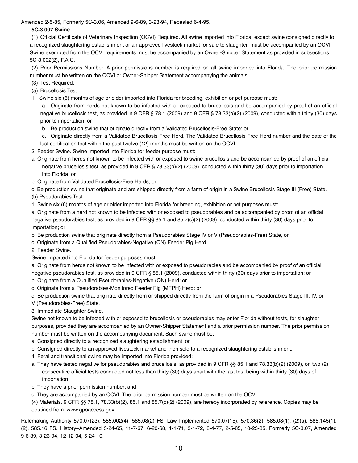Amended 2-5-85, Formerly 5C-3.06, Amended 9-6-89, 3-23-94, Repealed 6-4-95.

#### **5C-3.007 Swine.**

(1) Official Certificate of Veterinary Inspection (OCVI) Required. All swine imported into Florida, except swine consigned directly to a recognized slaughtering establishment or an approved livestock market for sale to slaughter, must be accompanied by an OCVI. Swine exempted from the OCVI requirements must be accompanied by an Owner-Shipper Statement as provided in subsections 5C-3.002(2), F.A.C.

(2) Prior Permissions Number. A prior permissions number is required on all swine imported into Florida. The prior permission number must be written on the OCVI or Owner-Shipper Statement accompanying the animals.

- (3) Test Required.
- (a) Brucellosis Test.
- 1. Swine six (6) months of age or older imported into Florida for breeding, exhibition or pet purpose must:

a. Originate from herds not known to be infected with or exposed to brucellosis and be accompanied by proof of an official negative brucellosis test, as provided in 9 CFR § 78.1 (2009) and 9 CFR § 78.33(b)(2) (2009), conducted within thirty (30) days prior to importation; or

- b. Be production swine that originate directly from a Validated Brucellosis-Free State; or
- c. Originate directly from a Validated Brucellosis-Free Herd. The Validated Brucellosis-Free Herd number and the date of the
- last certification test within the past twelve (12) months must be written on the OCVI.
- 2. Feeder Swine. Swine imported into Florida for feeder purpose must:
- a. Originate from herds not known to be infected with or exposed to swine brucellosis and be accompanied by proof of an official negative brucellosis test, as provided in 9 CFR § 78.33(b)(2) (2009), conducted within thirty (30) days prior to importation into Florida; or
- b. Originate from Validated Brucellosis-Free Herds; or

c. Be production swine that originate and are shipped directly from a farm of origin in a Swine Brucellosis Stage III (Free) State. (b) Pseudorabies Test.

1. Swine six (6) months of age or older imported into Florida for breeding, exhibition or pet purposes must:

a. Originate from a herd not known to be infected with or exposed to pseudorabies and be accompanied by proof of an official negative pseudorabies test, as provided in 9 CFR §§ 85.1 and 85.7(c)(2) (2009), conducted within thirty (30) days prior to importation; or

- b. Be production swine that originate directly from a Pseudorabies Stage IV or V (Pseudorabies-Free) State, or
- c. Originate from a Qualified Pseudorabies-Negative (QN) Feeder Pig Herd.
- 2. Feeder Swine.
- Swine imported into Florida for feeder purposes must:

a. Originate from herds not known to be infected with or exposed to pseudorabies and be accompanied by proof of an official negative pseudorabies test, as provided in 9 CFR § 85.1 (2009), conducted within thirty (30) days prior to importation; or

- b. Originate from a Qualified Pseudorabies-Negative (QN) Herd; or
- c. Originate from a Pseudorabies-Monitored Feeder Pig (MFPH) Herd; or
- d. Be production swine that originate directly from or shipped directly from the farm of origin in a Pseudorabies Stage III, IV, or
- V (Pseudorabies-Free) State.
- 3. Immediate Slaughter Swine.

Swine not known to be infected with or exposed to brucellosis or pseudorabies may enter Florida without tests, for slaughter purposes, provided they are accompanied by an Owner-Shipper Statement and a prior permission number. The prior permission number must be written on the accompanying document. Such swine must be:

- a. Consigned directly to a recognized slaughtering establishment; or
- b. Consigned directly to an approved livestock market and then sold to a recognized slaughtering establishment.
- 4. Feral and transitional swine may be imported into Florida provided:
- a. They have tested negative for pseudorabies and brucellosis, as provided in 9 CFR §§ 85.1 and 78.33(b)(2) (2009), on two (2) consecutive official tests conducted not less than thirty (30) days apart with the last test being within thirty (30) days of importation;
- b. They have a prior permission number; and
- c. They are accompanied by an OCVI. The prior permission number must be written on the OCVI.
- (4) Materials. 9 CFR §§ 78.1, 78.33(b)(2), 85.1 and 85.7(c)(2) (2009), are hereby incorporated by reference. Copies may be obtained from: www.gpoaccess.gov.

Rulemaking Authority 570.07(23), 585.002(4), 585.08(2) FS. Law Implemented 570.07(15), 570.36(2), 585.08(1), (2)(a), 585.145(1), (2), 585.16 FS. History–Amended 3-24-65, 11-7-67, 6-20-68, 1-1-71, 3-1-72, 8-4-77, 2-5-85, 10-23-85, Formerly 5C-3.07, Amended 9-6-89, 3-23-94, 12-12-04, 5-24-10.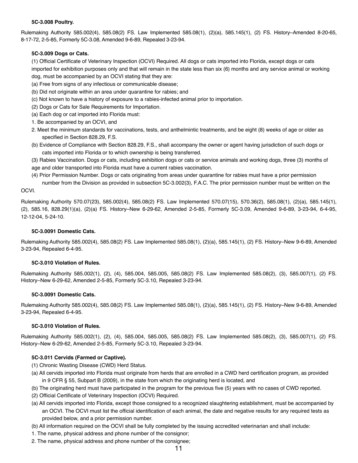#### **5C-3.008 Poultry.**

Rulemaking Authority 585.002(4), 585.08(2) FS. Law Implemented 585.08(1), (2)(a), 585.145(1), (2) FS. History–Amended 8-20-65, 8-17-72, 2-5-85, Formerly 5C-3.08, Amended 9-6-89, Repealed 3-23-94.

#### **5C-3.009 Dogs or Cats.**

(1) Official Certificate of Veterinary Inspection (OCVI) Required. All dogs or cats imported into Florida, except dogs or cats imported for exhibition purposes only and that will remain in the state less than six (6) months and any service animal or working dog, must be accompanied by an OCVI stating that they are:

- (a) Free from signs of any infectious or communicable disease;
- (b) Did not originate within an area under quarantine for rabies; and
- (c) Not known to have a history of exposure to a rabies-infected animal prior to importation.
- (2) Dogs or Cats for Sale Requirements for Importation.
- (a) Each dog or cat imported into Florida must:
- 1. Be accompanied by an OCVI, and
- 2. Meet the minimum standards for vaccinations, tests, and anthelmintic treatments, and be eight (8) weeks of age or older as specified in Section 828.29, F.S.
- (b) Evidence of Compliance with Section 828.29, F.S., shall accompany the owner or agent having jurisdiction of such dogs or cats imported into Florida or to which ownership is being transferred.

(3) Rabies Vaccination. Dogs or cats, including exhibition dogs or cats or service animals and working dogs, three (3) months of age and older transported into Florida must have a current rabies vaccination.

(4) Prior Permission Number. Dogs or cats originating from areas under quarantine for rabies must have a prior permission number from the Division as provided in subsection 5C-3.002(3), F.A.C. The prior permission number must be written on the

#### OCVI.

Rulemaking Authority 570.07(23), 585.002(4), 585.08(2) FS. Law Implemented 570.07(15), 570.36(2), 585.08(1), (2)(a), 585.145(1), (2), 585.16, 828.29(1)(a), (2)(a) FS. History–New 6-29-62, Amended 2-5-85, Formerly 5C-3.09, Amended 9-6-89, 3-23-94, 6-4-95, 12-12-04, 5-24-10.

#### **5C-3.0091 Domestic Cats.**

Rulemaking Authority 585.002(4), 585.08(2) FS. Law Implemented 585.08(1), (2)(a), 585.145(1), (2) FS. History–New 9-6-89, Amended 3-23-94, Repealed 6-4-95*.*

#### **5C-3.010 Violation of Rules.**

Rulemaking Authority 585.002(1), (2), (4), 585.004, 585.005, 585.08(2) FS. Law Implemented 585.08(2), (3), 585.007(1), (2) FS. History–New 6-29-62, Amended 2-5-85, Formerly 5C-3.10, Repealed 3-23-94.

#### **5C-3.0091 Domestic Cats.**

Rulemaking Authority 585.002(4), 585.08(2) FS. Law Implemented 585.08(1), (2)(a), 585.145(1), (2) FS. History–New 9-6-89, Amended 3-23-94, Repealed 6-4-95.

#### **5C-3.010 Violation of Rules.**

Rulemaking Authority 585.002(1), (2), (4), 585.004, 585.005, 585.08(2) FS. Law Implemented 585.08(2), (3), 585.007(1), (2) FS. History–New 6-29-62, Amended 2-5-85, Formerly 5C-3.10, Repealed 3-23-94.

#### **5C-3.011 Cervids (Farmed or Captive).**

- (1) Chronic Wasting Disease (CWD) Herd Status.
- (a) All cervids imported into Florida must originate from herds that are enrolled in a CWD herd certification program, as provided in 9 CFR § 55, Subpart B (2009), in the state from which the originating herd is located, and
- (b) The originating herd must have participated in the program for the previous five (5) years with no cases of CWD reported.
- (2) Official Certificate of Veterinary Inspection (OCVI) Required.
- (a) All cervids imported into Florida, except those consigned to a recognized slaughtering establishment, must be accompanied by an OCVI. The OCVI must list the official identification of each animal, the date and negative results for any required tests as provided below, and a prior permission number.
- (b) All information required on the OCVI shall be fully completed by the issuing accredited veterinarian and shall include:
- 1. The name, physical address and phone number of the consignor;
- 2. The name, physical address and phone number of the consignee;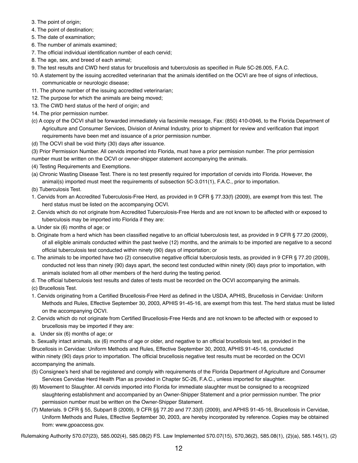- 3. The point of origin;
- 4. The point of destination;
- 5. The date of examination;
- 6. The number of animals examined;
- 7. The official individual identification number of each cervid;
- 8. The age, sex, and breed of each animal;
- 9. The test results and CWD herd status for brucellosis and tuberculosis as specified in Rule 5C-26.005, F.A.C.
- 10. A statement by the issuing accredited veterinarian that the animals identified on the OCVI are free of signs of infectious, communicable or neurologic disease;
- 11. The phone number of the issuing accredited veterinarian;
- 12. The purpose for which the animals are being moved;
- 13. The CWD herd status of the herd of origin; and
- 14. The prior permission number.
- (c) A copy of the OCVI shall be forwarded immediately via facsimile message, Fax: (850) 410-0946, to the Florida Department of Agriculture and Consumer Services, Division of Animal Industry, prior to shipment for review and verification that import requirements have been met and issuance of a prior permission number.
- (d) The OCVI shall be void thirty (30) days after issuance.
- (3) Prior Permission Number. All cervids imported into Florida, must have a prior permission number. The prior permission number must be written on the OCVI or owner-shipper statement accompanying the animals.
- (4) Testing Requirements and Exemptions.
- (a) Chronic Wasting Disease Test. There is no test presently required for importation of cervids into Florida. However, the animal(s) imported must meet the requirements of subsection 5C-3.011(1), F.A.C., prior to importation.
- (b) Tuberculosis Test.
- 1. Cervids from an Accredited Tuberculosis-Free Herd, as provided in 9 CFR § 77.33(f) (2009), are exempt from this test. The herd status must be listed on the accompanying OCVI.
- 2. Cervids which do not originate from Accredited Tuberculosis-Free Herds and are not known to be affected with or exposed to tuberculosis may be imported into Florida if they are:
- a. Under six (6) months of age; or
- b. Originate from a herd which has been classified negative to an official tuberculosis test, as provided in 9 CFR § 77.20 (2009), of all eligible animals conducted within the past twelve (12) months, and the animals to be imported are negative to a second official tuberculosis test conducted within ninety (90) days of importation; or
- c. The animals to be imported have two (2) consecutive negative official tuberculosis tests, as provided in 9 CFR § 77.20 (2009), conducted not less than ninety (90) days apart, the second test conducted within ninety (90) days prior to importation, with animals isolated from all other members of the herd during the testing period.
- d. The official tuberculosis test results and dates of tests must be recorded on the OCVI accompanying the animals.
- (c) Brucellosis Test.
- 1. Cervids originating from a Certified Brucellosis-Free Herd as defined in the USDA, APHIS, Brucellosis in Cervidae: Uniform Methods and Rules, Effective September 30, 2003, APHIS 91-45-16, are exempt from this test. The herd status must be listed on the accompanying OCVI.
- 2. Cervids which do not originate from Certified Brucellosis-Free Herds and are not known to be affected with or exposed to brucellosis may be imported if they are:
- a. Under six (6) months of age; or

b. Sexually intact animals, six (6) months of age or older, and negative to an official brucellosis test, as provided in the Brucellosis in Cervidae: Uniform Methods and Rules, Effective September 30, 2003, APHIS 91-45-16, conducted within ninety (90) days prior to importation. The official brucellosis negative test results must be recorded on the OCVI accompanying the animals.

- (5) Consignee's herd shall be registered and comply with requirements of the Florida Department of Agriculture and Consumer Services Cervidae Herd Health Plan as provided in Chapter 5C-26, F.A.C., unless imported for slaughter.
- (6) Movement to Slaughter. All cervids imported into Florida for immediate slaughter must be consigned to a recognized slaughtering establishment and accompanied by an Owner-Shipper Statement and a prior permission number. The prior permission number must be written on the Owner-Shipper Statement.
- (7) Materials. 9 CFR § 55, Subpart B (2009), 9 CFR §§ 77.20 and 77.33(f) (2009), and APHIS 91-45-16, Brucellosis in Cervidae, Uniform Methods and Rules, Effective September 30, 2003, are hereby incorporated by reference. Copies may be obtained from: www.gpoaccess.gov.

Rulemaking Authority 570.07(23), 585.002(4), 585.08(2) FS. Law Implemented 570.07(15), 570,36(2), 585.08(1), (2)(a), 585.145(1), (2)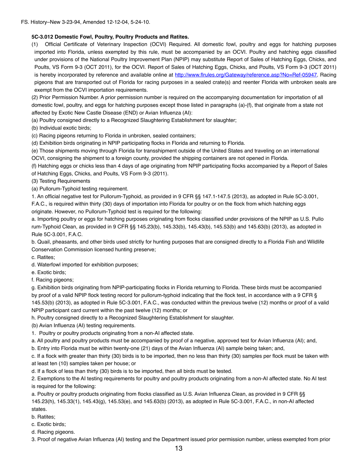#### **5C-3.012 Domestic Fowl, Poultry, Poultry Products and Ratites.**

(1) Official Certificate of Veterinary Inspection (OCVI) Required. All domestic fowl, poultry and eggs for hatching purposes imported into Florida, unless exempted by this rule, must be accompanied by an OCVI. Poultry and hatching eggs classified under provisions of the National Poultry Improvement Plan (NPIP) may substitute Report of Sales of Hatching Eggs, Chicks, and Poults, VS Form 9-3 (OCT 2011), for the OCVI. Report of Sales of Hatching Eggs, Chicks, and Poults, VS Form 9-3 (OCT 2011) is hereby incorporated by reference and available online at [http://www.flrules.org/Gateway/reference.asp?No=Ref-05947.](http://www.flrules.org/Gateway/reference.asp?No=Ref-05947) Racing pigeons that are transported out of Florida for racing purposes in a sealed crate(s) and reenter Florida with unbroken seals are exempt from the OCVI importation requirements.

(2) Prior Permission Number. A prior permission number is required on the accompanying documentation for importation of all domestic fowl, poultry, and eggs for hatching purposes except those listed in paragraphs (a)-(f), that originate from a state not affected by Exotic New Castle Disease (END) or Avian Influenza (AI):

(a) Poultry consigned directly to a Recognized Slaughtering Establishment for slaughter;

(b) Individual exotic birds;

(c) Racing pigeons returning to Florida in unbroken, sealed containers;

(d) Exhibition birds originating in NPIP participating flocks in Florida and returning to Florida.

(e) Those shipments moving through Florida for transshipment outside of the United States and traveling on an international OCVI, consigning the shipment to a foreign county, provided the shipping containers are not opened in Florida.

(f) Hatching eggs or chicks less than 4 days of age originating from NPIP participating flocks accompanied by a Report of Sales of Hatching Eggs, Chicks, and Poults, VS Form 9-3 (2011).

(3) Testing Requirements

(a) Pullorum-Typhoid testing requirement.

1. An official negative test for Pullorum-Typhoid, as provided in 9 CFR §§ 147.1-147.5 (2013), as adopted in Rule 5C-3.001,

F.A.C., is required within thirty (30) days of importation into Florida for poultry or on the flock from which hatching eggs originate. However, no Pullorum-Typhoid test is required for the following:

a. Importing poultry or eggs for hatching purposes originating from flocks classified under provisions of the NPIP as U.S. Pullo rum-Typhoid Clean, as provided in 9 CFR §§ 145.23(b), 145.33(b), 145.43(b), 145.53(b) and 145.63(b) (2013), as adopted in Rule 5C-3.001, F.A.C.

b. Quail, pheasants, and other birds used strictly for hunting purposes that are consigned directly to a Florida Fish and Wildlife Conservation Commission licensed hunting preserve;

c. Ratites;

d. Waterfowl imported for exhibition purposes;

e. Exotic birds;

f. Racing pigeons;

g. Exhibition birds originating from NPIP-participating flocks in Florida returning to Florida. These birds must be accompanied by proof of a valid NPIP flock testing record for pullorum-typhoid indicating that the flock test, in accordance with a 9 CFR § 145.53(b) (2013), as adopted in Rule 5C-3.001, F.A.C., was conducted within the previous twelve (12) months or proof of a valid NPIP participant card current within the past twelve (12) months; or

h. Poultry consigned directly to a Recognized Slaughtering Establishment for slaughter.

(b) Avian Influenza (AI) testing requirements.

1. Poultry or poultry products originating from a non-AI affected state.

a. All poultry and poultry products must be accompanied by proof of a negative, approved test for Avian Influenza (AI); and,

b. Entry into Florida must be within twenty-one (21) days of the Avian Influenza (AI) sample being taken; and,

c. If a flock with greater than thirty (30) birds is to be imported, then no less than thirty (30) samples per flock must be taken with at least ten (10) samples taken per house; or

d. If a flock of less than thirty (30) birds is to be imported, then all birds must be tested.

2. Exemptions to the AI testing requirements for poultry and poultry products originating from a non-AI affected state. No AI test is required for the following:

a. Poultry or poultry products originating from flocks classified as U.S. Avian Influenza Clean, as provided in 9 CFR §§ 145.23(h), 145.33(1), 145.43(g), 145.53(e), and 145.63(b) (2013), as adopted in Rule 5C-3.001, F.A.C., in non-AI affected states.

#### b. Ratites;

- c. Exotic birds;
- d. Racing pigeons.

3. Proof of negative Avian Influenza (AI) testing and the Department issued prior permission number, unless exempted from prior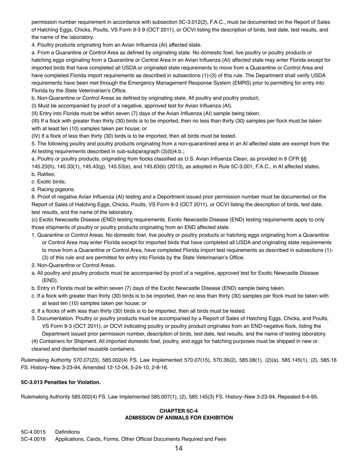permission number requirement in accordance with subsection 5C-3.012(2), F.A.C., must be documented on the Report of Sales of Hatching Eggs, Chicks, Poults, VS Form 9-3 9 (OCT 2011), or OCVI listing the description of birds, test date, test results, and the name of the laboratory.

4. Poultry products originating from an Avian Influenza (AI) affected state.

a. From a Quarantine or Control Area as defined by originating state. No domestic fowl, live poultry or poultry products or hatching eggs originating from a Quarantine or Central Area in an Avian Influenza (AI) affected state may enter Florida except for imported birds that have completed all USDA or originated state requirements to move from a Quarantine or Control Area and have completed Florida import requirements as described in subsections (1)-(3) of this rule. The Department shall verify USDA requirements have been met through the Emergency Management Response System (EMRS) prior to permitting for entry into Florida by the State Veterinarian's Office.

b. Non-Quarantine or Control Areas as defined by originating state. All poultry and poultry product;

(I) Must be accompanied by proof of a negative, approved test for Avian Influenza (AI).

(II) Entry into Florida must be within seven (7) days of the Avian Influenza (AI) sample being taken.

(III) If a flock with greater than thirty (30) birds is to be imported, then no less than thirty (30) samples per flock must be taken with at least ten (10) samples taken per house; or

(IV) If a flock of less than thirty (30) birds is to be imported, then all birds must be tested.

5. The following poultry and poultry products originating from a non-quarantined area in an AI affected state are exempt from the AI testing requirements described in sub-subparagraph (3)(b)4.b.;

a. Poultry or poultry products, originating from flocks classified as U.S. Avian Influenza Clean, as provided in 9 CFR §§ 145.23(h), 145.33(1), 145.43(g), 145.53(e), and 145.63(b) (2013), as adopted in Rule 5C-3.001, F.A.C., in AI affected states. b. Ratites;

- c. Exotic birds;
- d. Racing pigeons.

6. Proof of negative Avian Influenza (AI) testing and a Deportment issued prior permission number must be documented on the Report of Sales of Hatching Eggs, Chicks, Poults, VS Form 9-3 (OCT 2011), or OCVI listing the description of birds, test date, test results, and the name of the laboratory.

(c) Exotic Newcastle Disease (END) testing requirements. Exotic Newcastle Disease (END) testing requirements apply to only those shipments of poultry or poultry products originating from an END affected state.

- 1. Quarantine or Control Areas. No domestic fowl, live poultry or poultry products or hatching eggs originating from a Quarantine or Control Area may enter Florida except for imported birds that have completed all USDA and originating state requirements to move from a Quarantine or Control Area, have completed Florida import test requirements as described in subsections (1)- (3) of this rule and are permitted for entry into Florida by the State Veterinarian's Office.
- 2. Non-Quarantine or Control Areas.
- a. All poultry and poultry products must be accompanied by proof of a negative, approved test for Exotic Newcastle Disease (END).
- b. Entry in Florida must be within seven (7) days of the Exotic Newcastle Disease (END) sample being taken.
- c. If a flock with greater than thirty (30) birds is to be imported, then no less than thirty (30) samples per flock must be taken with at least ten (10) samples taken per house; or
- d. If a flocks of with less than thirty (30) birds is to be imported, then all birds must be tested.
- 3. Documentation. Poultry or poultry products must be accompanied by a Report of Sales of Hatching Eggs, Chicks, and Poults, VS Form 9-3 (OCT 2011), or OCVI indicating poultry or poultry product originates from an END-negative flock, listing the Department issued prior permission number, description of birds, test date, test results, and the name of testing laboratory.
- (4) Containers for Shipment. All imported domestic fowl, poultry, and eggs for hatching purposes must be shipped in new or cleaned and disinfected reusable containers.

Rulemaking Authority 570.07(23), 585.002(4) FS. Law Implemented 570.07(15), 570.36(2), 585.08(1), (2)(a), 585.145(1), (2), 585.16 FS. History–New 3-23-94, Amended 12-12-04, 5-24-10, 2-8-16.

#### **5C-3.013 Penalties for Violation.**

Rulemaking Authority 585.002(4) FS. Law Implemented 585.007(1), (2), 585.145(3) FS. History–New 3-23-94, Repealed 6-4-95.

#### **CHAPTER 5C-4 ADMISSION OF ANIMALS FOR EXHIBITION**

5C-4.0015 Definitions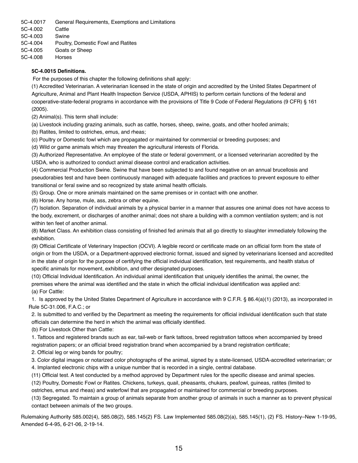5C-4.0017 General Requirements, Exemptions and Limitations 5C-4.002 Cattle 5C-4.003 Swine 5C-4.004 Poultry, Domestic Fowl and Ratites 5C-4.005 Goats or Sheep 5C-4.008 Horses

#### **5C-4.0015 Definitions.**

For the purposes of this chapter the following definitions shall apply:

(1) Accredited Veterinarian. A veterinarian licensed in the state of origin and accredited by the United States Department of Agriculture, Animal and Plant Health Inspection Service (USDA, APHIS) to perform certain functions of the federal and cooperative-state-federal programs in accordance with the provisions of Title 9 Code of Federal Regulations (9 CFR) § 161 (2005).

(2) Animal(s). This term shall include:

(a) Livestock including grazing animals, such as cattle, horses, sheep, swine, goats, and other hoofed animals;

(b) Ratites, limited to ostriches, emus, and rheas;

(c) Poultry or Domestic fowl which are propagated or maintained for commercial or breeding purposes; and

(d) Wild or game animals which may threaten the agricultural interests of Florida.

(3) Authorized Representative. An employee of the state or federal government, or a licensed veterinarian accredited by the USDA, who is authorized to conduct animal disease control and eradication activities.

(4) Commercial Production Swine. Swine that have been subjected to and found negative on an annual brucellosis and pseudorabies test and have been continuously managed with adequate facilities and practices to prevent exposure to either transitional or feral swine and so recognized by state animal health officials.

(5) Group. One or more animals maintained on the same premises or in contact with one another.

(6) Horse. Any horse, mule, ass, zebra or other equine.

(7) Isolation. Separation of individual animals by a physical barrier in a manner that assures one animal does not have access to the body, excrement, or discharges of another animal; does not share a building with a common ventilation system; and is not within ten feet of another animal.

(8) Market Class. An exhibition class consisting of finished fed animals that all go directly to slaughter immediately following the exhibition.

(9) Official Certificate of Veterinary Inspection (OCVI). A legible record or certificate made on an official form from the state of origin or from the USDA, or a Department-approved electronic format, issued and signed by veterinarians licensed and accredited in the state of origin for the purpose of certifying the official individual identification, test requirements, and health status of specific animals for movement, exhibition, and other designated purposes.

(10) Official Individual Identification. An individual animal identification that uniquely identifies the animal, the owner, the premises where the animal was identified and the state in which the official individual identification was applied and: (a) For Cattle:

1. Is approved by the United States Department of Agriculture in accordance with 9 C.F.R. § 86.4(a)(1) (2013), as incorporated in Rule 5C-31.006, F.A.C.; or

2. Is submitted to and verified by the Department as meeting the requirements for official individual identification such that state officials can determine the herd in which the animal was officially identified.

(b) For Livestock Other than Cattle:

1. Tattoos and registered brands such as ear, tail-web or flank tattoos, breed registration tattoos when accompanied by breed registration papers; or an official breed registration brand when accompanied by a brand registration certificate;

2. Official leg or wing bands for poultry;

3. Color digital images or notarized color photographs of the animal, signed by a state-licensed, USDA-accredited veterinarian; or 4. Implanted electronic chips with a unique number that is recorded in a single, central database.

(11) Official test. A test conducted by a method approved by Department rules for the specific disease and animal species.

(12) Poultry, Domestic Fowl or Ratites. Chickens, turkeys, quail, pheasants, chukars, peafowl, guineas, ratites (limited to

ostriches, emus and rheas) and waterfowl that are propagated or maintained for commercial or breeding purposes.

(13) Segregated. To maintain a group of animals separate from another group of animals in such a manner as to prevent physical contact between animals of the two groups.

Rulemaking Authority 585.002(4), 585.08(2), 585.145(2) FS. Law Implemented 585.08(2)(a), 585.145(1), (2) FS. History–New 1-19-95, Amended 6-4-95, 6-21-06, 2-19-14.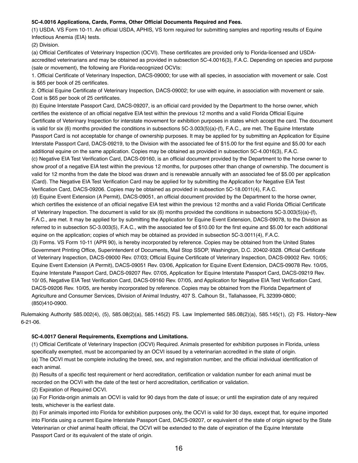#### **5C-4.0016 Applications, Cards, Forms, Other Official Documents Required and Fees.**

(1) USDA. VS Form 10-11. An official USDA, APHIS, VS form required for submitting samples and reporting results of Equine Infectious Anemia (EIA) tests.

(2) Division.

(a) Official Certificates of Veterinary Inspection (OCVI). These certificates are provided only to Florida-licensed and USDAaccredited veterinarians and may be obtained as provided in subsection 5C-4.0016(3), F.A.C. Depending on species and purpose (sale or movement), the following are Florida-recognized OCVIs:

1. Official Certificate of Veterinary Inspection, DACS-09000; for use with all species, in association with movement or sale. Cost is \$65 per book of 25 certificates.

2. Official Equine Certificate of Veterinary Inspection, DACS-09002; for use with equine, in association with movement or sale. Cost is \$65 per book of 25 certificates.

(b) Equine Interstate Passport Card, DACS-09207, is an official card provided by the Department to the horse owner, which certifies the existence of an official negative EIA test within the previous 12 months and a valid Florida Official Equine Certificate of Veterinary Inspection for interstate movement for exhibition purposes in states which accept the card. The document is valid for six (6) months provided the conditions in subsections 5C-3.003(5)(a)-(f), F.A.C., are met. The Equine Interstate Passport Card is not acceptable for change of ownership purposes. It may be applied for by submitting an Application for Equine Interstate Passport Card, DACS-09219, to the Division with the associated fee of \$15.00 for the first equine and \$5.00 for each additional equine on the same application. Copies may be obtained as provided in subsection 5C-4.0016(3), F.A.C. (c) Negative EIA Test Verification Card, DACS-09160, is an official document provided by the Department to the horse owner to

show proof of a negative EIA test within the previous 12 months, for purposes other than change of ownership. The document is valid for 12 months from the date the blood was drawn and is renewable annually with an associated fee of \$5.00 per application (Card). The Negative EIA Test Verification Card may be applied for by submitting the Application for Negative EIA Test Verification Card, DACS-09206. Copies may be obtained as provided in subsection 5C-18.0011(4), F.A.C.

(d) Equine Event Extension (A Permit), DACS-09051, an official document provided by the Department to the horse owner, which certifies the existence of an official negative EIA test within the previous 12 months and a valid Florida Official Certificate of Veterinary Inspection. The document is valid for six (6) months provided the conditions in subsections 5C-3.003(5)(a)-(f), F.A.C., are met. It may be applied for by submitting the Application for Equine Event Extension, DACS-09078, to the Division as referred to in subsection 5C-3.003(5), F.A.C., with the associated fee of \$10.00 for the first equine and \$5.00 for each additional equine on the application; copies of which may be obtained as provided in subsection 5C-3.0011(4), F.A.C.

(3) Forms. VS Form 10-11 (APR 90), is hereby incorporated by reference. Copies may be obtained from the United States Government Printing Office, Superintendent of Documents, Mail Stop SSOP, Washington, D.C. 20402-9328. Official Certificate of Veterinary Inspection, DACS-09000 Rev. 07/03; Official Equine Certificate of Veterinary Inspection, DACS-09002 Rev. 10/05; Equine Event Extension (A Permit), DACS-09051 Rev. 03/06, Application for Equine Event Extension, DACS-09078 Rev. 10/05, Equine Interstate Passport Card, DACS-09207 Rev. 07/05, Application for Equine Interstate Passport Card, DACS-09219 Rev. 10/ 05, Negative EIA Test Verification Card, DACS-09160 Rev. 07/05, and Application for Negative EIA Test Verification Card, DACS-09206 Rev. 10/05, are hereby incorporated by reference. Copies may be obtained from the Florida Department of Agriculture and Consumer Services, Division of Animal Industry, 407 S. Calhoun St., Tallahassee, FL 32399-0800; (850)410-0900.

Rulemaking Authority 585.002(4), (5), 585.08(2)(a), 585.145(2) FS. Law Implemented 585.08(2)(a), 585.145(1), (2) FS. History–New 6-21-06.

#### **5C-4.0017 General Requirements, Exemptions and Limitations.**

(1) Official Certificate of Veterinary Inspection (OCVI) Required. Animals presented for exhibition purposes in Florida, unless specifically exempted, must be accompanied by an OCVI issued by a veterinarian accredited in the state of origin. (a) The OCVI must be complete including the breed, sex, and registration number, and the official individual identification of each animal.

(b) Results of a specific test requirement or herd accreditation, certification or validation number for each animal must be recorded on the OCVI with the date of the test or herd accreditation, certification or validation.

(2) Expiration of Required OCVI.

(a) For Florida-origin animals an OCVI is valid for 90 days from the date of issue; or until the expiration date of any required tests, whichever is the earliest date.

(b) For animals imported into Florida for exhibition purposes only, the OCVI is valid for 30 days, except that, for equine imported into Florida using a current Equine Interstate Passport Card, DACS-09207, or equivalent of the state of origin signed by the State Veterinarian or chief animal health official, the OCVI will be extended to the date of expiration of the Equine Interstate Passport Card or its equivalent of the state of origin.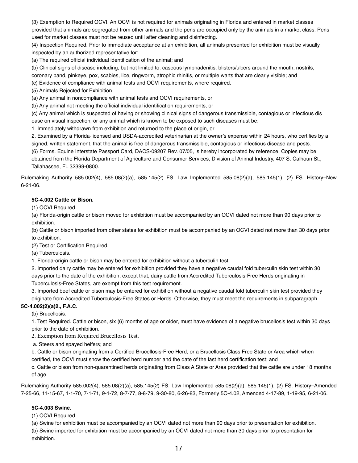(3) Exemption to Required OCVI. An OCVI is not required for animals originating in Florida and entered in market classes provided that animals are segregated from other animals and the pens are occupied only by the animals in a market class. Pens used for market classes must not be reused until after cleaning and disinfecting.

(4) Inspection Required. Prior to immediate acceptance at an exhibition, all animals presented for exhibition must be visually inspected by an authorized representative for:

(a) The required official individual identification of the animal; and

(b) Clinical signs of disease including, but not limited to: caseous lymphadenitis, blisters/ulcers around the mouth, nostrils,

coronary band, pinkeye, pox, scabies, lice, ringworm, atrophic rhinitis, or multiple warts that are clearly visible; and

(c) Evidence of compliance with animal tests and OCVI requirements, where required.

(5) Animals Rejected for Exhibition.

(a) Any animal in noncompliance with animal tests and OCVI requirements, or

(b) Any animal not meeting the official individual identification requirements, or

(c) Any animal which is suspected of having or showing clinical signs of dangerous transmissible, contagious or infectious dis ease on visual inspection, or any animal which is known to be exposed to such diseases must be:

1. Immediately withdrawn from exhibition and returned to the place of origin, or

2. Examined by a Florida-licensed and USDA-accredited veterinarian at the owner's expense within 24 hours, who certifies by a signed, written statement, that the animal is free of dangerous transmissible, contagious or infectious disease and pests.

(6) Forms. Equine Interstate Passport Card, DACS-09207 Rev. 07/05, is hereby incorporated by reference. Copies may be obtained from the Florida Department of Agriculture and Consumer Services, Division of Animal Industry, 407 S. Calhoun St., Tallahassee, FL 32399-0800.

Rulemaking Authority 585.002(4), 585.08(2)(a), 585.145(2) FS. Law Implemented 585.08(2)(a), 585.145(1), (2) FS. History–New 6-21-06.

#### **5C-4.002 Cattle or Bison.**

(1) OCVI Required.

(a) Florida-origin cattle or bison moved for exhibition must be accompanied by an OCVI dated not more than 90 days prior to exhibition.

(b) Cattle or bison imported from other states for exhibition must be accompanied by an OCVI dated not more than 30 days prior to exhibition.

(2) Test or Certification Required.

(a) Tuberculosis.

1. Florida-origin cattle or bison may be entered for exhibition without a tuberculin test.

2. Imported dairy cattle may be entered for exhibition provided they have a negative caudal fold tuberculin skin test within 30 days prior to the date of the exhibition; except that, dairy cattle from Accredited Tuberculosis-Free Herds originating in Tuberculosis-Free States, are exempt from this test requirement.

3. Imported beef cattle or bison may be entered for exhibition without a negative caudal fold tuberculin skin test provided they originate from Accredited Tuberculosis-Free States or Herds. Otherwise, they must meet the requirements in subparagraph

#### **5C-4.002(2)(a)2., F.A.C.**

(b) Brucellosis.

1. Test Required. Cattle or bison, six (6) months of age or older, must have evidence of a negative brucellosis test within 30 days prior to the date of exhibition.

2. Exemption from Required Brucellosis Test.

a. Steers and spayed heifers; and

b. Cattle or bison originating from a Certified Brucellosis-Free Herd, or a Brucellosis Class Free State or Area which when certified, the OCVI must show the certified herd number and the date of the last herd certification test; and

c. Cattle or bison from non-quarantined herds originating from Class A State or Area provided that the cattle are under 18 months of age.

Rulemaking Authority 585.002(4), 585.08(2)(a), 585.145(2) FS. Law Implemented 585.08(2)(a), 585.145(1), (2) FS. History–Amended 7-25-66, 11-15-67, 1-1-70, 7-1-71, 9-1-72, 8-7-77, 8-8-79, 9-30-80, 6-26-83, Formerly 5C-4.02, Amended 4-17-89, 1-19-95, 6-21-06.

#### **5C-4.003 Swine.**

(1) OCVI Required.

(a) Swine for exhibition must be accompanied by an OCVI dated not more than 90 days prior to presentation for exhibition.

(b) Swine imported for exhibition must be accompanied by an OCVI dated not more than 30 days prior to presentation for exhibition.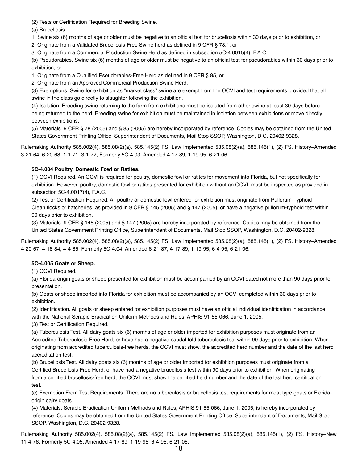(2) Tests or Certification Required for Breeding Swine.

(a) Brucellosis.

1. Swine six (6) months of age or older must be negative to an official test for brucellosis within 30 days prior to exhibition, or

2. Originate from a Validated Brucellosis-Free Swine herd as defined in 9 CFR § 78.1, or

3. Originate from a Commercial Production Swine Herd as defined in subsection 5C-4.0015(4), F.A.C.

(b) Pseudorabies. Swine six (6) months of age or older must be negative to an official test for pseudorabies within 30 days prior to exhibition, or

1. Originate from a Qualified Pseudorabies-Free Herd as defined in 9 CFR § 85, or

2. Originate from an Approved Commercial Production Swine Herd.

(3) Exemptions. Swine for exhibition as "market class" swine are exempt from the OCVI and test requirements provided that all swine in the class go directly to slaughter following the exhibition.

(4) Isolation. Breeding swine returning to the farm from exhibitions must be isolated from other swine at least 30 days before being returned to the herd. Breeding swine for exhibition must be maintained in isolation between exhibitions or move directly between exhibitions.

(5) Materials. 9 CFR § 78 (2005) and § 85 (2005) are hereby incorporated by reference. Copies may be obtained from the United States Government Printing Office, Superintendent of Documents, Mail Stop SSOP, Washington, D.C. 20402-9328.

Rulemaking Authority 585.002(4), 585.08(2)(a), 585.145(2) FS. Law Implemented 585.08(2)(a), 585.145(1), (2) FS. History–Amended 3-21-64, 6-20-68, 1-1-71, 3-1-72, Formerly 5C-4.03, Amended 4-17-89, 1-19-95, 6-21-06.

#### **5C-4.004 Poultry, Domestic Fowl or Ratites.**

(1) OCVI Required. An OCVI is required for poultry, domestic fowl or ratites for movement into Florida, but not specifically for exhibition. However, poultry, domestic fowl or ratites presented for exhibition without an OCVI, must be inspected as provided in subsection 5C-4.0017(4), F.A.C.

(2) Test or Certification Required. All poultry or domestic fowl entered for exhibition must originate from Pullorum-Typhoid Clean flocks or hatcheries, as provided in 9 CFR § 145 (2005) and § 147 (2005), or have a negative pullorum-typhoid test within 90 days prior to exhibition.

(3) Materials. 9 CFR § 145 (2005) and § 147 (2005) are hereby incorporated by reference. Copies may be obtained from the United States Government Printing Office, Superintendent of Documents, Mail Stop SSOP, Washington, D.C. 20402-9328.

Rulemaking Authority 585.002(4), 585.08(2)(a), 585.145(2) FS. Law Implemented 585.08(2)(a), 585.145(1), (2) FS. History–Amended 4-20-67, 4-18-84, 4-4-85, Formerly 5C-4.04, Amended 6-21-87, 4-17-89, 1-19-95, 6-4-95, 6-21-06.

#### **5C-4.005 Goats or Sheep.**

(1) OCVI Required.

(a) Florida-origin goats or sheep presented for exhibition must be accompanied by an OCVI dated not more than 90 days prior to presentation.

(b) Goats or sheep imported into Florida for exhibition must be accompanied by an OCVI completed within 30 days prior to exhibition.

(2) Identification. All goats or sheep entered for exhibition purposes must have an official individual identification in accordance with the National Scrapie Eradication Uniform Methods and Rules, APHIS 91-55-066, June 1, 2005.

(3) Test or Certification Required.

(a) Tuberculosis Test. All dairy goats six (6) months of age or older imported for exhibition purposes must originate from an Accredited Tuberculosis-Free Herd, or have had a negative caudal fold tuberculosis test within 90 days prior to exhibition. When originating from accredited tuberculosis-free herds, the OCVI must show, the accredited herd number and the date of the last herd accreditation test.

(b) Brucellosis Test. All dairy goats six (6) months of age or older imported for exhibition purposes must originate from a Certified Brucellosis-Free Herd, or have had a negative brucellosis test within 90 days prior to exhibition. When originating from a certified brucellosis-free herd, the OCVI must show the certified herd number and the date of the last herd certification test.

(c) Exemption From Test Requirements. There are no tuberculosis or brucellosis test requirements for meat type goats or Floridaorigin dairy goats.

(4) Materials. Scrapie Eradication Uniform Methods and Rules, APHIS 91-55-066, June 1, 2005, is hereby incorporated by reference. Copies may be obtained from the United States Government Printing Office, Superintendent of Documents, Mail Stop SSOP, Washington, D.C. 20402-9328.

Rulemaking Authority 585.002(4), 585.08(2)(a), 585.145(2) FS. Law Implemented 585.08(2)(a), 585.145(1), (2) FS. History–New 11-4-76, Formerly 5C-4.05, Amended 4-17-89, 1-19-95, 6-4-95, 6-21-06*.*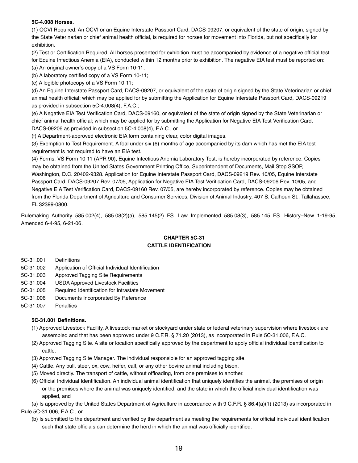#### **5C-4.008 Horses.**

(1) OCVI Required. An OCVI or an Equine Interstate Passport Card, DACS-09207, or equivalent of the state of origin, signed by the State Veterinarian or chief animal health official, is required for horses for movement into Florida, but not specifically for exhibition.

(2) Test or Certification Required. All horses presented for exhibition must be accompanied by evidence of a negative official test for Equine Infectious Anemia (EIA), conducted within 12 months prior to exhibition. The negative EIA test must be reported on:

(a) An original owner's copy of a VS Form 10-11;

(b) A laboratory certified copy of a VS Form 10-11;

(c) A legible photocopy of a VS Form 10-11;

(d) An Equine Interstate Passport Card, DACS-09207, or equivalent of the state of origin signed by the State Veterinarian or chief animal health official; which may be applied for by submitting the Application for Equine Interstate Passport Card, DACS-09219 as provided in subsection 5C-4.008(4), F.A.C.;

(e) A Negative EIA Test Verification Card, DACS-09160, or equivalent of the state of origin signed by the State Veterinarian or chief animal health official; which may be applied for by submitting the Application for Negative EIA Test Verification Card, DACS-09206 as provided in subsection 5C-4.008(4), F.A.C., or

(f) A Department-approved electronic EIA form containing clear, color digital images.

(3) Exemption to Test Requirement. A foal under six (6) months of age accompanied by its dam which has met the EIA test requirement is not required to have an EIA test.

(4) Forms. VS Form 10-11 (APR 90), Equine Infectious Anemia Laboratory Test, is hereby incorporated by reference. Copies may be obtained from the United States Government Printing Office, Superintendent of Documents, Mail Stop SSOP, Washington, D.C. 20402-9328. Application for Equine Interstate Passport Card, DACS-09219 Rev. 10/05, Equine Interstate Passport Card, DACS-09207 Rev. 07/05, Application for Negative EIA Test Verification Card, DACS-09206 Rev. 10/05, and Negative EIA Test Verification Card, DACS-09160 Rev. 07/05, are hereby incorporated by reference. Copies may be obtained from the Florida Department of Agriculture and Consumer Services, Division of Animal Industry, 407 S. Calhoun St., Tallahassee, FL 32399-0800.

Rulemaking Authority 585.002(4), 585.08(2)(a), 585.145(2) FS. Law Implemented 585.08(3), 585.145 FS. History–New 1-19-95, Amended 6-4-95, 6-21-06*.*

#### **CHAPTER 5C-31 CATTLE IDENTIFICATION**

5C-31.001 Definitions

- 5C-31.002 Application of Official Individual Identification
- 5C-31.003 Approved Tagging Site Requirements
- 5C-31.004 USDA Approved Livestock Facilities
- 5C-31.005 Required Identification for Intrastate Movement
- 5C-31.006 Documents Incorporated By Reference
- 5C-31.007 Penalties

#### **5C-31.001 Definitions.**

- (1) Approved Livestock Facility. A livestock market or stockyard under state or federal veterinary supervision where livestock are assembled and that has been approved under 9 C.F.R. § 71.20 (2013), as incorporated in Rule 5C-31.006, F.A.C.
- (2) Approved Tagging Site. A site or location specifically approved by the department to apply official individual identification to cattle.
- (3) Approved Tagging Site Manager. The individual responsible for an approved tagging site.
- (4) Cattle. Any bull, steer, ox, cow, heifer, calf, or any other bovine animal including bison.
- (5) Moved directly. The transport of cattle, without offloading, from one premises to another.
- (6) Official Individual Identification. An individual animal identification that uniquely identifies the animal, the premises of origin or the premises where the animal was uniquely identified, and the state in which the official individual identification was applied, and

(a) Is approved by the United States Department of Agriculture in accordance with 9 C.F.R. § 86.4(a)(1) (2013) as incorporated in Rule 5C-31.006, F.A.C., or

(b) Is submitted to the department and verified by the department as meeting the requirements for official individual identification such that state officials can determine the herd in which the animal was officially identified.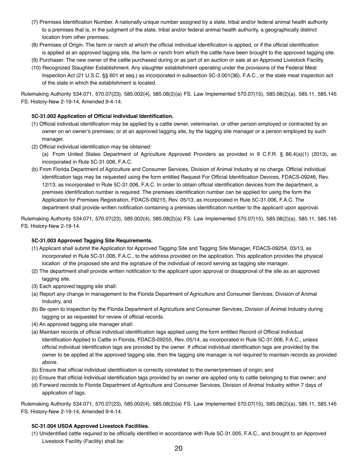- (7) Premises Identification Number. A nationally unique number assigned by a state, tribal and/or federal animal health authority to a premises that is, in the judgment of the state, tribal and/or federal animal health authority, a geographically distinct location from other premises.
- (8) Premises of Origin. The farm or ranch at which the official individual identification is applied, or if the official identification is applied at an approved tagging site, the farm or ranch from which the cattle have been brought to the approved tagging site.
- (9) Purchaser. The new owner of the cattle purchased during or as part of an auction or sale at an Approved Livestock Facility.
- (10) Recognized Slaughter Establishment. Any slaughter establishment operating under the provisions of the Federal Meat Inspection Act (21 U.S.C. §§ 601 et seq.) as incorporated in subsection 5C-3.001(36), F.A.C., or the state meat inspection act of the state in which the establishment is located.

Rulemaking Authority 534.071, 570.07(23), 585.002(4), 585.08(2)(a) FS. Law Implemented 570.07(15), 585.08(2)(a), 585.11, 585.145 FS. History-New 2-19-14, Amended 9-4-14.

#### **5C-31.002 Application of Official Individual Identification.**

- (1) Official individual identification may be applied by a cattle owner, veterinarian, or other person employed or contracted by an owner on an owner's premises; or at an approved tagging site, by the tagging site manager or a person employed by such manager.
- (2) Official individual identification may be obtained:

(a) From United States Department of Agriculture Approved Providers as provided in 9 C.F.R. § 86.4(a)(1) (2013), as incorporated in Rule 5C-31.006, F.A.C.

(b) From Florida Department of Agriculture and Consumer Services, Division of Animal Industry at no charge. Official individual identification tags may be requested using the form entitled Request For Official Identification Devices, FDACS-09246, Rev. 12/13, as incorporated in Rule 5C-31.006, F.A.C. In order to obtain official identification devices from the department, a premises identification number is required. The premises identification number can be applied for using the form the Application for Premises Registration, FDACS-09215, Rev. 05/13, as incorporated in Rule 5C-31.006, F.A.C. The department shall provide written notification containing a premises identification number to the applicant upon approval.

Rulemaking Authority 534.071, 570.07(23), 585.002(4), 585.08(2)(a) FS. Law Implemented 570.07(15), 585.08(2)(a), 585.11, 585.145 FS. History-New 2-19-14.

#### **5C-31.003 Approved Tagging Site Requirements.**

- (1) Applicant shall submit the Application for Approved Tagging Site and Tagging Site Manager, FDACS-09254, 03/13, as incorporated in Rule 5C-31.006, F.A.C., to the address provided on the application. This application provides the physical location of the proposed site and the signature of the individual of record serving as tagging site manager.
- (2) The department shall provide written notification to the applicant upon approval or disapproval of the site as an approved tagging site.
- (3) Each approved tagging site shall:
- (a) Report any change in management to the Florida Department of Agriculture and Consumer Services, Division of Animal Industry, and
- (b) Be open to inspection by the Florida Department of Agriculture and Consumer Services, Division of Animal Industry during tagging or as requested for review of official records.
- (4) An approved tagging site manager shall:
- (a) Maintain records of official individual identification tags applied using the form entitled Record of Official Individual Identification Applied to Cattle in Florida, FDACS-09255, Rev. 05/14, as incorporated in Rule 5C-31.006, F.A.C., unless official individual identification tags are provided by the owner. If official individual identification tags are provided by the owner to be applied at the approved tagging site, then the tagging site manager is not required to maintain records as provided above.
- (b) Ensure that official individual identification is correctly correlated to the owner/premises of origin; and
- (c) Ensure that official individual identification tags provided by an owner are applied only to cattle belonging to that owner; and
- (d) Forward records to Florida Department of Agriculture and Consumer Services, Division of Animal Industry within 7 days of application of tags.

Rulemaking Authority 534.071, 570.07(23), 585.002(4), 585.08(2)(a) FS. Law Implemented 570.07(15), 585.08(2)(a), 585.11, 585.145 FS. History-New 2-19-14, Amended 9-4-14.

#### **5C-31.004 USDA Approved Livestock Facilities.**

(1) Unidentified cattle required to be officially identified in accordance with Rule 5C-31.005, F.A.C., and brought to an Approved Livestock Facility (Facility) shall be: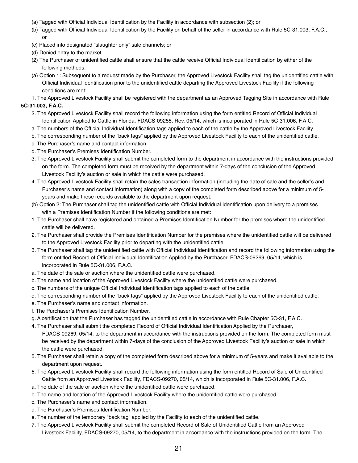- (a) Tagged with Official Individual Identification by the Facility in accordance with subsection (2); or
- (b) Tagged with Official Individual Identification by the Facility on behalf of the seller in accordance with Rule 5C-31.003, F.A.C.; or
- (c) Placed into designated "slaughter only" sale channels; or
- (d) Denied entry to the market.
- (2) The Purchaser of unidentified cattle shall ensure that the cattle receive Official Individual Identification by either of the following methods.
- (a) Option 1: Subsequent to a request made by the Purchaser, the Approved Livestock Facility shall tag the unidentified cattle with Official Individual Identification prior to the unidentified cattle departing the Approved Livestock Facility if the following conditions are met:

1. The Approved Livestock Facility shall be registered with the department as an Approved Tagging Site in accordance with Rule **5C-31.003, F.A.C.**

- 2. The Approved Livestock Facility shall record the following information using the form entitled Record of Official Individual Identification Applied to Cattle in Florida, FDACS-09255, Rev. 05/14, which is incorporated in Rule 5C-31.006, F.A.C.
- a. The numbers of the Official Individual Identification tags applied to each of the cattle by the Approved Livestock Facility.
- b. The corresponding number of the "back tags" applied by the Approved Livestock Facility to each of the unidentified cattle.
- c. The Purchaser's name and contact information.
- d. The Purchaser's Premises Identification Number.
- 3. The Approved Livestock Facility shall submit the completed form to the department in accordance with the instructions provided on the form. The completed form must be received by the department within 7-days of the conclusion of the Approved Livestock Facility's auction or sale in which the cattle were purchased.
- 4. The Approved Livestock Facility shall retain the sales transaction information (including the date of sale and the seller's and Purchaser's name and contact information) along with a copy of the completed form described above for a minimum of 5 years and make these records available to the department upon request.
- (b) Option 2: The Purchaser shall tag the unidentified cattle with Official Individual Identification upon delivery to a premises with a Premises Identification Number if the following conditions are met:
- 1. The Purchaser shall have registered and obtained a Premises Identification Number for the premises where the unidentified cattle will be delivered.
- 2. The Purchaser shall provide the Premises Identification Number for the premises where the unidentified cattle will be delivered to the Approved Livestock Facility prior to departing with the unidentified cattle.
- 3. The Purchaser shall tag the unidentified cattle with Official Individual Identification and record the following information using the form entitled Record of Official Individual Identification Applied by the Purchaser, FDACS-09269, 05/14, which is incorporated in Rule 5C-31.006, F.A.C.
- a. The date of the sale or auction where the unidentified cattle were purchased.
- b. The name and location of the Approved Livestock Facility where the unidentified cattle were purchased.
- c. The numbers of the unique Official Individual Identification tags applied to each of the cattle.
- d. The corresponding number of the "back tags" applied by the Approved Livestock Facility to each of the unidentified cattle.
- e. The Purchaser's name and contact information.
- f. The Purchaser's Premises Identification Number.
- g. A certification that the Purchaser has tagged the unidentified cattle in accordance with Rule Chapter 5C-31, F.A.C.
- 4. The Purchaser shall submit the completed Record of Official Individual Identification Applied by the Purchaser, FDACS-09269, 05/14, to the department in accordance with the instructions provided on the form. The completed form must be received by the department within 7-days of the conclusion of the Approved Livestock Facility's auction or sale in which the cattle were purchased.
- 5. The Purchaser shall retain a copy of the completed form described above for a minimum of 5-years and make it available to the department upon request.
- 6. The Approved Livestock Facility shall record the following information using the form entitled Record of Sale of Unidentified Cattle from an Approved Livestock Facility, FDACS-09270, 05/14, which is incorporated in Rule 5C-31.006, F.A.C.
- a. The date of the sale or auction where the unidentified cattle were purchased.
- b. The name and location of the Approved Livestock Facility where the unidentified cattle were purchased.
- c. The Purchaser's name and contact information.
- d. The Purchaser's Premises Identification Number.
- e. The number of the temporary "back tag" applied by the Facility to each of the unidentified cattle.
- 7. The Approved Livestock Facility shall submit the completed Record of Sale of Unidentified Cattle from an Approved Livestock Facility, FDACS-09270, 05/14, to the department in accordance with the instructions provided on the form. The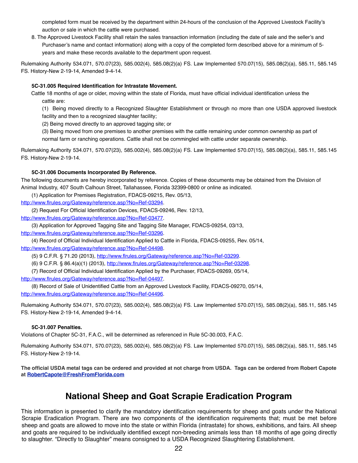completed form must be received by the department within 24-hours of the conclusion of the Approved Livestock Facility's auction or sale in which the cattle were purchased.

8. The Approved Livestock Facility shall retain the sales transaction information (including the date of sale and the seller's and Purchaser's name and contact information) along with a copy of the completed form described above for a minimum of 5 years and make these records available to the department upon request.

Rulemaking Authority 534.071, 570.07(23), 585.002(4), 585.08(2)(a) FS. Law Implemented 570.07(15), 585.08(2)(a), 585.11, 585.145 FS. History‒New 2-19-14, Amended 9-4-14*.*

#### **5C-31.005 Required Identification for Intrastate Movement.**

Cattle 18 months of age or older, moving within the state of Florida, must have official individual identification unless the cattle are:

(1) Being moved directly to a Recognized Slaughter Establishment or through no more than one USDA approved livestock facility and then to a recognized slaughter facility;

(2) Being moved directly to an approved tagging site; or

(3) Being moved from one premises to another premises with the cattle remaining under common ownership as part of normal farm or ranching operations. Cattle shall not be commingled with cattle under separate ownership.

Rulemaking Authority 534.071, 570.07(23), 585.002(4), 585.08(2)(a) FS. Law Implemented 570.07(15), 585.08(2)(a), 585.11, 585.145 FS. History‒New 2-19-14*.* 

#### **5C-31.006 Documents Incorporated By Reference.**

The following documents are hereby incorporated by reference. Copies of these documents may be obtained from the Division of Animal Industry, 407 South Calhoun Street, Tallahassee, Florida 32399-0800 or online as indicated.

(1) Application for Premises Registration, FDACS-09215, Rev. 05/13,

[http://www.flrules.org/Gateway/reference.asp?No=Ref-03294.](http://www.flrules.org/Gateway/reference.asp?No=Ref-03294)

(2) Request For Official Identification Devices, FDACS-09246, Rev. 12/13,

[http://www.flrules.org/Gateway/reference.asp?No=Ref-03477.](http://www.flrules.org/Gateway/reference.asp?No=Ref-03477)

(3) Application for Approved Tagging Site and Tagging Site Manager, FDACS-09254, 03/13,

[http://www.flrules.org/Gateway/reference.asp?No=Ref-03296.](http://www.flrules.org/Gateway/reference.asp?No=Ref-03296)

(4) Record of Official Individual Identification Applied to Cattle in Florida, FDACS-09255, Rev. 05/14,

[http://www.flrules.org/Gateway/reference.asp?No=Ref-04498.](http://www.flrules.org/Gateway/reference.asp?No=Ref-04498)

(5) 9 C.F.R. § 71.20 (2013), [http://www.flrules.org/Gateway/reference.asp?No=Ref-03299.](http://www.flrules.org/Gateway/reference.asp?No=Ref-03299)

(6) 9 C.F.R. § 86.4(a)(1) (2013), [http://www.flrules.org/Gateway/reference.asp?No=Ref-03298.](http://www.flrules.org/Gateway/reference.asp?No=Ref-03298)

(7) Record of Official Individual Identification Applied by the Purchaser, FDACS-09269, 05/14,

[http://www.flrules.org/Gateway/reference.asp?No=Ref-04497.](http://www.flrules.org/Gateway/reference.asp?No=Ref-04497)

(8) Record of Sale of Unidentified Cattle from an Approved Livestock Facility, FDACS-09270, 05/14, [http://www.flrules.org/Gateway/reference.asp?No=Ref-04496.](http://www.flrules.org/Gateway/reference.asp?No=Ref-04496)

Rulemaking Authority 534.071, 570.07(23), 585.002(4), 585.08(2)(a) FS. Law Implemented 570.07(15), 585.08(2)(a), 585.11, 585.145 FS. History-New 2-19-14, Amended 9-4-14.

#### **5C-31.007 Penalties.**

Violations of Chapter 5C-31, F.A.C., will be determined as referenced in Rule 5C-30.003, F.A.C.

Rulemaking Authority 534.071, 570.07(23), 585.002(4), 585.08(2)(a) FS. Law Implemented 570.07(15), 585.08(2)(a), 585.11, 585.145 FS. History-New 2-19-14.

**The official USDA metal tags can be ordered and provided at not charge from USDA. Tags can be ordered from Robert Capote at [RobertCapote@FreshFromFlorida.com](mailto:RobertCapote@FreshFromFlorida.com)**

### **National Sheep and Goat Scrapie Eradication Program**

This information is presented to clarify the mandatory identification requirements for sheep and goats under the National Scrapie Eradication Program. There are two components of the identification requirements that; must be met before sheep and goats are allowed to move into the state or within Florida (intrastate) for shows, exhibitions, and fairs. All sheep and goats are required to be individually identified except non-breeding animals less than 18 months of age going directly to slaughter. "Directly to Slaughter" means consigned to a USDA Recognized Slaughtering Establishment.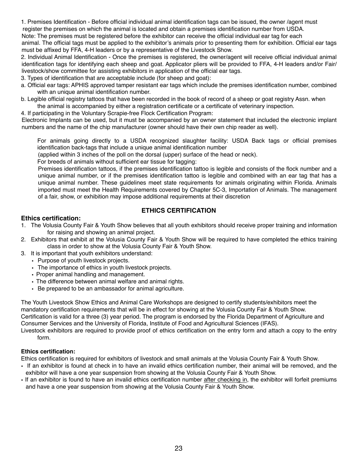1. Premises Identification - Before official individual animal identification tags can be issued, the owner /agent must

 register the premises on which the animal is located and obtain a premises identification number from USDA. Note: The premises must be registered before the exhibitor can receive the official individual ear tag for each

animal. The official tags must be applied to the exhibitor's animals prior to presenting them for exhibition. Official ear tags must be affixed by FFA, 4-H leaders or by a representative of the Livestock Show.

2. Individual Animal Identification - Once the premises is registered, the owner/agent will receive official individual animal identification tags for identifying each sheep and goat. Applicator pliers will be provided to FFA, 4-H leaders and/or Fair/ livestock/show committee for assisting exhibitors in application of the official ear tags.

3. Types of identification that are acceptable include (for sheep and goat):

- a. Official ear tags: APHIS approved tamper resistant ear tags which include the premises identification number, combined with an unique animal identification number.
- b. Legible official registry tattoos that have been recorded in the book of record of a sheep or goat registry Assn. when the animal is accompanied by either a registration certificate or a certificate of veterinary inspection.

4. If participating in the Voluntary Scrapie-free Flock Certification Program:

Electronic Implants can be used, but it must be accompanied by an owner statement that included the electronic implant numbers and the name of the chip manufacturer (owner should have their own chip reader as well).

For animals going directly to a USDA recognized slaughter facility: USDA Back tags or official premises identification back-tags that include a unique animal identification number

(applied within 3 inches of the poll on the dorsal (upper) surface of the head or neck).

For breeds of animals without sufficient ear tissue for tagging:

Premises identification tattoos, if the premises identification tattoo is legible and consists of the flock number and a unique animal number, or if the premises identification tattoo is legible and combined with an ear tag that has a unique animal number. These guidelines meet state requirements for animals originating within Florida. Animals imported must meet the Health Requirements covered by Chapter 5C-3, Importation of Animals. The management of a fair, show, or exhibition may impose additional requirements at their discretion

#### **ETHICS CERTIFICATION**

#### **Ethics certification:**

- 1. The Volusia County Fair & Youth Show believes that all youth exhibitors should receive proper training and information for raising and showing an animal project.
- 2. Exhibitors that exhibit at the Volusia County Fair & Youth Show will be required to have completed the ethics training class in order to show at the Volusia County Fair & Youth Show.
- 3. It is important that youth exhibitors understand:
	- Purpose of youth livestock projects.
	- The importance of ethics in youth livestock projects.
	- Proper animal handling and management.
	- The difference between animal welfare and animal rights.
	- Be prepared to be an ambassador for animal agriculture.

The Youth Livestock Show Ethics and Animal Care Workshops are designed to certify students/exhibitors meet the mandatory certification requirements that will be in effect for showing at the Volusia County Fair & Youth Show. Certification is valid for a three (3) year period. The program is endorsed by the Florida Department of Agriculture and Consumer Services and the University of Florida, Institute of Food and Agricultural Sciences (IFAS).

Livestock exhibitors are required to provide proof of ethics certification on the entry form and attach a copy to the entry form.

#### **Ethics certification:**

Ethics certification is required for exhibitors of livestock and small animals at the Volusia County Fair & Youth Show.

- If an exhibitor is found at check in to have an invalid ethics certification number, their animal will be removed, and the exhibitor will have a one year suspension from showing at the Volusia County Fair & Youth Show.
- If an exhibitor is found to have an invalid ethics certification number after checking in, the exhibitor will forfeit premiums and have a one year suspension from showing at the Volusia County Fair & Youth Show.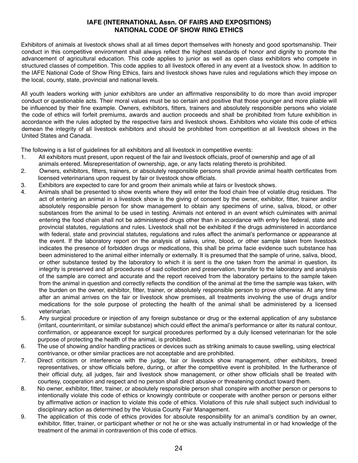#### **IAFE (INTERNATIONAL Assn. OF FAIRS AND EXPOSITIONS) NATIONAL CODE OF SHOW RING ETHICS**

Exhibitors of animals at livestock shows shall at all times deport themselves with honesty and good sportsmanship. Their conduct in this competitive environment shall always reflect the highest standards of honor and dignity to promote the advancement of agricultural education. This code applies to junior as well as open class exhibitors who compete in structured classes of competition. This code applies to all livestock offered in any event at a livestock show. In addition to the IAFE National Code of Show Ring Ethics, fairs and livestock shows have rules and regulations which they impose on the local, county, state, provincial and national levels.

All youth leaders working with junior exhibitors are under an affirmative responsibility to do more than avoid improper conduct or questionable acts. Their moral values must be so certain and positive that those younger and more pliable will be influenced by their fine example. Owners, exhibitors, fitters, trainers and absolutely responsible persons who violate the code of ethics will forfeit premiums, awards and auction proceeds and shall be prohibited from future exhibition in accordance with the rules adopted by the respective fairs and livestock shows. Exhibitors who violate this code of ethics demean the integrity of all livestock exhibitors and should be prohibited from competition at all livestock shows in the United States and Canada.

The following is a list of guidelines for all exhibitors and all livestock in competitive events:

- 1. All exhibitors must present, upon request of the fair and livestock officials, proof of ownership and age of all animals entered. Misrepresentation of ownership, age, or any facts relating thereto is prohibited.
- 2. Owners, exhibitors, fitters, trainers, or absolutely responsible persons shall provide animal health certificates from licensed veterinarians upon request by fair or livestock show officials.
- 3. Exhibitors are expected to care for and groom their animals while at fairs or livestock shows.
- 4. Animals shall be presented to show events where they will enter the food chain free of volatile drug residues. The act of entering an animal in a livestock show is the giving of consent by the owner, exhibitor, fitter, trainer and/or absolutely responsible person for show management to obtain any specimens of urine, saliva, blood, or other substances from the animal to be used in testing. Animals not entered in an event which culminates with animal entering the food chain shall not be administered drugs other than in accordance with entry fee federal, state and provincial statutes, regulations and rules. Livestock shall not be exhibited if the drugs administered in accordance with federal, state and provincial statutes, regulations and rules affect the animal's performance or appearance at the event. If the laboratory report on the analysis of saliva, urine, blood, or other sample taken from livestock indicates the presence of forbidden drugs or medications, this shall be prima facie evidence such substance has been administered to the animal either internally or externally. It is presumed that the sample of urine, saliva, blood, or other substance tested by the laboratory to which it is sent is the one taken from the animal in question, its integrity is preserved and all procedures of said collection and preservation, transfer to the laboratory and analysis of the sample are correct and accurate and the report received from the laboratory pertains to the sample taken from the animal in question and correctly reflects the condition of the animal at the time the sample was taken, with the burden on the owner, exhibitor, fitter, trainer, or absolutely responsible person to prove otherwise. At any time after an animal arrives on the fair or livestock show premises, all treatments involving the use of drugs and/or medications for the sole purpose of protecting the health of the animal shall be administered by a licensed veterinarian.
- 5. Any surgical procedure or injection of any foreign substance or drug or the external application of any substance (irritant, counterirritant, or similar substance) which could effect the animal's performance or alter its natural contour, confirmation, or appearance except for surgical procedures performed by a duly licensed veterinarian for the sole purpose of protecting the health of the animal, is prohibited.
- 6. The use of showing and/or handling practices or devices such as striking animals to cause swelling, using electrical contrivance, or other similar practices are not acceptable and are prohibited.
- 7. Direct criticism or interference with the judge, fair or livestock show management, other exhibitors, breed representatives, or show officials before, during, or after the competitive event is prohibited. In the furtherance of their official duty, all judges, fair and livestock show management, or other show officials shall be treated with courtesy, cooperation and respect and no person shall direct abusive or threatening conduct toward them.
- 8. No owner, exhibitor, fitter, trainer, or absolutely responsible person shall conspire with another person or persons to intentionally violate this code of ethics or knowingly contribute or cooperate with another person or persons either by affirmative action or inaction to violate this code of ethics. Violations of this rule shall subject such individual to disciplinary action as determined by the Volusia County Fair Management.
- 9. The application of this code of ethics provides for absolute responsibility for an animal's condition by an owner, exhibitor, fitter, trainer, or participant whether or not he or she was actually instrumental in or had knowledge of the treatment of the animal in contravention of this code of ethics.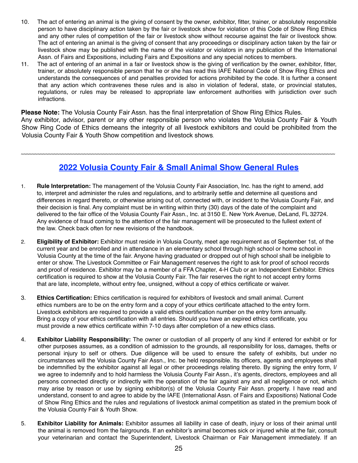- 10. The act of entering an animal is the giving of consent by the owner, exhibitor, fitter, trainer, or absolutely responsible person to have disciplinary action taken by the fair or livestock show for violation of this Code of Show Ring Ethics and any other rules of competition of the fair or livestock show without recourse against the fair or livestock show. The act of entering an animal is the giving of consent that any proceedings or disciplinary action taken by the fair or livestock show may be published with the name of the violator or violators in any publication of the International Assn. of Fairs and Expositions, including Fairs and Expositions and any special notices to members.
- 11. The act of entering of an animal in a fair or livestock show is the giving of verification by the owner, exhibitor, fitter, trainer, or absolutely responsible person that he or she has read this IAFE National Code of Show Ring Ethics and understands the consequences of and penalties provided for actions prohibited by the code. It is further a consent that any action which contravenes these rules and is also in violation of federal, state, or provincial statutes, regulations, or rules may be released to appropriate law enforcement authorities with jurisdiction over such infractions.

**Please Note:** The Volusia County Fair Assn. has the final interpretation of Show Ring Ethics Rules. Any exhibitor, advisor, parent or any other responsible person who violates the Volusia County Fair & Youth Show Ring Code of Ethics demeans the integrity of all livestock exhibitors and could be prohibited from the Volusia County Fair & Youth Show competition and livestock shows.

~~~~~~~~~~~~~~~~~~~~~~~~~~~~~~~~~~~~~~~~~~~~~~~~~~~~~~~~~~~~~~~~~~~~~~~~~~~~~~~~~~~~~~~~~~~~~~~~~~~~~~~~~~~~~~~~~~~

### **2022 Volusia County Fair & Small Animal Show General Rules**

- 1. **Rule Interpretation:** The management of the Volusia County Fair Association, Inc. has the right to amend, add to, interpret and administer the rules and regulations, and to arbitrarily settle and determine all questions and differences in regard thereto, or otherwise arising out of, connected with, or incident to the Volusia County Fair, and their decision is final. Any complaint must be in writing within thirty (30) days of the date of the complaint and delivered to the fair office of the Volusia County Fair Assn., Inc. at 3150 E. New York Avenue, DeLand, FL 32724. Any evidence of fraud coming to the attention of the fair management will be prosecuted to the fullest extent of the law. Check back often for new revisions of the handbook.
- 2. **Eligibility of Exhibitor:** Exhibitor must reside in Volusia County, meet age requirement as of September 1st, of the current year and be enrolled and in attendance in an elementary school through high school or home school in Volusia County at the time of the fair. Anyone having graduated or dropped out of high school shall be ineligible to enter or show. The Livestock Committee or Fair Management reserves the right to ask for proof of school records and proof of residence. Exhibitor may be a member of a FFA Chapter, 4-H Club or an Independent Exhibitor. Ethics certification is required to show at the Volusia County Fair. The fair reserves the right to not accept entry forms that are late, incomplete, without entry fee, unsigned, without a copy of ethics certificate or waiver.
- 3. **Ethics Certification:** Ethics certification is required for exhibitors of livestock and small animal. Current ethics numbers are to be on the entry form and a copy of your ethics certificate attached to the entry form. Livestock exhibitors are required to provide a valid ethics certification number on the entry form annually. Bring a copy of your ethics certification with all entries. Should you have an expired ethics certificate, you must provide a new ethics certificate within 7-10 days after completion of a new ethics class.
- 4. **Exhibitor Liability Responsibility:** The owner or custodian of all property of any kind if entered for exhibit or for other purposes assumes, as a condition of admission to the grounds, all responsibility for loss, damages, thefts or personal injury to self or others. Due diligence will be used to ensure the safety of exhibits, but under no circumstances will the Volusia County Fair Assn., Inc. be held responsible. Its officers, agents and employees shall be indemnified by the exhibitor against all legal or other proceedings relating thereto. By signing the entry form, I/ we agree to indemnify and to hold harmless the Volusia County Fair Assn., it's agents, directors, employees and all persons connected directly or indirectly with the operation of the fair against any and all negligence or not, which may arise by reason or use by signing exhibitor(s) of the Volusia County Fair Assn. property. I have read and understand, consent to and agree to abide by the IAFE (International Assn. of Fairs and Expositions) National Code of Show Ring Ethics and the rules and regulations of livestock animal competition as stated in the premium book of the Volusia County Fair & Youth Show.
- 5. **Exhibitor Liability for Animals:** Exhibitor assumes all liability in case of death, injury or loss of their animal until the animal is removed from the fairgrounds. If an exhibitor's animal becomes sick or injured while at the fair, consult your veterinarian and contact the Superintendent, Livestock Chairman or Fair Management immediately. If an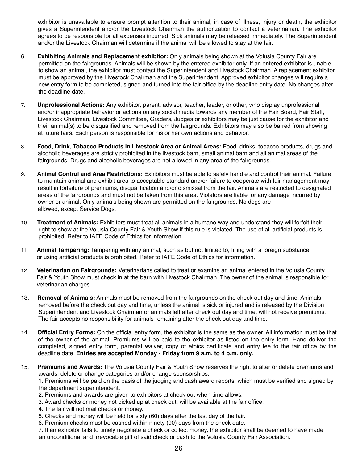exhibitor is unavailable to ensure prompt attention to their animal, in case of illness, injury or death, the exhibitor gives a Superintendent and/or the Livestock Chairman the authorization to contact a veterinarian. The exhibitor agrees to be responsible for all expenses incurred. Sick animals may be released immediately. The Superintendent and/or the Livestock Chairman will determine if the animal will be allowed to stay at the fair.

- 6. **Exhibiting Animals and Replacement exhibitor:** Only animals being shown at the Volusia County Fair are permitted on the fairgrounds. Animals will be shown by the entered exhibitor only. If an entered exhibitor is unable to show an animal, the exhibitor must contact the Superintendent and Livestock Chairman. A replacement exhibitor must be approved by the Livestock Chairman and the Superintendent. Approved exhibitor changes will require a new entry form to be completed, signed and turned into the fair office by the deadline entry date. No changes after the deadline date.
- 7. **Unprofessional Actions:** Any exhibitor, parent, advisor, teacher, leader, or other, who display unprofessional and/or inappropriate behavior or actions on any social media towards any member of the Fair Board, Fair Staff, Livestock Chairman, Livestock Committee, Graders, Judges or exhibitors may be just cause for the exhibitor and their animal(s) to be disqualified and removed from the fairgrounds. Exhibitors may also be barred from showing at future fairs. Each person is responsible for his or her own actions and behavior.
- 8. **Food, Drink, Tobacco Products in Livestock Area or Animal Areas:** Food, drinks, tobacco products, drugs and alcoholic beverages are strictly prohibited in the livestock barn, small animal barn and all animal areas of the fairgrounds. Drugs and alcoholic beverages are not allowed in any area of the fairgrounds.
- 9. **Animal Control and Area Restrictions:** Exhibitors must be able to safely handle and control their animal. Failure to maintain animal and exhibit area to acceptable standard and/or failure to cooperate with fair management may result in forfeiture of premiums, disqualification and/or dismissal from the fair. Animals are restricted to designated areas of the fairgrounds and must not be taken from this area. Violators are liable for any damage incurred by owner or animal. Only animals being shown are permitted on the fairgrounds. No dogs are allowed, except Service Dogs.
- 10. **Treatment of Animals:** Exhibitors must treat all animals in a humane way and understand they will forfeit their right to show at the Volusia County Fair & Youth Show if this rule is violated. The use of all artificial products is prohibited. Refer to IAFE Code of Ethics for information.
- 11. **Animal Tampering:** Tampering with any animal, such as but not limited to, filling with a foreign substance or using artificial products is prohibited. Refer to IAFE Code of Ethics for information.
- 12. **Veterinarian on Fairgrounds:** Veterinarians called to treat or examine an animal entered in the Volusia County Fair & Youth Show must check in at the barn with Livestock Chairman. The owner of the animal is responsible for veterinarian charges.
- 13. **Removal of Animals:** Animals must be removed from the fairgrounds on the check out day and time. Animals removed before the check out day and time, unless the animal is sick or injured and is released by the Division Superintendent and Livestock Chairman or animals left after check out day and time, will not receive premiums. The fair accepts no responsibility for animals remaining after the check out day and time.
- 14. **Official Entry Forms:** On the official entry form, the exhibitor is the same as the owner. All information must be that of the owner of the animal. Premiums will be paid to the exhibitor as listed on the entry form. Hand deliver the completed, signed entry form, parental waiver, copy of ethics certificate and entry fee to the fair office by the deadline date. **Entries are accepted Monday - Friday from 9 a.m. to 4 p.m. only.**
- 15. **Premiums and Awards:** The Volusia County Fair & Youth Show reserves the right to alter or delete premiums and awards, delete or change categories and/or change sponsorships.

 1. Premiums will be paid on the basis of the judging and cash award reports, which must be verified and signed by the department superintendent.

- 2. Premiums and awards are given to exhibitors at check out when time allows.
- 3. Award checks or money not picked up at check out, will be available at the fair office.
- 4. The fair will not mail checks or money.
- 5. Checks and money will be held for sixty (60) days after the last day of the fair.
- 6. Premium checks must be cashed within ninety (90) days from the check date.

 7. If an exhibitor fails to timely negotiate a check or collect money, the exhibitor shall be deemed to have made an unconditional and irrevocable gift of said check or cash to the Volusia County Fair Association.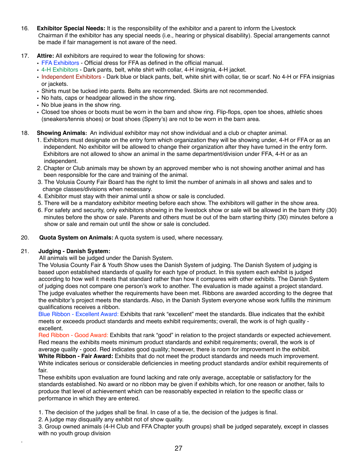- 16. **Exhibitor Special Needs:** It is the responsibility of the exhibitor and a parent to inform the Livestock Chairman if the exhibitor has any special needs (i.e., hearing or physical disability). Special arrangements cannot be made if fair management is not aware of the need.
- 17. **Attire:** All exhibitors are required to wear the following for shows:
	- **•** FFA Exhibitors Official dress for FFA as defined in the official manual.
	- **•** 4-H Exhibitors Dark pants, belt, white shirt with collar, 4-H insignia, 4-H jacket.
	- **•** Independent Exhibitors Dark blue or black pants, belt, white shirt with collar, tie or scarf. No 4-H or FFA insignias or jackets.
	- **•** Shirts must be tucked into pants. Belts are recommended. Skirts are not recommended.
	- **•** No hats, caps or headgear allowed in the show ring.
	- **•** No blue jeans in the show ring.
	- **•** Closed toe shoes or boots must be worn in the barn and show ring. Flip-flops, open toe shoes, athletic shoes (sneakers/tennis shoes) or boat shoes (Sperry's) are not to be worn in the barn area.

#### 18. **Showing Animals:** An individual exhibitor may not show individual and a club or chapter animal.

- 1. Exhibitors must designate on the entry form which organization they will be showing under, 4-H or FFA or as an independent. No exhibitor will be allowed to change their organization after they have turned in the entry form. Exhibitors are not allowed to show an animal in the same department/division under FFA, 4-H or as an independent.
- 2. Chapter or Club animals may be shown by an approved member who is not showing another animal and has been responsible for the care and training of the animal.
- 3. The Volusia County Fair Board has the right to limit the number of animals in all shows and sales and to change classes/divisions when necessary.
- 4. Exhibitor must stay with their animal until a show or sale is concluded.
- 5. There will be a mandatory exhibitor meeting before each show. The exhibitors will gather in the show area.
- 6. For safety and security, only exhibitors showing in the livestock show or sale will be allowed in the barn thirty (30) minutes before the show or sale. Parents and others must be out of the barn starting thirty (30) minutes before a show or sale and remain out until the show or sale is concluded.
- 20. **Quota System on Animals:** A quota system is used, where necessary.

#### 21. **Judging - Danish System:**

.

All animals will be judged under the Danish System.

 The Volusia County Fair & Youth Show uses the Danish System of judging. The Danish System of judging is based upon established standards of quality for each type of product. In this system each exhibit is judged according to how well it meets that standard rather than how it compares with other exhibits. The Danish System of judging does not compare one person's work to another. The evaluation is made against a project standard. The judge evaluates whether the requirements have been met. Ribbons are awarded according to the degree that the exhibitor's project meets the standards. Also, in the Danish System everyone whose work fulfills the minimum qualifications receives a ribbon.

 Blue Ribbon - Excellent Award: Exhibits that rank "excellent" meet the standards. Blue indicates that the exhibit meets or exceeds product standards and meets exhibit requirements; overall, the work is of high quality excellent.

 Red Ribbon - Good Award: Exhibits that rank "good" in relation to the project standards or expected achievement. Red means the exhibits meets minimum product standards and exhibit requirements; overall, the work is of average quality - good. Red indicates good quality; however, there is room for improvement in the exhibit. **White Ribbon - Fair Award:** Exhibits that do not meet the product standards and needs much improvement. White indicates serious or considerable deficiencies in meeting product standards and/or exhibit requirements of fair.

 These exhibits upon evaluation are found lacking and rate only average, acceptable or satisfactory for the standards established. No award or no ribbon may be given if exhibits which, for one reason or another, fails to produce that level of achievement which can be reasonably expected in relation to the specific class or performance in which they are entered.

- 1. The decision of the judges shall be final. In case of a tie, the decision of the judges is final.
- 2. A judge may disqualify any exhibit not of show quality.

 3. Group owned animals (4-H Club and FFA Chapter youth groups) shall be judged separately, except in classes with no youth group division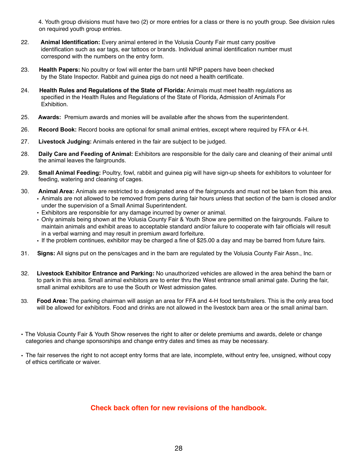4. Youth group divisions must have two (2) or more entries for a class or there is no youth group. See division rules on required youth group entries.

- 22. **Animal Identification:** Every animal entered in the Volusia County Fair must carry positive identification such as ear tags, ear tattoos or brands. Individual animal identification number must correspond with the numbers on the entry form.
- 23. **Health Papers:** No poultry or fowl will enter the barn until NPIP papers have been checked by the State Inspector. Rabbit and guinea pigs do not need a health certificate.
- 24. **Health Rules and Regulations of the State of Florida:** Animals must meet health regulations as specified in the Health Rules and Regulations of the State of Florida, Admission of Animals For Exhibition.
- 25. **Awards:** Premium awards and monies will be available after the shows from the superintendent.
- 26. **Record Book:** Record books are optional for small animal entries, except where required by FFA or 4-H.
- 27. **Livestock Judging:** Animals entered in the fair are subject to be judged.
- 28. **Daily Care and Feeding of Animal:** Exhibitors are responsible for the daily care and cleaning of their animal until the animal leaves the fairgrounds.
- 29. **Small Animal Feeding:** Poultry, fowl, rabbit and guinea pig will have sign-up sheets for exhibitors to volunteer for feeding, watering and cleaning of cages.
- 30. **Animal Area:** Animals are restricted to a designated area of the fairgrounds and must not be taken from this area. **•** Animals are not allowed to be removed from pens during fair hours unless that section of the barn is closed and/or under the supervision of a Small Animal Superintendent.
	- **•** Exhibitors are responsible for any damage incurred by owner or animal.
	- **•** Only animals being shown at the Volusia County Fair & Youth Show are permitted on the fairgrounds. Failure to maintain animals and exhibit areas to acceptable standard and/or failure to cooperate with fair officials will result in a verbal warning and may result in premium award forfeiture.
	- **•** If the problem continues, exhibitor may be charged a fine of \$25.00 a day and may be barred from future fairs.
- 31. **Signs:** All signs put on the pens/cages and in the barn are regulated by the Volusia County Fair Assn., Inc.
- 32. **Livestock Exhibitor Entrance and Parking:** No unauthorized vehicles are allowed in the area behind the barn or to park in this area. Small animal exhibitors are to enter thru the West entrance small animal gate. During the fair, small animal exhibitors are to use the South or West admission gates.
- 33. **Food Area:** The parking chairman will assign an area for FFA and 4-H food tents/trailers. This is the only area food will be allowed for exhibitors. Food and drinks are not allowed in the livestock barn area or the small animal barn.
- The Volusia County Fair & Youth Show reserves the right to alter or delete premiums and awards, delete or change categories and change sponsorships and change entry dates and times as may be necessary.
- The fair reserves the right to not accept entry forms that are late, incomplete, without entry fee, unsigned, without copy of ethics certificate or waiver.

#### **Check back often for new revisions of the handbook.**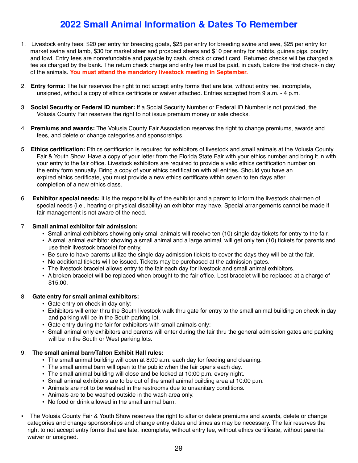### **2022 Small Animal Information & Dates To Remember**

- 1. Livestock entry fees: \$20 per entry for breeding goats, \$25 per entry for breeding swine and ewe, \$25 per entry for market swine and lamb, \$30 for market steer and prospect steers and \$10 per entry for rabbits, guinea pigs, poultry and fowl. Entry fees are nonrefundable and payable by cash, check or credit card. Returned checks will be charged a fee as charged by the bank. The return check charge and entry fee must be paid, in cash, before the first check-in day of the animals. **You must attend the mandatory livestock meeting in September.**
- 2. **Entry forms:** The fair reserves the right to not accept entry forms that are late, without entry fee, incomplete, unsigned, without a copy of ethics certificate or waiver attached. Entries accepted from 9 a.m. - 4 p.m.
- 3. **Social Security or Federal ID number:** If a Social Security Number or Federal ID Number is not provided, the Volusia County Fair reserves the right to not issue premium money or sale checks.
- 4. **Premiums and awards:** The Volusia County Fair Association reserves the right to change premiums, awards and fees, and delete or change categories and sponsorships.
- 5. **Ethics certification:** Ethics certification is required for exhibitors of livestock and small animals at the Volusia County Fair & Youth Show. Have a copy of your letter from the Florida State Fair with your ethics number and bring it in with your entry to the fair office. Livestock exhibitors are required to provide a valid ethics certification number on the entry form annually. Bring a copy of your ethics certification with all entries. Should you have an expired ethics certificate, you must provide a new ethics certificate within seven to ten days after completion of a new ethics class.
- 6. **Exhibitor special needs:** It is the responsibility of the exhibitor and a parent to inform the livestock chairmen of special needs (i.e., hearing or physical disability) an exhibitor may have. Special arrangements cannot be made if fair management is not aware of the need.

#### 7. **Small animal exhibitor fair admission:**

- Small animal exhibitors showing only small animals will receive ten (10) single day tickets for entry to the fair.
- A small animal exhibitor showing a small animal and a large animal, will get only ten (10) tickets for parents and use their livestock bracelet for entry.
- Be sure to have parents utilize the single day admission tickets to cover the days they will be at the fair.
- No additional tickets will be issued. Tickets may be purchased at the admission gates.
- The livestock bracelet allows entry to the fair each day for livestock and small animal exhibitors.
- A broken bracelet will be replaced when brought to the fair office. Lost bracelet will be replaced at a charge of \$15.00.

#### 8. **Gate entry for small animal exhibitors:**

- Gate entry on check in day only:
- Exhibitors will enter thru the South livestock walk thru gate for entry to the small animal building on check in day and parking will be in the South parking lot.
- Gate entry during the fair for exhibitors with small animals only:
- Small animal only exhibitors and parents will enter during the fair thru the general admission gates and parking will be in the South or West parking lots.

#### 9. **The small animal barn/Talton Exhibit Hall rules:**

- The small animal building will open at 8:00 a.m. each day for feeding and cleaning.
- The small animal barn will open to the public when the fair opens each day.
- The small animal building will close and be locked at 10:00 p.m. every night.
- Small animal exhibitors are to be out of the small animal building area at 10:00 p.m.
- Animals are not to be washed in the restrooms due to unsanitary conditions.
- Animals are to be washed outside in the wash area only.
- No food or drink allowed in the small animal barn.
- The Volusia County Fair & Youth Show reserves the right to alter or delete premiums and awards, delete or change categories and change sponsorships and change entry dates and times as may be necessary. The fair reserves the right to not accept entry forms that are late, incomplete, without entry fee, without ethics certificate, without parental waiver or unsigned.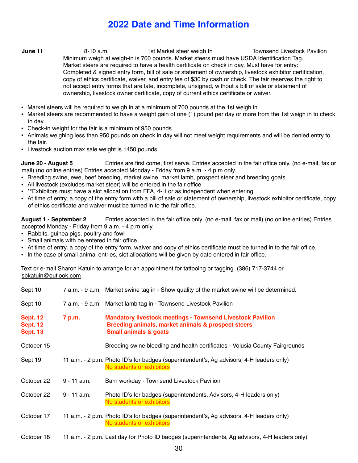### **2022 Date and Time Information**

- **June 11** 8-10 a.m. 1st Market steer weigh In Townsend Livestock Pavilion Minimum weigh at weigh-in is 700 pounds. Market steers must have USDA Identification Tag. Market steers are required to have a health certificate on check in day. Must have for entry: Completed & signed entry form, bill of sale or statement of ownership, livestock exhibitor certification, copy of ethics certificate, waiver, and entry fee of \$30 by cash or check. The fair reserves the right to not accept entry forms that are late, incomplete, unsigned, without a bill of sale or statement of ownership, livestock owner certificate, copy of current ethics certificate or waiver.
- Market steers will be required to weigh in at a minimum of 700 pounds at the 1st weigh in.
- Market steers are recommended to have a weight gain of one (1) pound per day or more from the 1st weigh in to check in day.
- Check-in weight for the fair is a minimum of 950 pounds.
- Animals weighing less than 950 pounds on check in day will not meet weight requirements and will be denied entry to the fair.
- Livestock auction max sale weight is 1450 pounds.

**June 20 - August 5** Entries are first come, first serve. Entries accepted in the fair office only. (no e-mail, fax or mail) (no online entries) Entries accepted Monday - Friday from 9 a.m. - 4 p.m only.

- Breeding swine, ewe, beef breeding, market swine, market lamb, prospect steer and breeding goats.
- All livestock (excludes market steer) will be entered in the fair office
- \*\*Exhibitors must have a slot allocation from FFA, 4-H or as independent when entering.
- At time of entry, a copy of the entry form with a bill of sale or statement of ownership, livestock exhibitor certificate, copy of ethics certificate and waiver must be turned in to the fair office.

**August 1 - September 2** Entries accepted in the fair office only. (no e-mail, fax or mail) (no online entries) Entries accepted Monday - Friday from 9 a.m. - 4 p.m only.

- Rabbits, guinea pigs, poultry and fowl
- Small animals with be entered in fair office.
- At time of entry, a copy of the entry form, waiver and copy of ethics certificate must be turned in to the fair office.
- In the case of small animal entries, slot allocations will be given by date entered in fair office.

Text or e-mail Sharon Katuin to arrange for an appointment for tattooing or tagging. (386) 717-3744 or [sbkatuin@outlook.com](mailto:sbkatuin@outlook.com)

| Sept 10                                               |               | 7 a.m. - 9 a.m. Market swine tag in - Show quality of the market swine will be determined.                                                                  |
|-------------------------------------------------------|---------------|-------------------------------------------------------------------------------------------------------------------------------------------------------------|
| Sept 10                                               |               | 7 a.m. - 9 a.m. Market lamb tag in - Townsend Livestock Pavilion                                                                                            |
| <b>Sept. 12</b><br><b>Sept. 12</b><br><b>Sept. 13</b> | 7 p.m.        | <b>Mandatory livestock meetings - Townsend Livestock Pavilion</b><br>Breeding animals, market animals & prospect steers<br><b>Small animals &amp; goats</b> |
| October 15                                            |               | Breeding swine bleeding and health certificates - Volusia County Fairgrounds                                                                                |
| Sept 19                                               |               | 11 a.m. - 2 p.m. Photo ID's for badges (superintendent's, Ag advisors, 4-H leaders only)<br>No students or exhibitors                                       |
| October 22                                            | $9 - 11$ a.m. | Barn workday - Townsend Livestock Pavilion                                                                                                                  |
| October 22                                            | 9 - 11 a.m.   | Photo ID's for badges (superintendents, Advisors, 4-H leaders only)<br>No students or exhibitors                                                            |
| October 17                                            |               | 11 a.m. - 2 p.m. Photo ID's for badges (superintendent's, Ag advisors, 4-H leaders only)<br>No students or exhibitors                                       |
| October 18                                            |               | 11 a.m. - 2 p.m. Last day for Photo ID badges (superintendents, Ag advisors, 4-H leaders only)                                                              |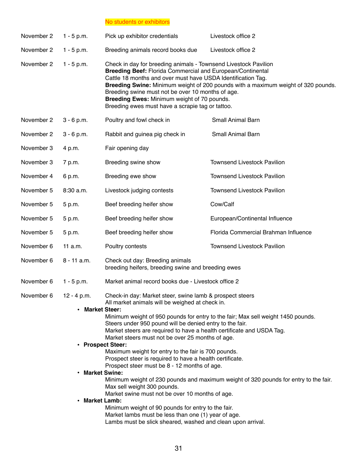No students or exhibitors

| November 2 | $1 - 5 p.m.$  | Pick up exhibitor credentials                                                                                                                                                                                                                                                                                                                                                                                                                                                                                                                                                                                                                                                                                                                                                                                                                                                                                                                                                                  | Livestock office 2                                                                |
|------------|---------------|------------------------------------------------------------------------------------------------------------------------------------------------------------------------------------------------------------------------------------------------------------------------------------------------------------------------------------------------------------------------------------------------------------------------------------------------------------------------------------------------------------------------------------------------------------------------------------------------------------------------------------------------------------------------------------------------------------------------------------------------------------------------------------------------------------------------------------------------------------------------------------------------------------------------------------------------------------------------------------------------|-----------------------------------------------------------------------------------|
| November 2 | $1 - 5 p.m.$  | Breeding animals record books due                                                                                                                                                                                                                                                                                                                                                                                                                                                                                                                                                                                                                                                                                                                                                                                                                                                                                                                                                              | Livestock office 2                                                                |
| November 2 | $1 - 5 p.m.$  | Check in day for breeding animals - Townsend Livestock Pavilion<br>Breeding Beef: Florida Commercial and European/Continental<br>Cattle 18 months and over must have USDA Identification Tag.<br>Breeding swine must not be over 10 months of age.<br>Breeding Ewes: Minimum weight of 70 pounds.<br>Breeding ewes must have a scrapie tag or tattoo.                                                                                                                                                                                                                                                                                                                                                                                                                                                                                                                                                                                                                                          | Breeding Swine: Minimum weight of 200 pounds with a maximum weight of 320 pounds. |
| November 2 | $3 - 6 p.m.$  | Poultry and fowl check in                                                                                                                                                                                                                                                                                                                                                                                                                                                                                                                                                                                                                                                                                                                                                                                                                                                                                                                                                                      | Small Animal Barn                                                                 |
| November 2 | $3 - 6 p.m.$  | Rabbit and guinea pig check in                                                                                                                                                                                                                                                                                                                                                                                                                                                                                                                                                                                                                                                                                                                                                                                                                                                                                                                                                                 | Small Animal Barn                                                                 |
| November 3 | 4 p.m.        | Fair opening day                                                                                                                                                                                                                                                                                                                                                                                                                                                                                                                                                                                                                                                                                                                                                                                                                                                                                                                                                                               |                                                                                   |
| November 3 | 7 p.m.        | Breeding swine show                                                                                                                                                                                                                                                                                                                                                                                                                                                                                                                                                                                                                                                                                                                                                                                                                                                                                                                                                                            | <b>Townsend Livestock Pavilion</b>                                                |
| November 4 | 6 p.m.        | Breeding ewe show                                                                                                                                                                                                                                                                                                                                                                                                                                                                                                                                                                                                                                                                                                                                                                                                                                                                                                                                                                              | <b>Townsend Livestock Pavilion</b>                                                |
| November 5 | 8:30 a.m.     | Livestock judging contests                                                                                                                                                                                                                                                                                                                                                                                                                                                                                                                                                                                                                                                                                                                                                                                                                                                                                                                                                                     | <b>Townsend Livestock Pavilion</b>                                                |
| November 5 | 5 p.m.        | Beef breeding heifer show                                                                                                                                                                                                                                                                                                                                                                                                                                                                                                                                                                                                                                                                                                                                                                                                                                                                                                                                                                      | Cow/Calf                                                                          |
| November 5 | 5 p.m.        | Beef breeding heifer show                                                                                                                                                                                                                                                                                                                                                                                                                                                                                                                                                                                                                                                                                                                                                                                                                                                                                                                                                                      | European/Continental Influence                                                    |
| November 5 | 5 p.m.        | Beef breeding heifer show                                                                                                                                                                                                                                                                                                                                                                                                                                                                                                                                                                                                                                                                                                                                                                                                                                                                                                                                                                      | Florida Commercial Brahman Influence                                              |
| November 6 | 11 a.m.       | Poultry contests                                                                                                                                                                                                                                                                                                                                                                                                                                                                                                                                                                                                                                                                                                                                                                                                                                                                                                                                                                               | <b>Townsend Livestock Pavilion</b>                                                |
| November 6 | $8 - 11$ a.m. | Check out day: Breeding animals<br>breeding heifers, breeding swine and breeding ewes                                                                                                                                                                                                                                                                                                                                                                                                                                                                                                                                                                                                                                                                                                                                                                                                                                                                                                          |                                                                                   |
| November 6 | $1 - 5 p.m.$  | Market animal record books due - Livestock office 2                                                                                                                                                                                                                                                                                                                                                                                                                                                                                                                                                                                                                                                                                                                                                                                                                                                                                                                                            |                                                                                   |
| November 6 | 12 - 4 p.m.   | Check-in day: Market steer, swine lamb & prospect steers<br>All market animals will be weighed at check in.<br>• Market Steer:<br>Minimum weight of 950 pounds for entry to the fair; Max sell weight 1450 pounds.<br>Steers under 950 pound will be denied entry to the fair.<br>Market steers are required to have a health certificate and USDA Tag.<br>Market steers must not be over 25 months of age.<br>• Prospect Steer:<br>Maximum weight for entry to the fair is 700 pounds.<br>Prospect steer is required to have a health certificate.<br>Prospect steer must be 8 - 12 months of age.<br>• Market Swine:<br>Minimum weight of 230 pounds and maximum weight of 320 pounds for entry to the fair.<br>Max sell weight 300 pounds.<br>Market swine must not be over 10 months of age.<br>• Market Lamb:<br>Minimum weight of 90 pounds for entry to the fair.<br>Market lambs must be less than one (1) year of age.<br>Lambs must be slick sheared, washed and clean upon arrival. |                                                                                   |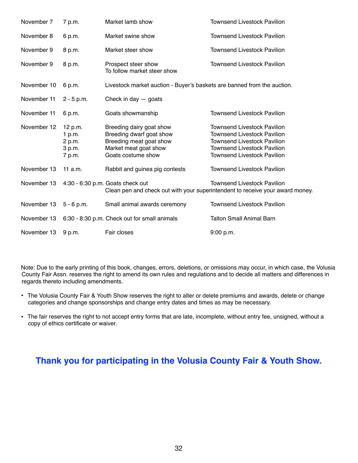| November 7  | 7 p.m.                                          | Market lamb show                                                                                                               | <b>Townsend Livestock Pavilion</b>                                                                                                                                                         |
|-------------|-------------------------------------------------|--------------------------------------------------------------------------------------------------------------------------------|--------------------------------------------------------------------------------------------------------------------------------------------------------------------------------------------|
| November 8  | 6 p.m.                                          | Market swine show                                                                                                              | <b>Townsend Livestock Pavilion</b>                                                                                                                                                         |
| November 9  | 8 p.m.                                          | Market steer show                                                                                                              | <b>Townsend Livestock Pavilion</b>                                                                                                                                                         |
| November 9  | 8 p.m.                                          | Prospect steer show<br>To follow market steer show                                                                             | <b>Townsend Livestock Pavilion</b>                                                                                                                                                         |
| November 10 | 6 p.m.                                          | Livestock market auction - Buyer's baskets are banned from the auction.                                                        |                                                                                                                                                                                            |
| November 11 | $2 - 5 p.m.$                                    | Check in day $-$ goats                                                                                                         |                                                                                                                                                                                            |
| November 11 | 6 p.m.                                          | Goats showmanship                                                                                                              | <b>Townsend Livestock Pavilion</b>                                                                                                                                                         |
| November 12 | 12 p.m.<br>1 p.m.<br>2 p.m.<br>3 p.m.<br>7 p.m. | Breeding dairy goat show<br>Breeding dwarf goat show<br>Breeding meat goat show<br>Market meat goat show<br>Goats costume show | <b>Townsend Livestock Pavilion</b><br><b>Townsend Livestock Pavilion</b><br><b>Townsend Livestock Pavilion</b><br><b>Townsend Livestock Pavilion</b><br><b>Townsend Livestock Pavilion</b> |
| November 13 | 11 $a.m.$                                       | Rabbit and guinea pig contests                                                                                                 | <b>Townsend Livestock Pavilion</b>                                                                                                                                                         |
| November 13 |                                                 | 4:30 - 6:30 p.m. Goats check out                                                                                               | <b>Townsend Livestock Pavilion</b><br>Clean pen and check out with your superintendent to receive your award money.                                                                        |
| November 13 | $5 - 6 p.m.$                                    | Small animal awards ceremony                                                                                                   | <b>Townsend Livestock Pavilion</b>                                                                                                                                                         |
| November 13 |                                                 | 6:30 - 8:30 p.m. Check out for small animals                                                                                   | <b>Talton Small Animal Barn</b>                                                                                                                                                            |
| November 13 | 9 p.m.                                          | Fair closes                                                                                                                    | 9:00 p.m.                                                                                                                                                                                  |

Note: Due to the early printing of this book, changes, errors, deletions, or omissions may occur, in which case, the Volusia County Fair Assn. reserves the right to amend its own rules and regulations and to decide all matters and differences in regards thereto including amendments.

- **•** The Volusia County Fair & Youth Show reserves the right to alter or delete premiums and awards, delete or change categories and change sponsorships and change entry dates and times as may be necessary.
- **•** The fair reserves the right to not accept entry forms that are late, incomplete, without entry fee, unsigned, without a copy of ethics certificate or waiver.

### **Thank you for participating in the Volusia County Fair & Youth Show.**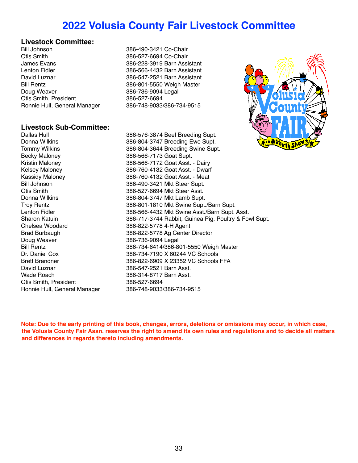### **2022 Volusia County Fair Livestock Committee**

### **Livestock Committee:**

Otis Smith 386-527-6694 Co-Chair James Evans 386-228-3919 Barn Assistant Lenton Fidler 386-566-4432 Barn Assistant David Luznar 386-547-2521 Barn Assistant Bill Rentz 386-801-5550 Weigh Master Doug Weaver 2008 2009 12:00 386-736-9094 Legal Otis Smith, President 386-527-6694 Ronnie Hull, General Manager 386-748-9033/386-734-9515

### **Livestock Sub-Committee:**

Becky Maloney 386-566-7173 Goat Supt. Chelsea Woodard 386-822-5778 4-H Agent Doug Weaver 386-736-9094 Legal Wade Roach 386-314-8717 Barn Asst. Ronnie Hull, General Manager

386-490-3421 Co-Chair

Dallas Hull 386-576-3874 Beef Breeding Supt.<br>
386-804-3747 Breeding Ewe Supt. 386-804-3747 Breeding Ewe Supt. Tommy Wilkins 386-804-3644 Breeding Swine Supt. Kristin Maloney 386-566-7172 Goat Asst. - Dairy Kelsey Maloney 386-760-4132 Goat Asst. - Dwarf Kassidy Maloney 386-760-4132 Goat Asst. - Meat Bill Johnson 386-490-3421 Mkt Steer Supt. 386-527-6694 Mkt Steer Asst. Donna Wilkins 386-804-3747 Mkt Lamb Supt. Troy Rentz **386-801-1810 Mkt Swine Supt.**<br>1986-566-4432 Mkt Swine Asst./Barn Supt.<br>386-566-4432 Mkt Swine Asst./Barn Supt. Lenton Fidler 1986 1996 100 386-566-4432 Mkt Swine Asst./Barn Supt. Asst.<br>386-717-3744 Rabbit. Guinea Pig. Poultry & Four 386-717-3744 Rabbit, Guinea Pig, Poultry & Fowl Supt. Brad Burbaugh 386-822-5778 Ag Center Director Bill Rentz<br>
Dr. Daniel Cox<br>
386-734-7190 X 60244 VC Schools<br>
386-734-7190 X 60244 VC Schools 386-734-7190 X 60244 VC Schools Brett Brandner 386-822-6909 X 23352 VC Schools FFA 386-547-2521 Barn Asst. Otis Smith, President 386-527-6694<br>
Ronnie Hull, General Manager 386-748-9033/386-734-9515

**Note: Due to the early printing of this book, changes, errors, deletions or omissions may occur, in which case, the Volusia County Fair Assn. reserves the right to amend its own rules and regulations and to decide all matters and differences in regards thereto including amendments.**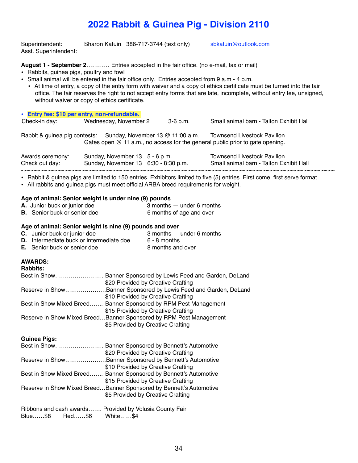Superintendent: Sharon Katuin 386-717-3744 (text only) [sbkatuin@outlook.com](mailto:sbkatuin@outlook.com) Asst. Superintendent:

#### **August 1 - September 2**………… Entries accepted in the fair office. (no e-mail, fax or mail)

- Rabbits, guinea pigs, poultry and fowl
- **•** Small animal will be entered in the fair office only. Entries accepted from 9 a.m 4 p.m.
- At time of entry, a copy of the entry form with waiver and a copy of ethics certificate must be turned into the fair office. The fair reserves the right to not accept entry forms that are late, incomplete, without entry fee, unsigned, without waiver or copy of ethics certificate.

| • Entry fee: \$10 per entry, non-refundable.<br>Check-in day: | Wednesday, November 2                                                  | $3-6$ p.m. | Small animal barn - Talton Exhibit Hall                                                                               |
|---------------------------------------------------------------|------------------------------------------------------------------------|------------|-----------------------------------------------------------------------------------------------------------------------|
|                                                               | Rabbit & guinea pig contests: Sunday, November 13 @ 11:00 a.m.         |            | <b>Townsend Livestock Pavilion</b><br>Gates open $@$ 11 a.m., no access for the general public prior to gate opening. |
| Awards ceremony:<br>Check out day:                            | Sunday, November 13 5 - 6 p.m.<br>Sunday, November 13 6:30 - 8:30 p.m. |            | Townsend Livestock Pavilion<br>Small animal barn - Talton Exhibit Hall                                                |

~~~~~~~~~~~~~~~~~~~~~~~~~~~~~~~~~~~~~~~~~~~~~~~~~~~~~~~~~~~~~~~~~~~~~~~~~~~~~~~~~~~~~~~~~~~~ • Rabbit & guinea pigs are limited to 150 entries. Exhibitors limited to five (5) entries. First come, first serve format.

• All rabbits and guinea pigs must meet official ARBA breed requirements for weight.

#### **Age of animal: Senior weight is under nine (9) pounds**

| A. Junior buck or junior doe        | $3$ months $-$ under 6 months |
|-------------------------------------|-------------------------------|
| <b>B.</b> Senior buck or senior doe | 6 months of age and over      |

#### **Age of animal: Senior weight is nine (9) pounds and over**

| <b>C.</b> Junior buck or junior doe             | $3$ months $-$ under 6 months |
|-------------------------------------------------|-------------------------------|
| <b>D.</b> Intermediate buck or intermediate doe | $6 - 8$ months                |
| <b>E.</b> Senior buck or senior doe             | 8 months and over             |

### **AWARDS:**

| <b>Rabbits:</b> |                                                                    |
|-----------------|--------------------------------------------------------------------|
| Best in Show    | Banner Sponsored by Lewis Feed and Garden, DeLand                  |
|                 | \$20 Provided by Creative Crafting                                 |
|                 | Reserve in ShowBanner Sponsored by Lewis Feed and Garden, DeLand   |
|                 | \$10 Provided by Creative Crafting                                 |
|                 | Best in Show Mixed Breed Banner Sponsored by RPM Pest Management   |
|                 | \$15 Provided by Creative Crafting                                 |
|                 | Reserve in Show Mixed BreedBanner Sponsored by RPM Pest Management |
|                 | \$5 Provided by Creative Crafting                                  |

**Guinea Pigs:**

| Best in Show    | Banner Sponsored by Bennett's Automotive                            |
|-----------------|---------------------------------------------------------------------|
|                 | \$20 Provided by Creative Crafting                                  |
| Reserve in Show | Banner Sponsored by Bennett's Automotive                            |
|                 | \$10 Provided by Creative Crafting                                  |
|                 | Best in Show Mixed Breed Banner Sponsored by Bennett's Automotive   |
|                 | \$15 Provided by Creative Crafting                                  |
|                 | Reserve in Show Mixed BreedBanner Sponsored by Bennett's Automotive |
|                 | \$5 Provided by Creative Crafting                                   |
|                 | Ribbons and cash awards Provided by Volusia County Fair             |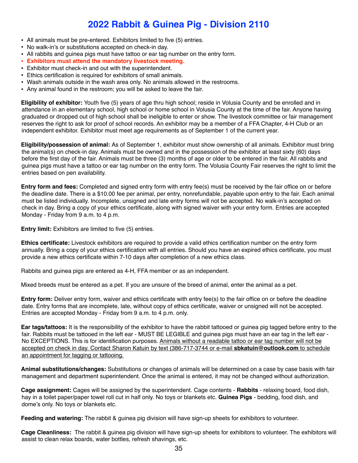- All animals must be pre-entered. Exhibitors limited to five (5) entries.
- No walk-in's or substitutions accepted on check-in day.
- All rabbits and guinea pigs must have tattoo or ear tag number on the entry form.
- **• Exhibitors must attend the mandatory livestock meeting.**
- Exhibitor must check-in and out with the superintendent.
- Ethics certification is required for exhibitors of small animals.
- Wash animals outside in the wash area only. No animals allowed in the restrooms.
- Any animal found in the restroom; you will be asked to leave the fair.

**Eligibility of exhibitor:** Youth five (5) years of age thru high school; reside in Volusia County and be enrolled and in attendance in an elementary school, high school or home school in Volusia County at the time of the fair. Anyone having graduated or dropped out of high school shall be ineligible to enter or show. The livestock committee or fair management reserves the right to ask for proof of school records. An exhibitor may be a member of a FFA Chapter, 4-H Club or an independent exhibitor. Exhibitor must meet age requirements as of September 1 of the current year.

**Eligibility/possession of animal:** As of September 1, exhibitor must show ownership of all animals. Exhibitor must bring the animal(s) on check-in day. Animals must be owned and in the possession of the exhibitor at least sixty (60) days before the first day of the fair. Animals must be three (3) months of age or older to be entered in the fair. All rabbits and guinea pigs must have a tattoo or ear tag number on the entry form. The Volusia County Fair reserves the right to limit the entries based on pen availability.

**Entry form and fees:** Completed and signed entry form with entry fee(s) must be received by the fair office on or before the deadline date. There is a \$10.00 fee per animal, per entry, nonrefundable, payable upon entry to the fair. Each animal must be listed individually. Incomplete, unsigned and late entry forms will not be accepted. No walk-in's accepted on check in day. Bring a copy of your ethics certificate, along with signed waiver with your entry form. Entries are accepted Monday - Friday from 9 a.m. to 4 p.m.

**Entry limit:** Exhibitors are limited to five (5) entries.

**Ethics certificate:** Livestock exhibitors are required to provide a valid ethics certification number on the entry form annually. Bring a copy of your ethics certification with all entries. Should you have an expired ethics certificate, you must provide a new ethics certificate within 7-10 days after completion of a new ethics class.

Rabbits and guinea pigs are entered as 4-H, FFA member or as an independent.

Mixed breeds must be entered as a pet. If you are unsure of the breed of animal, enter the animal as a pet.

**Entry form:** Deliver entry form, waiver and ethics certificate with entry fee(s) to the fair office on or before the deadline date. Entry forms that are incomplete, late, without copy of ethics certificate, waiver or unsigned will not be accepted. Entries are accepted Monday - Friday from 9 a.m. to 4 p.m. only.

**Ear tags/tattoos:** It is the responsibility of the exhibitor to have the rabbit tattooed or guinea pig tagged before entry to the fair. Rabbits must be tattooed in the left ear - MUST BE LEGIBLE and guinea pigs must have an ear tag in the left ear - No EXCEPTIONS. This is for identification purposes. Animals without a readable tattoo or ear tag number will not be accepted on check in day. Contact Sharon Katuin by text (386-717-3744 or e-mail **[sbkatuin@outlook.com](mailto:sbkatuin@outlook.com)** to schedule an appointment for tagging or tattooing.

**Animal substitutions/changes:** Substitutions or changes of animals will be determined on a case by case basis with fair management and department superintendent. Once the animal is entered, it may not be changed without authorization.

**Cage assignment:** Cages will be assigned by the superintendent. Cage contents - **Rabbits** - relaxing board, food dish, hay in a toilet paper/paper towel roll cut in half only. No toys or blankets etc. **Guinea Pigs** - bedding, food dish, and dome's only. No toys or blankets etc.

**Feeding and watering:** The rabbit & guinea pig division will have sign-up sheets for exhibitors to volunteer.

**Cage Cleanliness:** The rabbit & guinea pig division will have sign-up sheets for exhibitors to volunteer. The exhibitors will assist to clean relax boards, water bottles, refresh shavings, etc.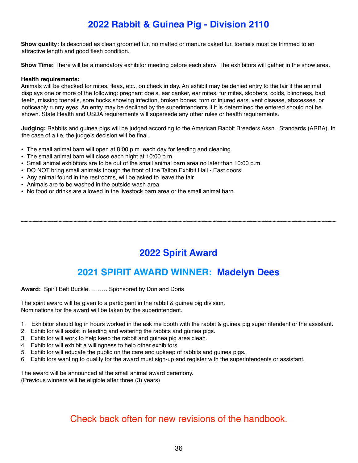**Show quality:** Is described as clean groomed fur, no matted or manure caked fur, toenails must be trimmed to an attractive length and good flesh condition.

**Show Time:** There will be a mandatory exhibitor meeting before each show. The exhibitors will gather in the show area.

#### **Health requirements:**

Animals will be checked for mites, fleas, etc., on check in day. An exhibit may be denied entry to the fair if the animal displays one or more of the following: pregnant doe's, ear canker, ear mites, fur mites, slobbers, colds, blindness, bad teeth, missing toenails, sore hocks showing infection, broken bones, torn or injured ears, vent disease, abscesses, or noticeably runny eyes. An entry may be declined by the superintendents if it is determined the entered should not be shown. State Health and USDA requirements will supersede any other rules or health requirements.

**Judging:** Rabbits and guinea pigs will be judged according to the American Rabbit Breeders Assn., Standards (ARBA). In the case of a tie, the judge's decision will be final.

- **•** The small animal barn will open at 8:00 p.m. each day for feeding and cleaning.
- **•** The small animal barn will close each night at 10:00 p.m.
- **•** Small animal exhibitors are to be out of the small animal barn area no later than 10:00 p.m.
- **•** DO NOT bring small animals though the front of the Talton Exhibit Hall East doors.
- **•** Any animal found in the restrooms, will be asked to leave the fair.
- **•** Animals are to be washed in the outside wash area.
- **•** No food or drinks are allowed in the livestock barn area or the small animal barn.

### **2022 Spirit Award**

~~~~~~~~~~~~~~~~~~~~~~~~~~~~~~~~~~~~~~~~~~~~~~~~~~~~~~~~~~~~~~~~~~~~~~~~~~~~~~~~~~~~

### **2021 SPIRIT AWARD WINNER: Madelyn Dees**

**Award:** Spirit Belt Buckle………. Sponsored by Don and Doris

The spirit award will be given to a participant in the rabbit & guinea pig division. Nominations for the award will be taken by the superintendent.

- 1. Exhibitor should log in hours worked in the ask me booth with the rabbit & guinea pig superintendent or the assistant.
- 2. Exhibitor will assist in feeding and watering the rabbits and guinea pigs.
- 3. Exhibitor will work to help keep the rabbit and guinea pig area clean.
- 4. Exhibitor will exhibit a willingness to help other exhibitors.
- 5. Exhibitor will educate the public on the care and upkeep of rabbits and guinea pigs.
- 6. Exhibitors wanting to qualify for the award must sign-up and register with the superintendents or assistant.

The award will be announced at the small animal award ceremony.

(Previous winners will be eligible after three (3) years)

### Check back often for new revisions of the handbook.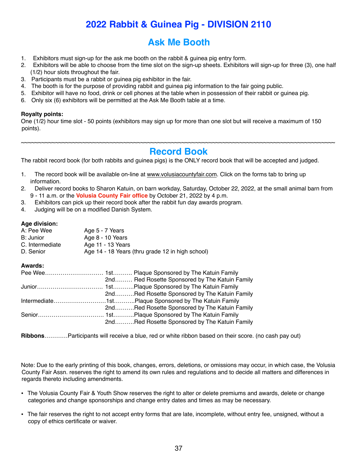### **2022 Rabbit & Guinea Pig - DIVISION 2110**

### **Ask Me Booth**

- 1. Exhibitors must sign-up for the ask me booth on the rabbit & guinea pig entry form.
- 2. Exhibitors will be able to choose from the time slot on the sign-up sheets. Exhibitors will sign-up for three (3), one half (1/2) hour slots throughout the fair.
- 3. Participants must be a rabbit or guinea pig exhibitor in the fair.
- 4. The booth is for the purpose of providing rabbit and guinea pig information to the fair going public.
- 5. Exhibitor will have no food, drink or cell phones at the table when in possession of their rabbit or guinea pig.
- 6. Only six (6) exhibitors will be permitted at the Ask Me Booth table at a time.

#### **Royalty points:**

One (1/2) hour time slot - 50 points (exhibitors may sign up for more than one slot but will receive a maximum of 150 points).

#### ~~~~~~~~~~~~~~~~~~~~~~~~~~~~~~~~~~~~~~~~~~~~~~~~~~~~~~~~~~~~~~~~~~~~~~~~~~~~~~~~~~~~~~~~~~~~ **Record Book**

The rabbit record book (for both rabbits and guinea pigs) is the ONLY record book that will be accepted and judged.

- 1. The record book will be available on-line at [www.volusiacountyfair.com.](http://www.volusiacountyfair.com) Click on the forms tab to bring up information.
- 2. Deliver record books to Sharon Katuin, on barn workday, Saturday, October 22, 2022, at the small animal barn from 9 - 11 a.m. or the **Volusia County Fair office** by October 21, 2022 by 4 p.m.
- 3. Exhibitors can pick up their record book after the rabbit fun day awards program.
- 4. Judging will be on a modified Danish System.

#### **Age division:**

| A: Pee Wee      | Age 5 - 7 Years                                  |
|-----------------|--------------------------------------------------|
| B: Junior       | Age 8 - 10 Years                                 |
| C. Intermediate | Age 11 - 13 Years                                |
| D. Senior       | Age 14 - 18 Years (thru grade 12 in high school) |

#### **Awards:**

| 2nd Red Rosette Sponsored by The Katuin Family |
|------------------------------------------------|
|                                                |
| 2ndRed Rosette Sponsored by The Katuin Family  |
|                                                |
| 2ndRed Rosette Sponsored by The Katuin Family  |
|                                                |
| 2ndRed Rosette Sponsored by The Katuin Family  |
|                                                |

**Ribbons**…………Participants will receive a blue, red or white ribbon based on their score. (no cash pay out)

Note: Due to the early printing of this book, changes, errors, deletions, or omissions may occur, in which case, the Volusia County Fair Assn. reserves the right to amend its own rules and regulations and to decide all matters and differences in regards thereto including amendments.

- **•** The Volusia County Fair & Youth Show reserves the right to alter or delete premiums and awards, delete or change categories and change sponsorships and change entry dates and times as may be necessary.
- **•** The fair reserves the right to not accept entry forms that are late, incomplete, without entry fee, unsigned, without a copy of ethics certificate or waiver.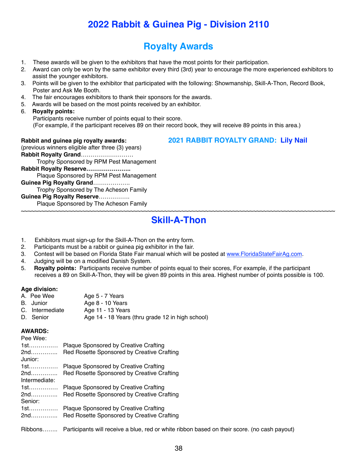### **Royalty Awards**

- 1. These awards will be given to the exhibitors that have the most points for their participation.
- 2. Award can only be won by the same exhibitor every third (3rd) year to encourage the more experienced exhibitors to assist the younger exhibitors.
- 3. Points will be given to the exhibitor that participated with the following: Showmanship, Skill-A-Thon, Record Book, Poster and Ask Me Booth.
- 4. The fair encourages exhibitors to thank their sponsors for the awards.
- 5. Awards will be based on the most points received by an exhibitor.
- 6. **Royalty points:**

 Participants receive number of points equal to their score. (For example, if the participant receives 89 on their record book, they will receive 89 points in this area.)

**Rabbit and guinea pig royalty awards: 2021 RABBIT ROYALTY GRAND: Lily Nail** (previous winners eligible after three (3) years) **Rabbit Royalty Grand**……………………… Trophy Sponsored by RPM Pest Management **Rabbit Royalty Reserve…………………..** Plaque Sponsored by RPM Pest Management **Guinea Pig Royalty Grand**………………. Trophy Sponsored by The Acheson Family **Guinea Pig Royalty Reserve**……………. Plaque Sponsored by The Acheson Family

#### ~~~~~~~~~~~~~~~~~~~~~~~~~~~~~~~~~~~~~~~~~~~~~~~~~~~~~~~~~~~~~~~~~~~~~~~~~~~~~~~~~~~~~~~~~~~~ **Skill-A-Thon**

- 1. Exhibitors must sign-up for the Skill-A-Thon on the entry form.
- 2. Participants must be a rabbit or guinea pig exhibitor in the fair.
- 3. Contest will be based on Florida State Fair manual which will be posted at [www.FloridaStateFairAg.com.](http://www.FloridaStateFairAg.com)
- 4. Judging will be on a modified Danish System.
- 5. **Royalty points:** Participants receive number of points equal to their scores, For example, if the participant receives a 89 on Skill-A-Thon, they will be given 89 points in this area. Highest number of points possible is 100.

#### **Age division:**

- A. Pee Wee Age 5 7 Years<br>B. Junior Age 8 10 Years Age 8 - 10 Years C. Intermediate Age 11 - 13 Years
- D. Senior Age 14 18 Years (thru grade 12 in high school)

#### **AWARDS:**

| Pee Wee:                  |                                                                                            |
|---------------------------|--------------------------------------------------------------------------------------------|
| 1st……………                  | Plaque Sponsored by Creative Crafting                                                      |
| 2nd<br>Junior:            | Red Rosette Sponsored by Creative Crafting                                                 |
| 1st.                      | <b>Plaque Sponsored by Creative Crafting</b>                                               |
| 2nd……………<br>Intermediate: | Red Rosette Sponsored by Creative Crafting                                                 |
| 1st……………                  | Plaque Sponsored by Creative Crafting                                                      |
| 2nd……………<br>Senior:       | Red Rosette Sponsored by Creative Crafting                                                 |
| 1st.<br>2nd               | <b>Plaque Sponsored by Creative Crafting</b><br>Red Rosette Sponsored by Creative Crafting |

Ribbons…….. Participants will receive a blue, red or white ribbon based on their score. (no cash payout)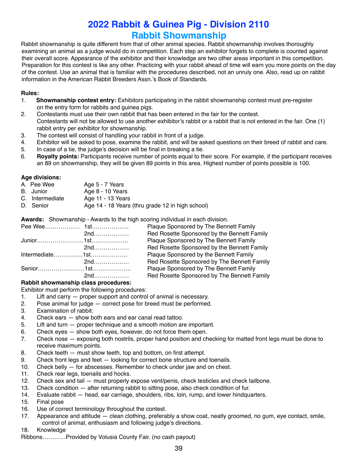### **2022 Rabbit & Guinea Pig - Division 2110 Rabbit Showmanship**

Rabbit showmanship is quite different from that of other animal species. Rabbit showmanship involves thoroughly examining an animal as a judge would do in competition. Each step an exhibitor forgets to complete is counted against their overall score. Appearance of the exhibitor and their knowledge are two other areas important in this competition. Preparation for this contest is like any other. Practicing with your rabbit ahead of time will earn you more points on the day of the contest. Use an animal that is familiar with the procedures described, not an unruly one. Also, read up on rabbit information in the American Rabbit Breeders Assn.'s Book of Standards.

#### **Rules:**

- 1. **Showmanship contest entry:** Exhibitors participating in the rabbit showmanship contest must pre-register on the entry form for rabbits and guinea pigs.
- 2. Contestants must use their own rabbit that has been entered in the fair for the contest. Contestants will not be allowed to use another exhibitor's rabbit or a rabbit that is not entered in the fair. One (1) rabbit entry per exhibitor for showmanship.
- 3. The contest will consist of handling your rabbit in front of a judge.
- 4. Exhibitor will be asked to pose, examine the rabbit, and will be asked questions on their breed of rabbit and care.
- 5. In case of a tie, the judge's decision will be final in breaking a tie.
- 6. **Royalty points:** Participants receive number of points equal to their score. For example, if the participant receives an 89 on showmanship, they will be given 89 points in this area. Highest number of points possible is 100.

### **Age divisions:**

- Age 5 7 Years
- B. Junior Age 8 10 Years
- C. Intermediate Age 11 13 Years
- D. Senior Age 14 18 Years (thru grade 12 in high school)

**Awards:** Showmanship - Awards to the high scoring individual in each division.

|                    | Plaque Sponsored by The Bennett Family      |
|--------------------|---------------------------------------------|
|                    | Red Rosette Sponsored by the Bennett Family |
|                    | Plaque Sponsored by The Bennett Family      |
|                    | Red Rosette Sponsored by the Bennett Family |
|                    | Plaque Sponsored by the Bennett Family      |
| 2nd                | Red Rosette Sponsored by The Bennett Family |
|                    | Plaque Sponsored by The Bennett Family      |
| $2nd$ <sub>u</sub> | Red Rosette Sponsored by The Bennett Family |

#### **Rabbit showmanship class procedures:**

Exhibitor must perform the following procedures:

- 1. Lift and carry proper support and control of animal is necessary.
- 2. Pose animal for judge correct pose for breed must be performed.
- 3. Examination of rabbit:
- 4. Check ears show both ears and ear canal read tattoo.
- 5. Lift and turn proper technique and a smooth motion are important.
- 6. Check eyes show both eyes, however, do not force them open.
- 7. Check nose exposing both nostrils, proper hand position and checking for matted front legs must be done to receive maximum points.
- 8. Check teeth must show teeth, top and bottom, on first attempt.
- 9. Check front legs and feet looking for correct bone structure and toenails.
- 10. Check belly for abscesses. Remember to check under jaw and on chest.
- 11. Check rear legs, toenails and hocks.
- 12. Check sex and tail must properly expose vent/penis, check testicles and check tailbone.
- 13. Check condition after returning rabbit to sitting pose, also check condition of fur.
- 14. Evaluate rabbit head, ear carriage, shoulders, ribs, loin, rump, and lower hindquarters.
- 15. Final pose
- 16. Use of correct terminology throughout the contest.
- 17. Appearance and attitude clean clothing, preferably a show coat, neatly groomed, no gum, eye contact, smile, control of animal, enthusiasm and following judge's directions.
- 18. Knowledge
- Ribbons…………Provided by Volusia County Fair. (no cash payout)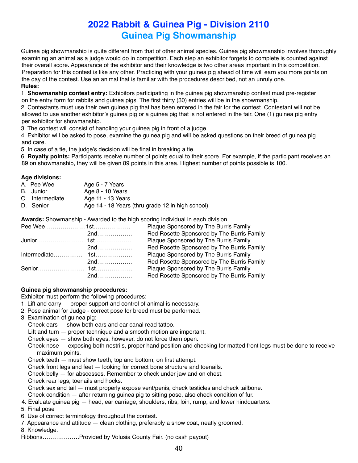### **2022 Rabbit & Guinea Pig - Division 2110 Guinea Pig Showmanship**

Guinea pig showmanship is quite different from that of other animal species. Guinea pig showmanship involves thoroughly examining an animal as a judge would do in competition. Each step an exhibitor forgets to complete is counted against their overall score. Appearance of the exhibitor and their knowledge is two other areas important in this competition. Preparation for this contest is like any other. Practicing with your guinea pig ahead of time will earn you more points on the day of the contest. Use an animal that is familiar with the procedures described, not an unruly one. **Rules:**

1. **Showmanship contest entry:** Exhibitors participating in the guinea pig showmanship contest must pre-register on the entry form for rabbits and guinea pigs. The first thirty (30) entries will be in the showmanship.

2. Contestants must use their own guinea pig that has been entered in the fair for the contest. Contestant will not be allowed to use another exhibitor's guinea pig or a guinea pig that is not entered in the fair. One (1) guinea pig entry per exhibitor for showmanship.

3. The contest will consist of handling your guinea pig in front of a judge.

4. Exhibitor will be asked to pose, examine the guinea pig and will be asked questions on their breed of guinea pig and care.

5. In case of a tie, the judge's decision will be final in breaking a tie.

6. **Royalty points:** Participants receive number of points equal to their score. For example, if the participant receives an 89 on showmanship, they will be given 89 points in this area. Highest number of points possible is 100.

#### **Age divisions:**

| A. Pee Wee      | Age 5 - 7 Years                                  |
|-----------------|--------------------------------------------------|
| B. Junior       | Age $8 - 10$ Years                               |
| C. Intermediate | Age 11 - 13 Years                                |
| D. Senior       | Age 14 - 18 Years (thru grade 12 in high school) |

**Awards:** Showmanship - Awarded to the high scoring individual in each division.

|       | Plaque Sponsored by The Burris Family      |
|-------|--------------------------------------------|
| $2nd$ | Red Rosette Sponsored by The Burris Family |
|       | Plaque Sponsored by The Burris Family      |
| 2nd   | Red Rosette Sponsored by The Burris Family |
|       | Plaque Sponsored by The Burris Family      |
| 2nd   | Red Rosette Sponsored by The Burris Family |
|       | Plaque Sponsored by The Burris Family      |
|       | Red Rosette Sponsored by The Burris Family |

#### **Guinea pig showmanship procedures:**

Exhibitor must perform the following procedures:

- 1. Lift and carry proper support and control of animal is necessary.
- 2. Pose animal for Judge correct pose for breed must be performed.
- 3. Examination of guinea pig:
	- Check ears show both ears and ear canal read tattoo.
	- Lift and turn proper technique and a smooth motion are important.
	- Check eyes show both eyes, however, do not force them open.
	- Check nose exposing both nostrils, proper hand position and checking for matted front legs must be done to receive maximum points.
	- Check teeth must show teeth, top and bottom, on first attempt.
	- Check front legs and feet looking for correct bone structure and toenails.
	- Check belly for abscesses. Remember to check under jaw and on chest.
	- Check rear legs, toenails and hocks.

Check sex and tail — must properly expose vent/penis, check testicles and check tailbone.

- Check condition after returning guinea pig to sitting pose, also check condition of fur.
- 4. Evaluate guinea pig head, ear carriage, shoulders, ribs, loin, rump, and lower hindquarters.
- 5. Final pose
- 6. Use of correct terminology throughout the contest.
- 7. Appearance and attitude clean clothing, preferably a show coat, neatly groomed.

8. Knowledge.

Ribbons……………….Provided by Volusia County Fair. (no cash payout)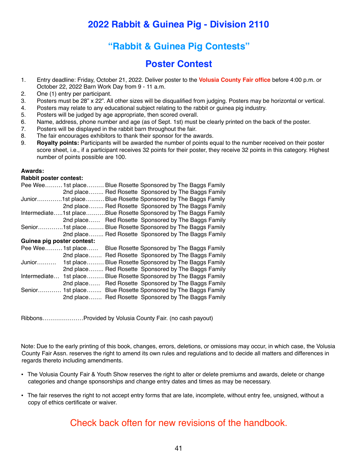### **"Rabbit & Guinea Pig Contests"**

### **Poster Contest**

- 1. Entry deadline: Friday, October 21, 2022. Deliver poster to the **Volusia County Fair office** before 4:00 p.m. or October 22, 2022 Barn Work Day from 9 - 11 a.m.
- 2. One (1) entry per participant.
- 3. Posters must be 28" x 22". All other sizes will be disqualified from judging. Posters may be horizontal or vertical.
- 4. Posters may relate to any educational subject relating to the rabbit or guinea pig industry.
- 5. Posters will be judged by age appropriate, then scored overall.
- 6. Name, address, phone number and age (as of Sept. 1st) must be clearly printed on the back of the poster.
- 7. Posters will be displayed in the rabbit barn throughout the fair.
- 8. The fair encourages exhibitors to thank their sponsor for the awards.
- 9. **Royalty points:** Participants will be awarded the number of points equal to the number received on their poster score sheet, i.e., if a participant receives 32 points for their poster, they receive 32 points in this category. Highest number of points possible are 100.

#### **Awards:**

#### **Rabbit poster contest:**

| Pee Wee                    | 1st place       |  |  | Blue Rosette Sponsored by The Baggs Family |
|----------------------------|-----------------|--|--|--------------------------------------------|
|                            | 2nd place       |  |  | Red Rosette Sponsored by The Baggs Family  |
| Junior                     | .1st place      |  |  | Blue Rosette Sponsored by The Baggs Family |
|                            | 2nd place       |  |  | Red Rosette Sponsored by The Baggs Family  |
| Intermediate1st place      |                 |  |  | Blue Rosette Sponsored by The Baggs Family |
|                            | 2nd place       |  |  | Red Rosette Sponsored by The Baggs Family  |
|                            | Senior1st place |  |  | Blue Rosette Sponsored by The Baggs Family |
|                            | 2nd place       |  |  | Red Rosette Sponsored by The Baggs Family  |
| Guinea pig poster contest: |                 |  |  |                                            |
| Pee Wee 1st place          |                 |  |  | Blue Rosette Sponsored by The Baggs Family |
|                            | 2nd place       |  |  | Red Rosette Sponsored by The Baggs Family  |
| Junior                     | 1st place       |  |  | Blue Rosette Sponsored by The Baggs Family |
|                            | 2nd place       |  |  | Red Rosette Sponsored by The Baggs Family  |
| Intermediate               | 1st place       |  |  | Blue Rosette Sponsored by The Baggs Family |
|                            | 2nd place       |  |  | Red Rosette Sponsored by The Baggs Family  |
| $Senior$                   | 1st place       |  |  | Blue Rosette Sponsored by The Baggs Family |
|                            | 2nd place       |  |  | Red Rosette Sponsored by The Baggs Family  |

Ribbons…………………Provided by Volusia County Fair. (no cash payout)

Note: Due to the early printing of this book, changes, errors, deletions, or omissions may occur, in which case, the Volusia County Fair Assn. reserves the right to amend its own rules and regulations and to decide all matters and differences in regards thereto including amendments.

- **•** The Volusia County Fair & Youth Show reserves the right to alter or delete premiums and awards, delete or change categories and change sponsorships and change entry dates and times as may be necessary.
- **•** The fair reserves the right to not accept entry forms that are late, incomplete, without entry fee, unsigned, without a copy of ethics certificate or waiver.

### Check back often for new revisions of the handbook.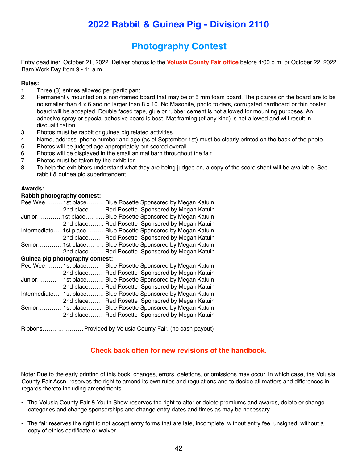### **Photography Contest**

Entry deadline: October 21, 2022. Deliver photos to the **Volusia County Fair office** before 4:00 p.m. or October 22, 2022 Barn Work Day from 9 - 11 a.m.

#### **Rules:**

- 1. Three (3) entries allowed per participant.
- 2. Permanently mounted on a non-framed board that may be of 5 mm foam board. The pictures on the board are to be no smaller than 4 x 6 and no larger than 8 x 10. No Masonite, photo folders, corrugated cardboard or thin poster board will be accepted. Double faced tape, glue or rubber cement is not allowed for mounting purposes. An adhesive spray or special adhesive board is best. Mat framing (of any kind) is not allowed and will result in disqualification.
- 3. Photos must be rabbit or guinea pig related activities.
- 4. Name, address, phone number and age (as of September 1st) must be clearly printed on the back of the photo.
- 5. Photos will be judged age appropriately but scored overall.
- 6. Photos will be displayed in the small animal barn throughout the fair.
- 7. Photos must be taken by the exhibitor.
- 8. To help the exhibitors understand what they are being judged on, a copy of the score sheet will be available. See rabbit & guinea pig superintendent.

#### **Awards:**

#### **Rabbit photography contest:**

|                   | Pee Wee 1st place                                           |  |  | Blue Rosette Sponsored by Megan Katuin |
|-------------------|-------------------------------------------------------------|--|--|----------------------------------------|
|                   | 2nd place                                                   |  |  | Red Rosette Sponsored by Megan Katuin  |
|                   | Junior1st place                                             |  |  | Blue Rosette Sponsored by Megan Katuin |
|                   | 2nd place Red Rosette Sponsored by Megan Katuin             |  |  |                                        |
|                   | Intermediate1st placeBlue Rosette Sponsored by Megan Katuin |  |  |                                        |
|                   | 2nd place Red Rosette Sponsored by Megan Katuin             |  |  |                                        |
|                   | Senior1st place Blue Rosette Sponsored by Megan Katuin      |  |  |                                        |
|                   | 2nd place Red Rosette Sponsored by Megan Katuin             |  |  |                                        |
|                   | Guinea pig photography contest:                             |  |  |                                        |
| Pee Wee 1st place |                                                             |  |  | Blue Rosette Sponsored by Megan Katuin |
|                   | 2nd place                                                   |  |  | Red Rosette Sponsored by Megan Katuin  |
| Junior            | 1st place                                                   |  |  | Blue Rosette Sponsored by Megan Katuin |
|                   | 2nd place                                                   |  |  | Red Rosette Sponsored by Megan Katuin  |
| Intermediate      | 1st place                                                   |  |  | Blue Rosette Sponsored by Megan Katuin |
|                   | 2nd place                                                   |  |  | Red Rosette Sponsored by Megan Katuin  |
| Senior            | 1st place                                                   |  |  | Blue Rosette Sponsored by Megan Katuin |
|                   | 2nd place                                                   |  |  | Red Rosette Sponsored by Megan Katuin  |
|                   |                                                             |  |  |                                        |

Ribbons…………………Provided by Volusia County Fair. (no cash payout)

#### **Check back often for new revisions of the handbook.**

Note: Due to the early printing of this book, changes, errors, deletions, or omissions may occur, in which case, the Volusia County Fair Assn. reserves the right to amend its own rules and regulations and to decide all matters and differences in regards thereto including amendments.

- **•** The Volusia County Fair & Youth Show reserves the right to alter or delete premiums and awards, delete or change categories and change sponsorships and change entry dates and times as may be necessary.
- **•** The fair reserves the right to not accept entry forms that are late, incomplete, without entry fee, unsigned, without a copy of ethics certificate or waiver.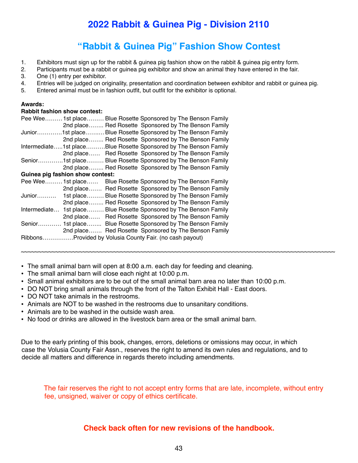### **"Rabbit & Guinea Pig" Fashion Show Contest**

- 1. Exhibitors must sign up for the rabbit & guinea pig fashion show on the rabbit & guinea pig entry form.
- 2. Participants must be a rabbit or guinea pig exhibitor and show an animal they have entered in the fair.
- 3. One (1) entry per exhibitor.
- 4. Entries will be judged on originality, presentation and coordination between exhibitor and rabbit or guinea pig.
- 5. Entered animal must be in fashion outfit, but outfit for the exhibitor is optional.

#### **Awards:**

#### **Rabbit fashion show contest:**

|                   | Pee Wee 1st place Blue Rosette Sponsored by The Benson Family      |  |                                                      |
|-------------------|--------------------------------------------------------------------|--|------------------------------------------------------|
|                   |                                                                    |  | 2nd place Red Rosette Sponsored by The Benson Family |
|                   | Junior1st place Blue Rosette Sponsored by The Benson Family        |  |                                                      |
|                   |                                                                    |  | 2nd place Red Rosette Sponsored by The Benson Family |
|                   | Intermediate1st placeBlue Rosette Sponsored by The Benson Family   |  |                                                      |
|                   |                                                                    |  | 2nd place Red Rosette Sponsored by The Benson Family |
|                   | Senior1st place Blue Rosette Sponsored by The Benson Family        |  |                                                      |
|                   |                                                                    |  | 2nd place Red Rosette Sponsored by The Benson Family |
|                   | Guinea pig fashion show contest:                                   |  |                                                      |
| Pee Wee 1st place |                                                                    |  | Blue Rosette Sponsored by The Benson Family          |
|                   |                                                                    |  | 2nd place Red Rosette Sponsored by The Benson Family |
| Junior            | 1st place Blue Rosette Sponsored by The Benson Family              |  |                                                      |
|                   |                                                                    |  | 2nd place Red Rosette Sponsored by The Benson Family |
|                   | Intermediate 1st place Blue Rosette Sponsored by The Benson Family |  |                                                      |
|                   |                                                                    |  |                                                      |
|                   |                                                                    |  | 2nd place Red Rosette Sponsored by The Benson Family |
|                   | Senior 1st place Blue Rosette Sponsored by The Benson Family       |  |                                                      |
|                   |                                                                    |  | 2nd place Red Rosette Sponsored by The Benson Family |

- **•** The small animal barn will open at 8:00 a.m. each day for feeding and cleaning.
- **•** The small animal barn will close each night at 10:00 p.m.
- **•** Small animal exhibitors are to be out of the small animal barn area no later than 10:00 p.m.

~~~~~~~~~~~~~~~~~~~~~~~~~~~~~~~~~~~~~~~~~~~~~~~~~~~~~~~~~~~~~~~~~~~~~~~~~~~~~~~~~~~~~~~~~~~~

- **•** DO NOT bring small animals through the front of the Talton Exhibit Hall East doors.
- **•** DO NOT take animals in the restrooms.
- **•** Animals are NOT to be washed in the restrooms due to unsanitary conditions.
- **•** Animals are to be washed in the outside wash area.
- **•** No food or drinks are allowed in the livestock barn area or the small animal barn.

Due to the early printing of this book, changes, errors, deletions or omissions may occur, in which case the Volusia County Fair Assn., reserves the right to amend its own rules and regulations, and to decide all matters and difference in regards thereto including amendments.

The fair reserves the right to not accept entry forms that are late, incomplete, without entry fee, unsigned, waiver or copy of ethics certificate.

#### **Check back often for new revisions of the handbook.**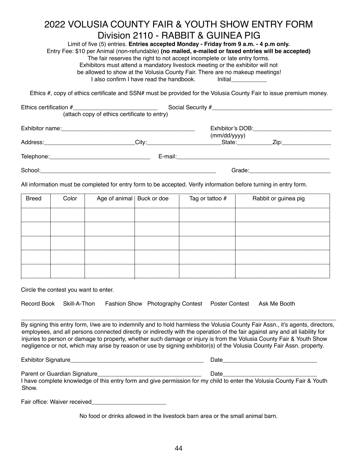### 2022 VOLUSIA COUNTY FAIR & YOUTH SHOW ENTRY FORM Division 2110 - RABBIT & GUINEA PIG

Limit of five (5) entries. **Entries accepted Monday - Friday from 9 a.m. - 4 p.m only.** Entry Fee: \$10 per Animal (non-refundable) **(no mailed, e-mailed or faxed entries will be accepted)** The fair reserves the right to not accept incomplete or late entry forms. Exhibitors must attend a mandatory livestock meeting or the exhibitor will not be allowed to show at the Volusia County Fair. There are no makeup meetings! I also confirm I have read the handbook initial

Ethics #, copy of ethics certificate and SSN# must be provided for the Volusia County Fair to issue premium money.

|         | (attach copy of ethics certificate to entry)                 |                                  |                                          |  |
|---------|--------------------------------------------------------------|----------------------------------|------------------------------------------|--|
|         |                                                              | Exhibitor's DOB:<br>(mm/dd/yyyy) |                                          |  |
|         | Address: City:                                               |                                  | _State:_____________Zip:________________ |  |
|         |                                                              |                                  |                                          |  |
| School: | <u> 1989 - Johann Stein, Amerikaansk politiker (</u> † 1920) |                                  |                                          |  |

All information must be completed for entry form to be accepted. Verify information before turning in entry form.

| <b>Breed</b> | Color | Age of animal   Buck or doe | Tag or tattoo # | Rabbit or guinea pig |
|--------------|-------|-----------------------------|-----------------|----------------------|
|              |       |                             |                 |                      |
|              |       |                             |                 |                      |
|              |       |                             |                 |                      |
|              |       |                             |                 |                      |
|              |       |                             |                 |                      |

Circle the contest you want to enter.

|  |  |  | Record Book Skill-A-Thon Fashion Show Photography Contest Poster Contest Ask Me Booth |  |  |
|--|--|--|---------------------------------------------------------------------------------------|--|--|
|--|--|--|---------------------------------------------------------------------------------------|--|--|

By signing this entry form, I/we are to indemnify and to hold harmless the Volusia County Fair Assn., it's agents, directors, employees, and all persons connected directly or indirectly with the operation of the fair against any and all liability for injuries to person or damage to property, whether such damage or injury is from the Volusia County Fair & Youth Show negligence or not, which may arise by reason or use by signing exhibitor(s) of the Volusia County Fair Assn. property.

 $\Box$ 

Exhibitor Signature\_\_\_\_\_\_\_\_\_\_\_\_\_\_\_\_\_\_\_\_\_\_\_\_\_\_\_\_\_\_\_\_\_\_\_\_\_\_\_\_\_ Date\_\_\_\_\_\_\_\_\_\_\_\_\_\_\_\_\_\_\_\_\_\_\_\_\_\_\_\_\_

Parent or Guardian Signature extending the state of Date

I have complete knowledge of this entry form and give permission for my child to enter the Volusia County Fair & Youth **Show** 

Fair office: Waiver received

No food or drinks allowed in the livestock barn area or the small animal barn.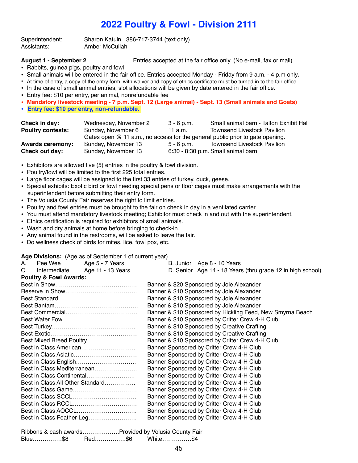Superintendent: Sharon Katuin 386-717-3744 (text only) Assistants: Amber McCullah

**August 1 - September 2**……………………Entries accepted at the fair office only. (No e-mail, fax or mail)

- Rabbits, guinea pigs, poultry and fowl
- **•** Small animals will be entered in the fair office. Entries accepted Monday Friday from 9 a.m. 4 p.m only**.**
- At time of entry, a copy of the entry form, with waiver and copy of ethics certificate must be turned in to the fair office.
- In the case of small animal entries, slot allocations will be given by date entered in the fair office.
- Entry fee: \$10 per entry, per animal, nonrefundable fee
- **• Mandatory livestock meeting 7 p.m. Sept. 12 (Large animal) Sept. 13 (Small animals and Goats)**
- **• Entry fee: \$10 per entry, non-refundable.**

| Check in day:            | Wednesday, November 2                                                           | $3 - 6$ p.m. | Small animal barn - Talton Exhibit Hall |
|--------------------------|---------------------------------------------------------------------------------|--------------|-----------------------------------------|
| <b>Poultry contests:</b> | Sunday, November 6                                                              | 11 a.m.      | <b>Townsend Livestock Pavilion</b>      |
|                          | Gates open $@$ 11 a.m., no access for the general public prior to gate opening. |              |                                         |
| <b>Awards ceremony:</b>  | Sunday, November 13                                                             | 5 - 6 p.m.   | <b>Townsend Livestock Pavilion</b>      |
| Check out day:           | Sunday, November 13                                                             |              | 6:30 - 8:30 p.m. Small animal barn      |

- Exhibitors are allowed five (5) entries in the poultry & fowl division.
- Poultry/fowl will be limited to the first 225 total entries.
- Large floor cages will be assigned to the first 33 entries of turkey, duck, geese.
- Special exhibits: Exotic bird or fowl needing special pens or floor cages must make arrangements with the superintendent before submitting their entry form.
- The Volusia County Fair reserves the right to limit entries.
- Poultry and fowl entries must be brought to the fair on check in day in a ventilated carrier.
- You must attend mandatory livestock meeting; Exhibitor must check in and out with the superintendent.
- Ethics certification is required for exhibitors of small animals.
- Wash and dry animals at home before bringing to check-in.
- Any animal found in the restrooms, will be asked to leave the fair.
- Do wellness check of birds for mites, lice, fowl pox, etc.

**Age Divisions:** (Age as of September 1 of current year)

| C.<br>Age 11 - 13 Years<br>D. Senior Age 14 - 18 Years (thru grade 12 in high school)<br>Intermediate<br><b>Poultry &amp; Fowl Awards:</b><br>Banner & \$20 Sponsored by Joie Alexander<br>Banner & \$10 Sponsored by Joie Alexander<br>Banner & \$10 Sponsored by Joie Alexander<br>Banner & \$10 Sponsored by Joie Alexander<br>Banner & \$10 Sponsored by Hickling Feed, New Smyrna Beach<br>Banner & \$10 Sponsored by Critter Crew 4-H Club<br>Banner & \$10 Sponsored by Creative Crafting<br>Banner & \$10 Sponsored by Creative Crafting<br>Best Mixed Breed Poultry<br>Banner & \$10 Sponsored by Critter Crew 4-H Club |
|----------------------------------------------------------------------------------------------------------------------------------------------------------------------------------------------------------------------------------------------------------------------------------------------------------------------------------------------------------------------------------------------------------------------------------------------------------------------------------------------------------------------------------------------------------------------------------------------------------------------------------|
|                                                                                                                                                                                                                                                                                                                                                                                                                                                                                                                                                                                                                                  |
|                                                                                                                                                                                                                                                                                                                                                                                                                                                                                                                                                                                                                                  |
|                                                                                                                                                                                                                                                                                                                                                                                                                                                                                                                                                                                                                                  |
|                                                                                                                                                                                                                                                                                                                                                                                                                                                                                                                                                                                                                                  |
|                                                                                                                                                                                                                                                                                                                                                                                                                                                                                                                                                                                                                                  |
|                                                                                                                                                                                                                                                                                                                                                                                                                                                                                                                                                                                                                                  |
|                                                                                                                                                                                                                                                                                                                                                                                                                                                                                                                                                                                                                                  |
|                                                                                                                                                                                                                                                                                                                                                                                                                                                                                                                                                                                                                                  |
|                                                                                                                                                                                                                                                                                                                                                                                                                                                                                                                                                                                                                                  |
|                                                                                                                                                                                                                                                                                                                                                                                                                                                                                                                                                                                                                                  |
|                                                                                                                                                                                                                                                                                                                                                                                                                                                                                                                                                                                                                                  |
| Best in Class American<br>Banner Sponsored by Critter Crew 4-H Club                                                                                                                                                                                                                                                                                                                                                                                                                                                                                                                                                              |
| Banner Sponsored by Critter Crew 4-H Club                                                                                                                                                                                                                                                                                                                                                                                                                                                                                                                                                                                        |
| Banner Sponsored by Critter Crew 4-H Club                                                                                                                                                                                                                                                                                                                                                                                                                                                                                                                                                                                        |
| Best in Class Mediterranean<br>Banner Sponsored by Critter Crew 4-H Club                                                                                                                                                                                                                                                                                                                                                                                                                                                                                                                                                         |
| Best in Class Continental<br>Banner Sponsored by Critter Crew 4-H Club                                                                                                                                                                                                                                                                                                                                                                                                                                                                                                                                                           |
| Best in Class All Other Standard<br>Banner Sponsored by Critter Crew 4-H Club                                                                                                                                                                                                                                                                                                                                                                                                                                                                                                                                                    |
| Banner Sponsored by Critter Crew 4-H Club                                                                                                                                                                                                                                                                                                                                                                                                                                                                                                                                                                                        |
| Banner Sponsored by Critter Crew 4-H Club                                                                                                                                                                                                                                                                                                                                                                                                                                                                                                                                                                                        |
| Banner Sponsored by Critter Crew 4-H Club                                                                                                                                                                                                                                                                                                                                                                                                                                                                                                                                                                                        |
| Best in Class AOCCL<br>Banner Sponsored by Critter Crew 4-H Club                                                                                                                                                                                                                                                                                                                                                                                                                                                                                                                                                                 |
| Best in Class Feather Leg<br>Banner Sponsored by Critter Crew 4-H Club                                                                                                                                                                                                                                                                                                                                                                                                                                                                                                                                                           |

|         |        | Ribbons & cash awards Provided by Volusia County Fair |  |
|---------|--------|-------------------------------------------------------|--|
| Blue\$8 | Red\$6 | White\$4                                              |  |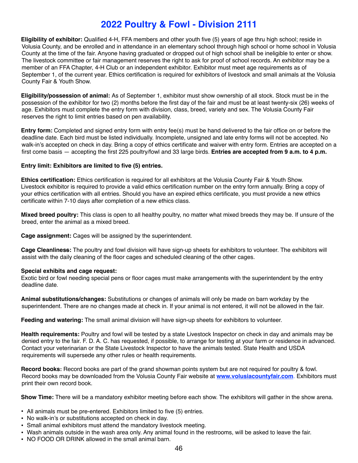**Eligibility of exhibitor:** Qualified 4-H, FFA members and other youth five (5) years of age thru high school; reside in Volusia County, and be enrolled and in attendance in an elementary school through high school or home school in Volusia County at the time of the fair. Anyone having graduated or dropped out of high school shall be ineligible to enter or show. The livestock committee or fair management reserves the right to ask for proof of school records. An exhibitor may be a member of an FFA Chapter, 4-H Club or an independent exhibitor. Exhibitor must meet age requirements as of September 1, of the current year. Ethics certification is required for exhibitors of livestock and small animals at the Volusia County Fair & Youth Show.

**Eligibility/possession of animal:** As of September 1, exhibitor must show ownership of all stock. Stock must be in the possession of the exhibitor for two (2) months before the first day of the fair and must be at least twenty-six (26) weeks of age. Exhibitors must complete the entry form with division, class, breed, variety and sex. The Volusia County Fair reserves the right to limit entries based on pen availability.

**Entry form:** Completed and signed entry form with entry fee(s) must be hand delivered to the fair office on or before the deadline date. Each bird must be listed individually. Incomplete, unsigned and late entry forms will not be accepted. No walk-in's accepted on check in day. Bring a copy of ethics certificate and waiver with entry form. Entries are accepted on a first come basis — accepting the first 225 poultry/fowl and 33 large birds. **Entries are accepted from 9 a.m. to 4 p.m.**

#### **Entry limit: Exhibitors are limited to five (5) entries.**

**Ethics certification:** Ethics certification is required for all exhibitors at the Volusia County Fair & Youth Show. Livestock exhibitor is required to provide a valid ethics certification number on the entry form annually. Bring a copy of your ethics certification with all entries. Should you have an expired ethics certificate, you must provide a new ethics certificate within 7-10 days after completion of a new ethics class.

**Mixed breed poultry:** This class is open to all healthy poultry, no matter what mixed breeds they may be. If unsure of the breed, enter the animal as a mixed breed.

**Cage assignment:** Cages will be assigned by the superintendent.

**Cage Cleanliness:** The poultry and fowl division will have sign-up sheets for exhibitors to volunteer. The exhibitors will assist with the daily cleaning of the floor cages and scheduled cleaning of the other cages.

#### **Special exhibits and cage request:**

Exotic bird or fowl needing special pens or floor cages must make arrangements with the superintendent by the entry deadline date.

**Animal substitutions/changes:** Substitutions or changes of animals will only be made on barn workday by the superintendent. There are no changes made at check in. If your animal is not entered, it will not be allowed in the fair.

**Feeding and watering:** The small animal division will have sign-up sheets for exhibitors to volunteer.

**Health requirements:** Poultry and fowl will be tested by a state Livestock Inspector on check in day and animals may be denied entry to the fair. F. D. A. C. has requested, if possible, to arrange for testing at your farm or residence in advanced. Contact your veterinarian or the State Livestock Inspector to have the animals tested. State Health and USDA requirements will supersede any other rules or health requirements.

**Record books:** Record books are part of the grand showman points system but are not required for poultry & fowl. Record books may be downloaded from the Volusia County Fair website at **[www.volusiacountyfair.com](http://www.volusiacountyfair.com)**. Exhibitors must print their own record book.

**Show Time:** There will be a mandatory exhibitor meeting before each show. The exhibitors will gather in the show arena.

- **•** All animals must be pre-entered. Exhibitors limited to five (5) entries.
- **•** No walk-in's or substitutions accepted on check in day.
- **•** Small animal exhibitors must attend the mandatory livestock meeting.
- **•** Wash animals outside in the wash area only. Any animal found in the restrooms, will be asked to leave the fair.
- **•** NO FOOD OR DRINK allowed in the small animal barn.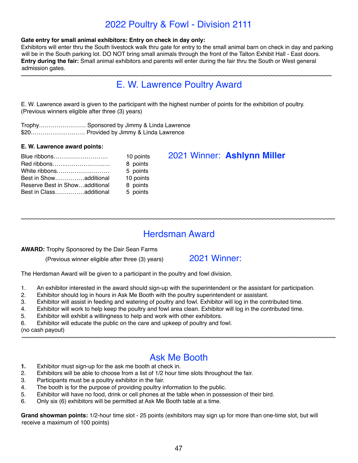#### **Gate entry for small animal exhibitors: Entry on check in day only:**

Exhibitors will enter thru the South livestock walk thru gate for entry to the small animal barn on check in day and parking will be in the South parking lot. DO NOT bring small animals through the front of the Talton Exhibit Hall - East doors. **Entry during the fair:** Small animal exhibitors and parents will enter during the fair thru the South or West general admission gates.

~~~~~~~~~~~~~~~~~~~~~~~~~~~~~~~~~~~~~~~~~~~~~~~~~~~~~~~~~~~~~~~~~~~~~~~~~~~~~~~~~~~~~~~~~~~

### E. W. Lawrence Poultry Award

E. W. Lawrence award is given to the participant with the highest number of points for the exhibition of poultry. (Previous winners eligible after three (3) years)

Trophy…………………… Sponsored by Jimmy & Linda Lawrence \$20………………….…… Provided by Jimmy & Linda Lawrence

#### **E. W. Lawrence award points:**

| 10 points | 2021 Winner: Ashlynn Miller |
|-----------|-----------------------------|
| 8 points  |                             |
| 5 points  |                             |
| 10 points |                             |
| 8 points  |                             |
| 5 points  |                             |
|           |                             |

### Herdsman Award

~~~~~~~~~~~~~~~~~~~~~~~~~~~~~~~~~~~~~~~~~~~~~~~~~~~~~~~~~~~~~~~~~~~~~~~~~~~~~~~~~~~~~~~~~~~~

#### **AWARD:** Trophy Sponsored by the Dair Sean Farms

(Previous winner eligible after three (3) years) 2021 Winner:

The Herdsman Award will be given to a participant in the poultry and fowl division.

- 1. An exhibitor interested in the award should sign-up with the superintendent or the assistant for participation.
- 2. Exhibitor should log in hours in Ask Me Booth with the poultry superintendent or assistant.
- 3. Exhibitor will assist in feeding and watering of poultry and fowl. Exhibitor will log in the contributed time.
- 4. Exhibitor will work to help keep the poultry and fowl area clean. Exhibitor will log in the contributed time.
- 5. Exhibitor will exhibit a willingness to help and work with other exhibitors.
- 6. Exhibitor will educate the public on the care and upkeep of poultry and fowl.

(no cash payout)

### Ask Me Booth

~~~~~~~~~~~~~~~~~~~~~~~~~~~~~~~~~~~~~~~~~~~~~~~~~~~~~~~~~~~~~~~~~~~~~~~~~~~~~~~~~~~~~~~~~~~~

- **1.** Exhibitor must sign-up for the ask me booth at check in.
- 2. Exhibitors will be able to choose from a list of 1/2 hour time slots throughout the fair.
- 3. Participants must be a poultry exhibitor in the fair.
- 4. The booth is for the purpose of providing poultry information to the public.
- 5. Exhibitor will have no food, drink or cell phones at the table when in possession of their bird.
- 6. Only six (6) exhibitors will be permitted at Ask Me Booth table at a time.

**Grand showman points:** 1/2-hour time slot - 25 points (exhibitors may sign up for more than one-time slot, but will receive a maximum of 100 points)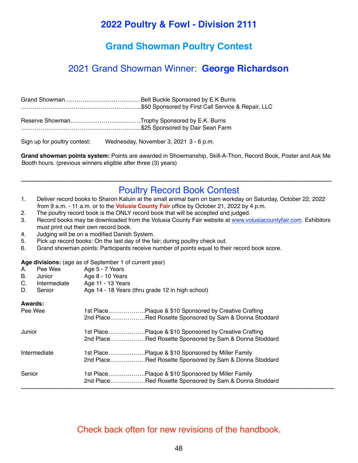### **Grand Showman Poultry Contest**

### 2021 Grand Showman Winner: **George Richardson**

| Sign up for poultry contest: | Wednesday, November 3, 2021 3 - 6 p.m. |  |
|------------------------------|----------------------------------------|--|

**Grand showman points system:** Points are awarded in Showmanship, Skill-A-Thon, Record Book, Poster and Ask Me Booth hours. (previous winners eligible after three (3) years)

~~~~~~~~~~~~~~~~~~~~~~~~~~~~~~~~~~~~~~~~~~~~~~~~~~~~~~~~~~~~~~~~~~~~~~~~~~~~~~~~~~~~~~~~~~~

### Poultry Record Book Contest

| Deliver record books to Sharon Katuin at the small animal barn on barn workday on Saturday, October 22, 2022 |
|--------------------------------------------------------------------------------------------------------------|
| from 9 a.m. - 11 a.m. or to the <b>Volusia County Fair</b> office by October 21, 2022 by 4 p.m.              |

- 2. The poultry record book is the ONLY record book that will be accepted and judged.
- 3. Record books may be downloaded from the Volusia County Fair website at [www.volusiacountyfair.com](http://www.volusiacountyfair.com). Exhibitors must print out their own record book.
- 4. Judging will be on a modified Danish System.
- 5. Pick up record books: On the last day of the fair; during poultry check out.
- 6. Grand showman points: Participants receive number of points equal to their record book score.

**Age divisions:** (age as of September 1 of current year)

| А.                       | Pee Wee | Age 5 - 7 Years |
|--------------------------|---------|-----------------|
| $\overline{\phantom{0}}$ |         | .               |

- B. Junior Age 8 10 Years C. Intermediate Age 11 - 13 Years
- 
- D. Senior Age 14 18 Years (thru grade 12 in high school)

#### **Awards:**

| Pee Wee      | 1st PlacePlaque & \$10 Sponsored by Creative Crafting<br>2nd PlaceRed Rosette Sponsored by Sam & Donna Stoddard |
|--------------|-----------------------------------------------------------------------------------------------------------------|
| Junior       | 1st PlacePlaque & \$10 Sponsored by Creative Crafting                                                           |
|              | 2nd PlaceRed Rosette Sponsored by Sam & Donna Stoddard                                                          |
| Intermediate | 1st PlacePlaque & \$10 Sponsored by Miller Family                                                               |
|              | 2nd PlaceRed Rosette Sponsored by Sam & Donna Stoddard                                                          |
| Senior       | 1st PlacePlaque & \$10 Sponsored by Miller Family                                                               |
|              | 2nd PlaceRed Rosette Sponsored by Sam & Donna Stoddard                                                          |
|              |                                                                                                                 |

### Check back often for new revisions of the handbook.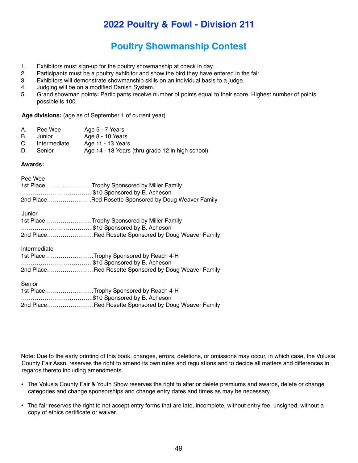### **Poultry Showmanship Contest**

- 1. Exhibitors must sign-up for the poultry showmanship at check in day.
- 2. Participants must be a poultry exhibitor and show the bird they have entered in the fair.
- 3. Exhibitors will demonstrate showmanship skills on an individual basis to a judge.
- 4. Judging will be on a modified Danish System.
- 5. Grand showman points**:** Participants receive number of points equal to their score. Highest number of points possible is 100.

**Age divisions:** (age as of September 1 of current year)

| А. | Pee Wee | Age 5 - 7 Years |
|----|---------|-----------------|
|----|---------|-----------------|

- B. Junior Age 8 10 Years
- C. Intermediate Age 11 13 Years
- D. Senior Age 14 18 Years (thru grade 12 in high school)

#### **Awards:**

| Pee Wee      | 1st PlaceTrophy Sponsored by Miller Family<br>\$10 Sponsored by B. Acheson<br>2nd PlaceRed Rosette Sponsored by Doug Weaver Family |
|--------------|------------------------------------------------------------------------------------------------------------------------------------|
| Junior       | 1st PlaceTrophy Sponsored by Miller Family<br>\$10 Sponsored by B. Acheson<br>2nd PlaceRed Rosette Sponsored by Doug Weaver Family |
| Intermediate | 1st PlaceTrophy Sponsored by Reach 4-H<br>\$10 Sponsored by B. Acheson<br>2nd PlaceRed Rosette Sponsored by Doug Weaver Family     |
| Senior       | 1st PlaceTrophy Sponsored by Reach 4-H<br>\$10 Sponsored by B. Acheson<br>2nd PlaceRed Rosette Sponsored by Doug Weaver Family     |

Note: Due to the early printing of this book, changes, errors, deletions, or omissions may occur, in which case, the Volusia County Fair Assn. reserves the right to amend its own rules and regulations and to decide all matters and differences in regards thereto including amendments.

- **•** The Volusia County Fair & Youth Show reserves the right to alter or delete premiums and awards, delete or change categories and change sponsorships and change entry dates and times as may be necessary.
- **•** The fair reserves the right to not accept entry forms that are late, incomplete, without entry fee, unsigned, without a copy of ethics certificate or waiver.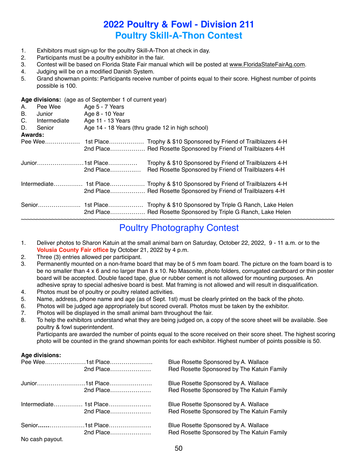### **2022 Poultry & Fowl - Division 211 Poultry Skill-A-Thon Contest**

- 1. Exhibitors must sign-up for the poultry Skill-A-Thon at check in day.
- 2. Participants must be a poultry exhibitor in the fair.
- 3. Contest will be based on Florida State Fair manual which will be posted at [www.FloridaStateFairAg.com.](http://www.FloridaStateFairAg.com)
- 4. Judging will be on a modified Danish System.
- 5. Grand showman points: Participants receive number of points equal to their score. Highest number of points possible is 100.

**Age divisions:** (age as of September 1 of current year)

| А.             | Pee Wee      | Age 5 - 7 Years                                  |                                                                                                              |
|----------------|--------------|--------------------------------------------------|--------------------------------------------------------------------------------------------------------------|
| В.             | Junior       | Age 8 - 10 Year                                  |                                                                                                              |
| C.             | Intermediate | Age 11 - 13 Years                                |                                                                                                              |
| D.             | Senior       | Age 14 - 18 Years (thru grade 12 in high school) |                                                                                                              |
| <b>Awards:</b> |              |                                                  |                                                                                                              |
|                | Pee Wee      |                                                  |                                                                                                              |
|                |              |                                                  | 2nd Place Red Rosette Sponsored by Friend of Trailblazers 4-H                                                |
|                |              | 2nd Place                                        | Trophy & \$10 Sponsored by Friend of Trailblazers 4-H<br>Red Rosette Sponsored by Friend of Trailblazers 4-H |
|                |              |                                                  |                                                                                                              |
|                |              |                                                  | Intermediate 1st Place Trophy & \$10 Sponsored by Friend of Trailblazers 4-H                                 |
|                |              |                                                  | 2nd Place Red Rosette Sponsored by Friend of Trailblazers 4-H                                                |
|                |              |                                                  | Trophy & \$10 Sponsored by Triple G Ranch, Lake Helen                                                        |
|                |              |                                                  | 2nd Place Red Rosette Sponsored by Triple G Ranch, Lake Helen                                                |

#### ~~~~~~~~~~~~~~~~~~~~~~~~~~~~~~~~~~~~~~~~~~~~~~~~~~~~~~~~~~~~~~~~~~~~~~~~~~~~~~~~~~~~~~~~~~~~~~~~~~~~~~ Poultry Photography Contest

- 1. Deliver photos to Sharon Katuin at the small animal barn on Saturday, October 22, 2022, 9 11 a.m. or to the **Volusia County Fair office** by October 21, 2022 by 4 p.m.
- 2. Three (3) entries allowed per participant.
- 3. Permanently mounted on a non-frame board that may be of 5 mm foam board. The picture on the foam board is to be no smaller than 4 x 6 and no larger than 8 x 10. No Masonite, photo folders, corrugated cardboard or thin poster board will be accepted. Double faced tape, glue or rubber cement is not allowed for mounting purposes. An adhesive spray to special adhesive board is best. Mat framing is not allowed and will result in disqualification.
- 4. Photos must be of poultry or poultry related activities.
- 5. Name, address, phone name and age (as of Sept. 1st) must be clearly printed on the back of the photo.
- 6. Photos will be judged age appropriately but scored overall. Photos must be taken by the exhibitor.
- 7. Photos will be displayed in the small animal barn throughout the fair.
- 8. To help the exhibitors understand what they are being judged on, a copy of the score sheet will be available. See poultry & fowl superintendent.

Participants are awarded the number of points equal to the score received on their score sheet. The highest scoring photo will be counted in the grand showman points for each exhibitor. Highest number of points possible is 50.

#### **Age divisions:**

|                 | 2nd Place | Blue Rosette Sponsored by A. Wallace<br>Red Rosette Sponsored by The Katuin Family |
|-----------------|-----------|------------------------------------------------------------------------------------|
|                 | 2nd Place | Blue Rosette Sponsored by A. Wallace<br>Red Rosette Sponsored by The Katuin Family |
|                 | 2nd Place | Blue Rosette Sponsored by A. Wallace<br>Red Rosette Sponsored by The Katuin Family |
| No cash payout. | 2nd Place | Blue Rosette Sponsored by A. Wallace<br>Red Rosette Sponsored by The Katuin Family |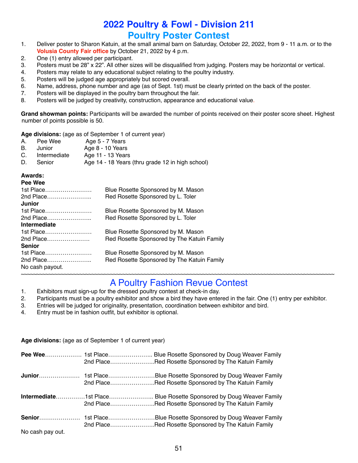### **2022 Poultry & Fowl - Division 211 Poultry Poster Contest**

- 1. Deliver poster to Sharon Katuin, at the small animal barn on Saturday, October 22, 2022, from 9 11 a.m. or to the **Volusia County Fair office** by October 21, 2022 by 4 p.m.
- 2. One (1) entry allowed per participant.
- 3. Posters must be 28" x 22". All other sizes will be disqualified from judging. Posters may be horizontal or vertical.
- 4. Posters may relate to any educational subject relating to the poultry industry.
- 5. Posters will be judged age appropriately but scored overall.
- 6. Name, address, phone number and age (as of Sept. 1st) must be clearly printed on the back of the poster.
- 7. Posters will be displayed in the poultry barn throughout the fair.
- 8. Posters will be judged by creativity, construction, appearance and educational value.

**Grand showman points:** Participants will be awarded the number of points received on their poster score sheet. Highest number of points possible is 50.

**Age divisions:** (age as of September 1 of current year)

| А. | Pee Wee      | Age 5 - 7 Years                                  |
|----|--------------|--------------------------------------------------|
| B. | Junior       | Age 8 - 10 Years                                 |
| C. | Intermediate | Age 11 - 13 Years                                |
| D. | Senior       | Age 14 - 18 Years (thru grade 12 in high school) |

#### **Awards:**

| Blue Rosette Sponsored by M. Mason         |
|--------------------------------------------|
| Red Rosette Sponsored by L. Toler          |
|                                            |
| Blue Rosette Sponsored by M. Mason         |
| Red Rosette Sponsored by L. Toler          |
|                                            |
| Blue Rosette Sponsored by M. Mason         |
| Red Rosette Sponsored by The Katuin Family |
|                                            |
| Blue Rosette Sponsored by M. Mason         |
| Red Rosette Sponsored by The Katuin Family |
|                                            |
|                                            |

#### ~~~~~~~~~~~~~~~~~~~~~~~~~~~~~~~~~~~~~~~~~~~~~~~~~~~~~~~~~~~~~~~~~~~~~~~~~~~~~~~~~~~~~~~~~~~~~~~~~~~~~~ A Poultry Fashion Revue Contest

- 1. Exhibitors must sign-up for the dressed poultry contest at check-in day.
- 2. Participants must be a poultry exhibitor and show a bird they have entered in the fair. One (1) entry per exhibitor.
- 3. Entries will be judged for originality, presentation, coordination between exhibitor and bird.
- 4. Entry must be in fashion outfit, but exhibitor is optional.

|                  | Age divisions. (age as or oepterment or carrent year) |                                                                                                                           |
|------------------|-------------------------------------------------------|---------------------------------------------------------------------------------------------------------------------------|
|                  |                                                       | Pee Wee 1st Place Blue Rosette Sponsored by Doug Weaver Family<br>2nd PlaceRed Rosette Sponsored by The Katuin Family     |
|                  |                                                       | 2nd PlaceRed Rosette Sponsored by The Katuin Family                                                                       |
|                  |                                                       | Intermediate1st Place Blue Rosette Sponsored by Doug Weaver Family<br>2nd PlaceRed Rosette Sponsored by The Katuin Family |
| No cash pay out. |                                                       | 2nd PlaceRed Rosette Sponsored by The Katuin Family                                                                       |

**Age divisions:** (age as of September 1 of current year)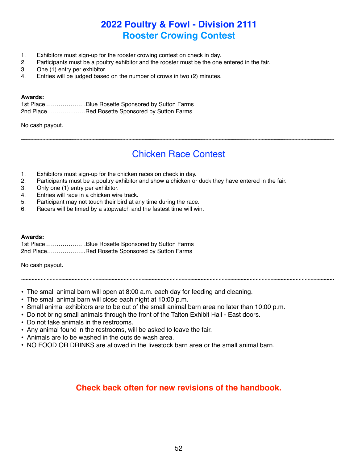### **2022 Poultry & Fowl - Division 2111 Rooster Crowing Contest**

- 1. Exhibitors must sign-up for the rooster crowing contest on check in day.
- 2. Participants must be a poultry exhibitor and the rooster must be the one entered in the fair.
- 3. One (1) entry per exhibitor.
- 4. Entries will be judged based on the number of crows in two (2) minutes.

#### **Awards:**

1st Place…………………Blue Rosette Sponsored by Sutton Farms 2nd Place…………..……Red Rosette Sponsored by Sutton Farms

No cash payout.

### Chicken Race Contest

~~~~~~~~~~~~~~~~~~~~~~~~~~~~~~~~~~~~~~~~~~~~~~~~~~~~~~~~~~~~~~~~~~~~~~~~~~~~~~~~~~~~~~~~~~~~~~~~~~~~~~

- 1. Exhibitors must sign-up for the chicken races on check in day.
- 2. Participants must be a poultry exhibitor and show a chicken or duck they have entered in the fair.
- 3. Only one (1) entry per exhibitor.
- 4. Entries will race in a chicken wire track.
- 5. Participant may not touch their bird at any time during the race.
- 6. Racers will be timed by a stopwatch and the fastest time will win.

#### **Awards:**

| 1st PlaceBlue Rosette Sponsored by Sutton Farms |  |  |
|-------------------------------------------------|--|--|
| 2nd PlaceRed Rosette Sponsored by Sutton Farms  |  |  |

No cash payout.

- The small animal barn will open at 8:00 a.m. each day for feeding and cleaning.
- The small animal barn will close each night at 10:00 p.m.
- Small animal exhibitors are to be out of the small animal barn area no later than 10:00 p.m.
- Do not bring small animals through the front of the Talton Exhibit Hall East doors.
- Do not take animals in the restrooms.
- Any animal found in the restrooms, will be asked to leave the fair.
- Animals are to be washed in the outside wash area.
- NO FOOD OR DRINKS are allowed in the livestock barn area or the small animal barn.

### **Check back often for new revisions of the handbook.**

~~~~~~~~~~~~~~~~~~~~~~~~~~~~~~~~~~~~~~~~~~~~~~~~~~~~~~~~~~~~~~~~~~~~~~~~~~~~~~~~~~~~~~~~~~~~~~~~~~~~~~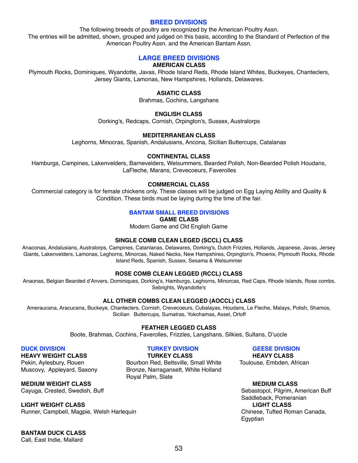#### **BREED DIVISIONS**

The following breeds of poultry are recognized by the American Poultry Assn. The entries will be admitted, shown, grouped and judged on this basis, according to the Standard of Perfection of the American Poultry Assn. and the American Bantam Assn.

#### **LARGE BREED DIVISIONS**

#### **AMERICAN CLASS**

Plymouth Rocks, Dominiques, Wyandotte, Javas, Rhode Island Reds, Rhode Island Whites, Buckeyes, Chanteclers, Jersey Giants, Lamonas, New Hampshires, Hollands, Delawares.

#### **ASIATIC CLASS**

Brahmas, Cochins, Langshans

#### **ENGLISH CLASS**

Dorking's, Redcaps, Cornish, Orpington's, Sussex, Australorps

#### **MEDITERRANEAN CLASS**

Leghorns, Minocras, Spanish, Andalusians, Ancona, Sicilian Buttercups, Catalanas

#### **CONTINENTAL CLASS**

Hamburgs, Campines, Lakenvelders, Barnevelders, Welsummers, Bearded Polish, Non-Bearded Polish Houdans, LaFleche, Marans, Crevecoeurs, Faverolles

#### **COMMERCIAL CLASS**

Commercial category is for female chickens only. These classes will be judged on Egg Laying Ability and Quality & Condition. These birds must be laying during the time of the fair.

#### **BANTAM SMALL BREED DIVISIONS**

**GAME CLASS**

Modern Game and Old English Game

#### **SINGLE COMB CLEAN LEGED (SCCL) CLASS**

Anaconas, Andalusians, Australorps, Campines, Catanlanas, Delawares, Dorking's, Dutch Frizzles, Hollands, Japanese, Javas, Jersey Giants, Lakenvelders, Lamonas, Leghorns, Minorcas, Naked Necks, New Hampshires, Orpington's, Phoenix, Plymouth Rocks, Rhode Island Reds, Spanish, Sussex, Sesama & Welsummer

#### **ROSE COMB CLEAN LEGGED (RCCL) CLASS**

Anaonas, Belgian Bearded d'Anvers, Dominiques, Dorking's, Hamburgs, Leghorns, Minorcas, Red Caps, Rhode Islands, Rose combs, Sebrights, Wyandotte's

#### **ALL OTHER COMBS CLEAN LEGGED (AOCCL) CLASS**

Ameraucana, Aracucana, Buckeye, Chanteclers, Cornish, Crevecoeurs, Cubalayas, Houdans, Le Fleche, Malays, Polish, Shamos, Sicilian Buttercups, Sumatras, Yokohamas, Assel, Orloff

#### **FEATHER LEGGED CLASS**

Boote, Brahmas, Cochins, Faverolles, Frizzles, Langshans, Silkies, Sultans, D'uccle

**HEAVY WEIGHT CLASS TURKEY CLASS HEAVY CLASS**

**MEDIUM WEIGHT CLASS MEDIUM CLASS**

**LIGHT WEIGHT CLASS**<br> **Runner, Campbell, Magpie, Welsh Harlequin**<br> **Runner, Campbell, Magpie, Welsh Harlequin**<br> **Runner, Campbell, Magpie, Welsh Harlequin** Runner, Campbell, Magpie, Welsh Harlequin

**BANTAM DUCK CLASS**

Call, East Indie, Mallard

Pekin, Aylesbury, Rouen **Bourbon Red, Beltsville, Small White** Toulouse, Embden, African Muscovy, Appleyard, Saxony Bronze, Narragansett, White Holland Royal Palm, Slate

#### **DUCK DIVISION TURKEY DIVISION GEESE DIVISION**

Cayuga, Crested, Swedish, Buff Sebastopol, Pilgrim, American Buff Sebastopol, Pilgrim, American Buff Saddleback, Pomeranian<br> **LIGHT CLASS** Egyptian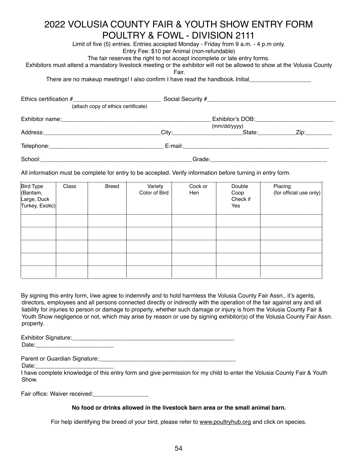### 2022 VOLUSIA COUNTY FAIR & YOUTH SHOW ENTRY FORM POULTRY & FOWL - DIVISION 2111

Limit of five (5) entries. Entries accepted Monday - Friday from 9 a.m. - 4 p.m only.

Entry Fee: \$10 per Animal (non-refundable)

The fair reserves the right to not accept incomplete or late entry forms.

Exhibitors must attend a mandatory livestock meeting or the exhibitor will not be allowed to show at the Volusia County

Fair.

There are no makeup meetings! I also confirm I have read the handbook. Initial

| (attach copy of ethics certificate)                                                                            |                                                                                                                |              |                                           |
|----------------------------------------------------------------------------------------------------------------|----------------------------------------------------------------------------------------------------------------|--------------|-------------------------------------------|
|                                                                                                                |                                                                                                                | (mm/dd/yyyy) |                                           |
|                                                                                                                | City: 2008 2010 2012 2022 2023 2024 2022 2023 2024 2022 2023 2024 2022 2023 2024 2025 2026 2027 2028 2029 2021 | State: 11    | $\mathsf{Zip:}\qquad \qquad \blacksquare$ |
| Telephone: The contract of the contract of the contract of the contract of the contract of the contract of the |                                                                                                                |              |                                           |
| School:                                                                                                        | Grade:                                                                                                         |              |                                           |

All information must be complete for entry to be accepted. Verify information before turning in entry form.

| Bird Type<br>(Bantam,<br>Large, Duck<br>Turkey, Exotic) | Class | <b>Breed</b> | Variety<br>Color of Bird | Cock or<br>Hen | Double<br>Coop<br>Check if<br>Yes | Placing<br>(for official use only) |
|---------------------------------------------------------|-------|--------------|--------------------------|----------------|-----------------------------------|------------------------------------|
|                                                         |       |              |                          |                |                                   |                                    |
|                                                         |       |              |                          |                |                                   |                                    |
|                                                         |       |              |                          |                |                                   |                                    |
|                                                         |       |              |                          |                |                                   |                                    |
|                                                         |       |              |                          |                |                                   |                                    |

By signing this entry form, I/we agree to indemnify and to hold harmless the Volusia County Fair Assn., it's agents, directors, employees and all persons connected directly or indirectly with the operation of the fair against any and all liability for injuries to person or damage to property, whether such damage or injury is from the Volusia County Fair & Youth Show negligence or not, which may arise by reason or use by signing exhibitor(s) of the Volusia County Fair Assn. property.

Exhibitor Signature:\_\_\_\_\_\_\_\_\_\_\_\_\_\_\_\_\_\_\_\_\_\_\_\_\_\_\_\_\_\_\_\_\_\_\_\_\_\_\_\_\_\_\_\_\_\_\_\_\_\_ Date:\_\_\_\_\_\_\_\_\_\_\_\_\_\_\_\_\_\_\_\_\_\_\_\_

Parent or Guardian Signature:\_\_\_\_\_\_\_\_\_\_\_\_\_\_\_\_\_\_\_\_\_\_\_\_\_\_\_\_\_\_\_\_\_\_\_\_\_\_\_\_\_\_

Date:

I have complete knowledge of this entry form and give permission for my child to enter the Volusia County Fair & Youth Show.

Fair office: Waiver received:

#### **No food or drinks allowed in the livestock barn area or the small animal barn.**

For help identifying the breed of your bird, please refer to [www.poultryhub.org](http://www.poultryhub.org) and click on species.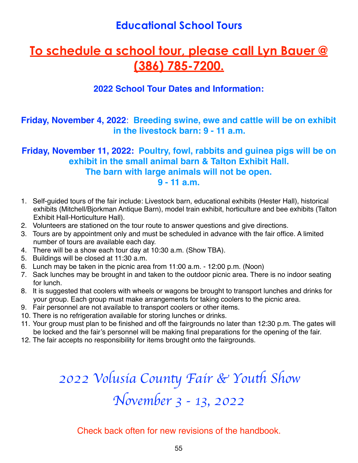### **Educational School Tours**

### **To schedule a school tour, please call Lyn Bauer @ (386) 785-7200.**

### **2022 School Tour Dates and Information:**

**Friday, November 4, 2022**: **Breeding swine, ewe and cattle will be on exhibit in the livestock barn: 9 - 11 a.m.**

### **Friday, November 11, 2022: Poultry, fowl, rabbits and guinea pigs will be on exhibit in the small animal barn & Talton Exhibit Hall. The barn with large animals will not be open. 9 - 11 a.m.**

- 1. Self-guided tours of the fair include: Livestock barn, educational exhibits (Hester Hall), historical exhibits (Mitchell/Bjorkman Antique Barn), model train exhibit, horticulture and bee exhibits (Talton Exhibit Hall-Horticulture Hall).
- 2. Volunteers are stationed on the tour route to answer questions and give directions.
- 3. Tours are by appointment only and must be scheduled in advance with the fair office. A limited number of tours are available each day.
- 4. There will be a show each tour day at 10:30 a.m. (Show TBA).
- 5. Buildings will be closed at 11:30 a.m.
- 6. Lunch may be taken in the picnic area from 11:00 a.m. 12:00 p.m. (Noon)
- 7. Sack lunches may be brought in and taken to the outdoor picnic area. There is no indoor seating for lunch.
- 8. It is suggested that coolers with wheels or wagons be brought to transport lunches and drinks for your group. Each group must make arrangements for taking coolers to the picnic area.
- 9. Fair personnel are not available to transport coolers or other items.
- 10. There is no refrigeration available for storing lunches or drinks.
- 11. Your group must plan to be finished and off the fairgrounds no later than 12:30 p.m. The gates will be locked and the fair's personnel will be making final preparations for the opening of the fair.
- 12. The fair accepts no responsibility for items brought onto the fairgrounds.

# 2022 Volusia County Fair & Youth Show *November 3 - 13, 2022*

Check back often for new revisions of the handbook.